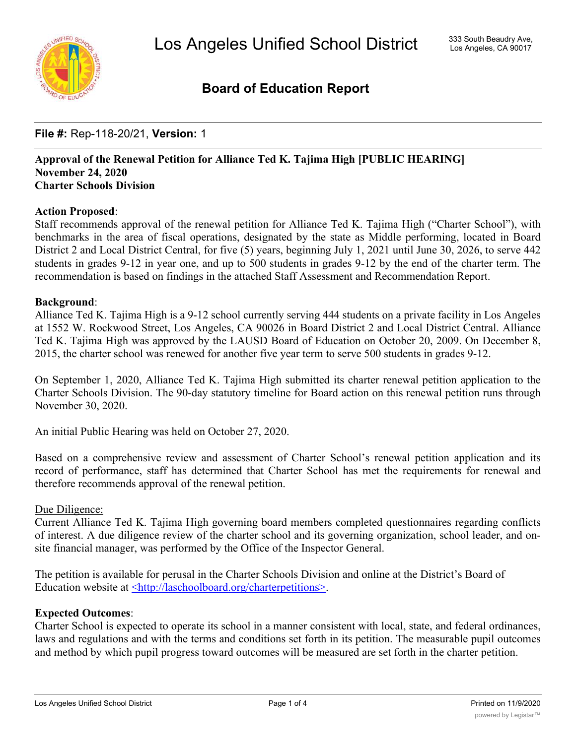

# **Board of Education Report**

# **File #:** Rep-118-20/21, **Version:** 1

### **Approval of the Renewal Petition for Alliance Ted K. Tajima High [PUBLIC HEARING] November 24, 2020 Charter Schools Division**

# **Action Proposed**:

Staff recommends approval of the renewal petition for Alliance Ted K. Tajima High ("Charter School"), with benchmarks in the area of fiscal operations, designated by the state as Middle performing, located in Board District 2 and Local District Central, for five (5) years, beginning July 1, 2021 until June 30, 2026, to serve 442 students in grades 9-12 in year one, and up to 500 students in grades 9-12 by the end of the charter term. The recommendation is based on findings in the attached Staff Assessment and Recommendation Report.

### **Background**:

Alliance Ted K. Tajima High is a 9-12 school currently serving 444 students on a private facility in Los Angeles at 1552 W. Rockwood Street, Los Angeles, CA 90026 in Board District 2 and Local District Central. Alliance Ted K. Tajima High was approved by the LAUSD Board of Education on October 20, 2009. On December 8, 2015, the charter school was renewed for another five year term to serve 500 students in grades 9-12.

On September 1, 2020, Alliance Ted K. Tajima High submitted its charter renewal petition application to the Charter Schools Division. The 90-day statutory timeline for Board action on this renewal petition runs through November 30, 2020.

An initial Public Hearing was held on October 27, 2020.

Based on a comprehensive review and assessment of Charter School's renewal petition application and its record of performance, staff has determined that Charter School has met the requirements for renewal and therefore recommends approval of the renewal petition.

### Due Diligence:

Current Alliance Ted K. Tajima High governing board members completed questionnaires regarding conflicts of interest. A due diligence review of the charter school and its governing organization, school leader, and onsite financial manager, was performed by the Office of the Inspector General.

The petition is available for perusal in the Charter Schools Division and online at the District's Board of Education website at <u><http://laschoolboard.org/charterpetitions></u>.

### **Expected Outcomes**:

Charter School is expected to operate its school in a manner consistent with local, state, and federal ordinances, laws and regulations and with the terms and conditions set forth in its petition. The measurable pupil outcomes and method by which pupil progress toward outcomes will be measured are set forth in the charter petition.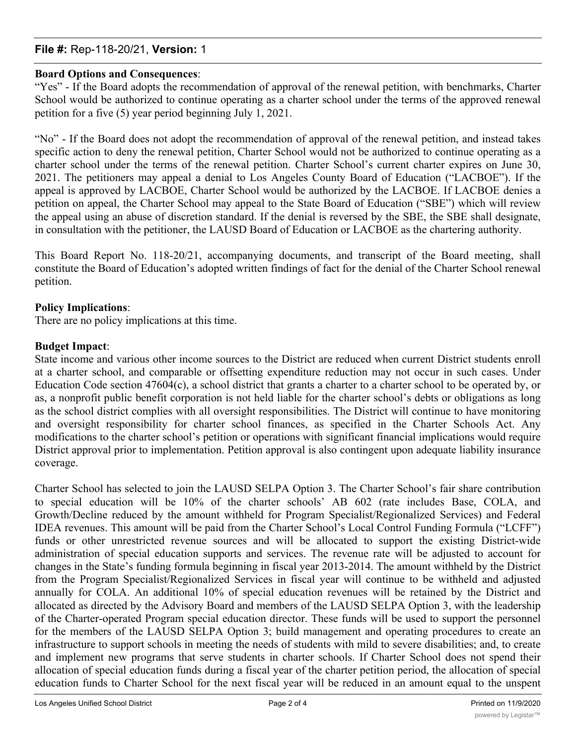# **File #:** Rep-118-20/21, **Version:** 1

### **Board Options and Consequences**:

"Yes" - If the Board adopts the recommendation of approval of the renewal petition, with benchmarks, Charter School would be authorized to continue operating as a charter school under the terms of the approved renewal petition for a five (5) year period beginning July 1, 2021.

"No" - If the Board does not adopt the recommendation of approval of the renewal petition, and instead takes specific action to deny the renewal petition, Charter School would not be authorized to continue operating as a charter school under the terms of the renewal petition. Charter School's current charter expires on June 30, 2021. The petitioners may appeal a denial to Los Angeles County Board of Education ("LACBOE"). If the appeal is approved by LACBOE, Charter School would be authorized by the LACBOE. If LACBOE denies a petition on appeal, the Charter School may appeal to the State Board of Education ("SBE") which will review the appeal using an abuse of discretion standard. If the denial is reversed by the SBE, the SBE shall designate, in consultation with the petitioner, the LAUSD Board of Education or LACBOE as the chartering authority.

This Board Report No. 118-20/21, accompanying documents, and transcript of the Board meeting, shall constitute the Board of Education's adopted written findings of fact for the denial of the Charter School renewal petition.

### **Policy Implications**:

There are no policy implications at this time.

### **Budget Impact**:

State income and various other income sources to the District are reduced when current District students enroll at a charter school, and comparable or offsetting expenditure reduction may not occur in such cases. Under Education Code section 47604(c), a school district that grants a charter to a charter school to be operated by, or as, a nonprofit public benefit corporation is not held liable for the charter school's debts or obligations as long as the school district complies with all oversight responsibilities. The District will continue to have monitoring and oversight responsibility for charter school finances, as specified in the Charter Schools Act. Any modifications to the charter school's petition or operations with significant financial implications would require District approval prior to implementation. Petition approval is also contingent upon adequate liability insurance coverage.

Charter School has selected to join the LAUSD SELPA Option 3. The Charter School's fair share contribution to special education will be 10% of the charter schools' AB 602 (rate includes Base, COLA, and Growth/Decline reduced by the amount withheld for Program Specialist/Regionalized Services) and Federal IDEA revenues. This amount will be paid from the Charter School's Local Control Funding Formula ("LCFF") funds or other unrestricted revenue sources and will be allocated to support the existing District-wide administration of special education supports and services. The revenue rate will be adjusted to account for changes in the State's funding formula beginning in fiscal year 2013-2014. The amount withheld by the District from the Program Specialist/Regionalized Services in fiscal year will continue to be withheld and adjusted annually for COLA. An additional 10% of special education revenues will be retained by the District and allocated as directed by the Advisory Board and members of the LAUSD SELPA Option 3, with the leadership of the Charter-operated Program special education director. These funds will be used to support the personnel for the members of the LAUSD SELPA Option 3; build management and operating procedures to create an infrastructure to support schools in meeting the needs of students with mild to severe disabilities; and, to create and implement new programs that serve students in charter schools. If Charter School does not spend their allocation of special education funds during a fiscal year of the charter petition period, the allocation of special education funds to Charter School for the next fiscal year will be reduced in an amount equal to the unspent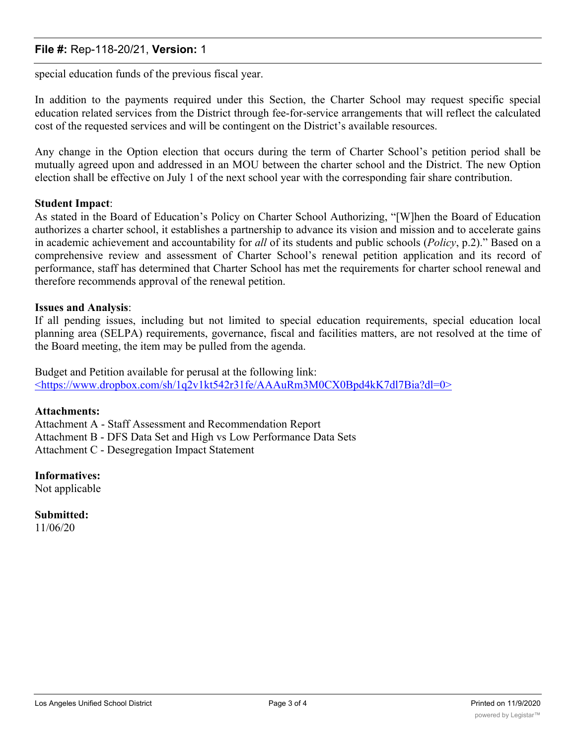# **File #:** Rep-118-20/21, **Version:** 1

special education funds of the previous fiscal year.

In addition to the payments required under this Section, the Charter School may request specific special education related services from the District through fee-for-service arrangements that will reflect the calculated cost of the requested services and will be contingent on the District's available resources.

Any change in the Option election that occurs during the term of Charter School's petition period shall be mutually agreed upon and addressed in an MOU between the charter school and the District. The new Option election shall be effective on July 1 of the next school year with the corresponding fair share contribution.

### **Student Impact**:

As stated in the Board of Education's Policy on Charter School Authorizing, "[W]hen the Board of Education authorizes a charter school, it establishes a partnership to advance its vision and mission and to accelerate gains in academic achievement and accountability for *all* of its students and public schools (*Policy*, p.2)." Based on a comprehensive review and assessment of Charter School's renewal petition application and its record of performance, staff has determined that Charter School has met the requirements for charter school renewal and therefore recommends approval of the renewal petition.

### **Issues and Analysis**:

If all pending issues, including but not limited to special education requirements, special education local planning area (SELPA) requirements, governance, fiscal and facilities matters, are not resolved at the time of the Board meeting, the item may be pulled from the agenda.

Budget and Petition available for perusal at the following link: <https://www.dropbox.com/sh/1q2v1kt542r31fe/AAAuRm3M0CX0Bpd4kK7dl7Bia?dl=0>

### **Attachments:**

Attachment A - Staff Assessment and Recommendation Report Attachment B - DFS Data Set and High vs Low Performance Data Sets Attachment C - Desegregation Impact Statement

**Informatives:**

Not applicable

**Submitted:** 11/06/20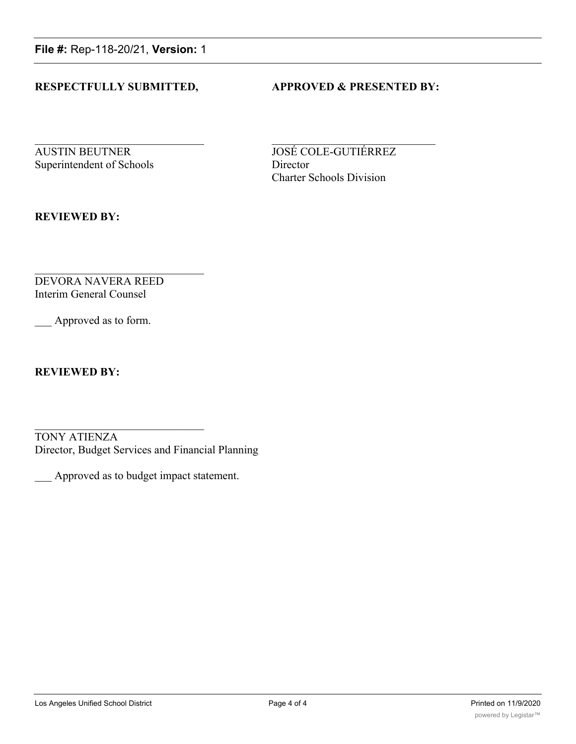**File #:** Rep-118-20/21, **Version:** 1

### **RESPECTFULLY SUBMITTED, APPROVED & PRESENTED BY:**

**AUSTIN BEUTNER JOSÉ COLE-GUTIÉRREZ** Superintendent of Schools Director

Charter Schools Division

**REVIEWED BY:**

DEVORA NAVERA REED Interim General Counsel

Approved as to form.

**REVIEWED BY:**

TONY ATIENZA Director, Budget Services and Financial Planning

\_\_\_ Approved as to budget impact statement.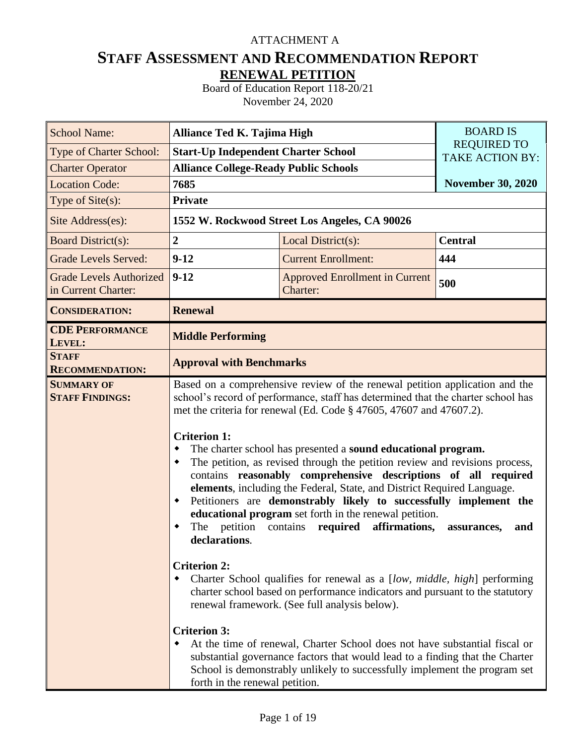# ATTACHMENT A

# **STAFF ASSESSMENT AND RECOMMENDATION REPORT RENEWAL PETITION**

Board of Education Report 118-20/21 November 24, 2020

| <b>School Name:</b>                                   | Alliance Ted K. Tajima High                                                                                                                                                    |                                                                                                                                                                                                                                                                                                                                                                                                                                                                                                                                                                                                                                                                                                                                                                                                                                                                                                                                                                                                                                                                                                                                                                     | <b>BOARD IS</b>                              |
|-------------------------------------------------------|--------------------------------------------------------------------------------------------------------------------------------------------------------------------------------|---------------------------------------------------------------------------------------------------------------------------------------------------------------------------------------------------------------------------------------------------------------------------------------------------------------------------------------------------------------------------------------------------------------------------------------------------------------------------------------------------------------------------------------------------------------------------------------------------------------------------------------------------------------------------------------------------------------------------------------------------------------------------------------------------------------------------------------------------------------------------------------------------------------------------------------------------------------------------------------------------------------------------------------------------------------------------------------------------------------------------------------------------------------------|----------------------------------------------|
| Type of Charter School:                               | <b>Start-Up Independent Charter School</b>                                                                                                                                     |                                                                                                                                                                                                                                                                                                                                                                                                                                                                                                                                                                                                                                                                                                                                                                                                                                                                                                                                                                                                                                                                                                                                                                     | <b>REQUIRED TO</b><br><b>TAKE ACTION BY:</b> |
| <b>Charter Operator</b>                               | <b>Alliance College-Ready Public Schools</b>                                                                                                                                   |                                                                                                                                                                                                                                                                                                                                                                                                                                                                                                                                                                                                                                                                                                                                                                                                                                                                                                                                                                                                                                                                                                                                                                     |                                              |
| <b>Location Code:</b>                                 | 7685                                                                                                                                                                           |                                                                                                                                                                                                                                                                                                                                                                                                                                                                                                                                                                                                                                                                                                                                                                                                                                                                                                                                                                                                                                                                                                                                                                     | <b>November 30, 2020</b>                     |
| Type of $Site(s)$ :                                   | <b>Private</b>                                                                                                                                                                 |                                                                                                                                                                                                                                                                                                                                                                                                                                                                                                                                                                                                                                                                                                                                                                                                                                                                                                                                                                                                                                                                                                                                                                     |                                              |
| Site Address(es):                                     |                                                                                                                                                                                | 1552 W. Rockwood Street Los Angeles, CA 90026                                                                                                                                                                                                                                                                                                                                                                                                                                                                                                                                                                                                                                                                                                                                                                                                                                                                                                                                                                                                                                                                                                                       |                                              |
| <b>Board District(s):</b>                             | $\overline{2}$                                                                                                                                                                 | Local District(s):                                                                                                                                                                                                                                                                                                                                                                                                                                                                                                                                                                                                                                                                                                                                                                                                                                                                                                                                                                                                                                                                                                                                                  | <b>Central</b>                               |
| <b>Grade Levels Served:</b>                           | $9-12$                                                                                                                                                                         | <b>Current Enrollment:</b>                                                                                                                                                                                                                                                                                                                                                                                                                                                                                                                                                                                                                                                                                                                                                                                                                                                                                                                                                                                                                                                                                                                                          | 444                                          |
| <b>Grade Levels Authorized</b><br>in Current Charter: | $9 - 12$                                                                                                                                                                       | <b>Approved Enrollment in Current</b><br>Charter:                                                                                                                                                                                                                                                                                                                                                                                                                                                                                                                                                                                                                                                                                                                                                                                                                                                                                                                                                                                                                                                                                                                   | 500                                          |
| <b>CONSIDERATION:</b>                                 | <b>Renewal</b>                                                                                                                                                                 |                                                                                                                                                                                                                                                                                                                                                                                                                                                                                                                                                                                                                                                                                                                                                                                                                                                                                                                                                                                                                                                                                                                                                                     |                                              |
| <b>CDE PERFORMANCE</b><br>LEVEL:                      | <b>Middle Performing</b>                                                                                                                                                       |                                                                                                                                                                                                                                                                                                                                                                                                                                                                                                                                                                                                                                                                                                                                                                                                                                                                                                                                                                                                                                                                                                                                                                     |                                              |
| <b>STAFF</b><br><b>RECOMMENDATION:</b>                | <b>Approval with Benchmarks</b>                                                                                                                                                |                                                                                                                                                                                                                                                                                                                                                                                                                                                                                                                                                                                                                                                                                                                                                                                                                                                                                                                                                                                                                                                                                                                                                                     |                                              |
| <b>SUMMARY OF</b><br><b>STAFF FINDINGS:</b>           | <b>Criterion 1:</b><br>٠<br>٠<br>$\blacklozenge$<br>petition<br>The<br>declarations.<br><b>Criterion 2:</b><br>٠<br><b>Criterion 3:</b><br>٠<br>forth in the renewal petition. | Based on a comprehensive review of the renewal petition application and the<br>school's record of performance, staff has determined that the charter school has<br>met the criteria for renewal (Ed. Code § 47605, 47607 and 47607.2).<br>The charter school has presented a sound educational program.<br>The petition, as revised through the petition review and revisions process,<br>contains reasonably comprehensive descriptions of all required<br>elements, including the Federal, State, and District Required Language.<br>Petitioners are demonstrably likely to successfully implement the<br>educational program set forth in the renewal petition.<br>affirmations,<br>contains<br>required<br>Charter School qualifies for renewal as a [low, middle, high] performing<br>charter school based on performance indicators and pursuant to the statutory<br>renewal framework. (See full analysis below).<br>At the time of renewal, Charter School does not have substantial fiscal or<br>substantial governance factors that would lead to a finding that the Charter<br>School is demonstrably unlikely to successfully implement the program set | and<br>assurances,                           |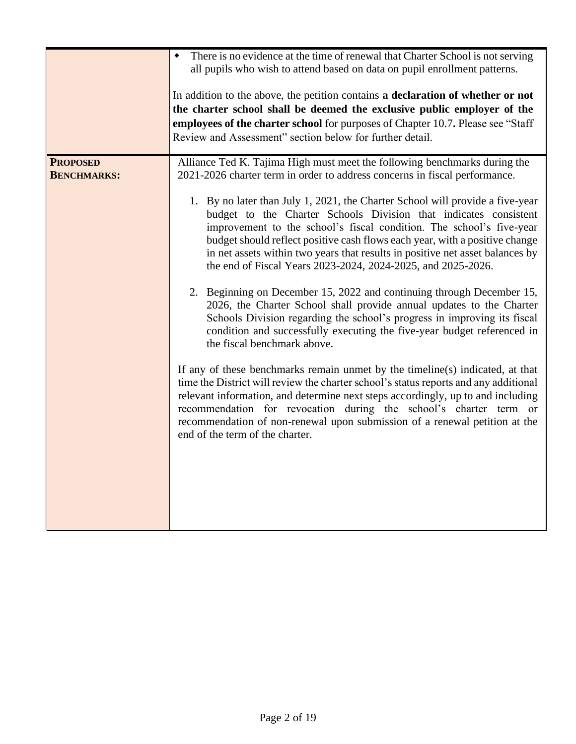|                                       | There is no evidence at the time of renewal that Charter School is not serving<br>all pupils who wish to attend based on data on pupil enrollment patterns.<br>In addition to the above, the petition contains a declaration of whether or not<br>the charter school shall be deemed the exclusive public employer of the<br>employees of the charter school for purposes of Chapter 10.7. Please see "Staff<br>Review and Assessment" section below for further detail.                                                                                                                                                                                                                                                                                                                                                                                                                                                                                                                                                                                                                                                                                                                                                                                                                                                                                                                                      |
|---------------------------------------|---------------------------------------------------------------------------------------------------------------------------------------------------------------------------------------------------------------------------------------------------------------------------------------------------------------------------------------------------------------------------------------------------------------------------------------------------------------------------------------------------------------------------------------------------------------------------------------------------------------------------------------------------------------------------------------------------------------------------------------------------------------------------------------------------------------------------------------------------------------------------------------------------------------------------------------------------------------------------------------------------------------------------------------------------------------------------------------------------------------------------------------------------------------------------------------------------------------------------------------------------------------------------------------------------------------------------------------------------------------------------------------------------------------|
| <b>PROPOSED</b><br><b>BENCHMARKS:</b> | Alliance Ted K. Tajima High must meet the following benchmarks during the<br>2021-2026 charter term in order to address concerns in fiscal performance.<br>1. By no later than July 1, 2021, the Charter School will provide a five-year<br>budget to the Charter Schools Division that indicates consistent<br>improvement to the school's fiscal condition. The school's five-year<br>budget should reflect positive cash flows each year, with a positive change<br>in net assets within two years that results in positive net asset balances by<br>the end of Fiscal Years 2023-2024, 2024-2025, and 2025-2026.<br>2. Beginning on December 15, 2022 and continuing through December 15,<br>2026, the Charter School shall provide annual updates to the Charter<br>Schools Division regarding the school's progress in improving its fiscal<br>condition and successfully executing the five-year budget referenced in<br>the fiscal benchmark above.<br>If any of these benchmarks remain unmet by the timeline(s) indicated, at that<br>time the District will review the charter school's status reports and any additional<br>relevant information, and determine next steps accordingly, up to and including<br>recommendation for revocation during the school's charter term or<br>recommendation of non-renewal upon submission of a renewal petition at the<br>end of the term of the charter. |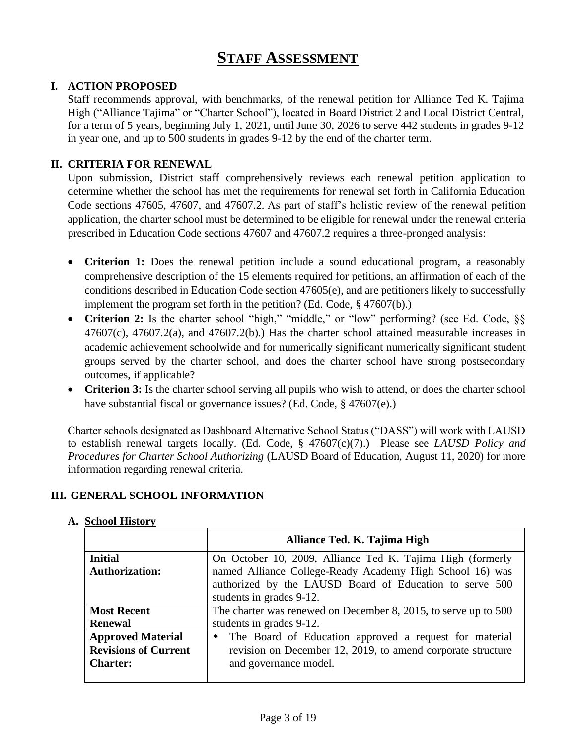# **STAFF ASSESSMENT**

# **I. ACTION PROPOSED**

Staff recommends approval, with benchmarks, of the renewal petition for Alliance Ted K. Tajima High ("Alliance Tajima" or "Charter School"), located in Board District 2 and Local District Central, for a term of 5 years, beginning July 1, 2021, until June 30, 2026 to serve 442 students in grades 9-12 in year one, and up to 500 students in grades 9-12 by the end of the charter term.

### **II. CRITERIA FOR RENEWAL**

Upon submission, District staff comprehensively reviews each renewal petition application to determine whether the school has met the requirements for renewal set forth in California Education Code sections 47605, 47607, and 47607.2. As part of staff's holistic review of the renewal petition application, the charter school must be determined to be eligible for renewal under the renewal criteria prescribed in Education Code sections 47607 and 47607.2 requires a three-pronged analysis:

- **Criterion 1:** Does the renewal petition include a sound educational program, a reasonably comprehensive description of the 15 elements required for petitions, an affirmation of each of the conditions described in Education Code section 47605(e), and are petitioners likely to successfully implement the program set forth in the petition? (Ed. Code, § 47607(b).)
- Criterion 2: Is the charter school "high," "middle," or "low" performing? (see Ed. Code, §§  $47607(c)$ ,  $47607.2(a)$ , and  $47607.2(b)$ . Has the charter school attained measurable increases in academic achievement schoolwide and for numerically significant numerically significant student groups served by the charter school, and does the charter school have strong postsecondary outcomes, if applicable?
- **Criterion 3:** Is the charter school serving all pupils who wish to attend, or does the charter school have substantial fiscal or governance issues? (Ed. Code, § 47607(e).)

Charter schools designated as Dashboard Alternative School Status ("DASS") will work with LAUSD to establish renewal targets locally. (Ed. Code, § 47607(c)(7).) Please see *LAUSD Policy and Procedures for Charter School Authorizing* (LAUSD Board of Education, August 11, 2020) for more information regarding renewal criteria.

### **III. GENERAL SCHOOL INFORMATION**

|                             | Alliance Ted. K. Tajima High                                        |
|-----------------------------|---------------------------------------------------------------------|
| <b>Initial</b>              | On October 10, 2009, Alliance Ted K. Tajima High (formerly          |
| <b>Authorization:</b>       | named Alliance College-Ready Academy High School 16) was            |
|                             | authorized by the LAUSD Board of Education to serve 500             |
|                             | students in grades 9-12.                                            |
| <b>Most Recent</b>          | The charter was renewed on December 8, 2015, to serve up to 500     |
| <b>Renewal</b>              | students in grades 9-12.                                            |
| <b>Approved Material</b>    | The Board of Education approved a request for material<br>$\bullet$ |
| <b>Revisions of Current</b> | revision on December 12, 2019, to amend corporate structure         |
| <b>Charter:</b>             | and governance model.                                               |
|                             |                                                                     |

### **A. School History**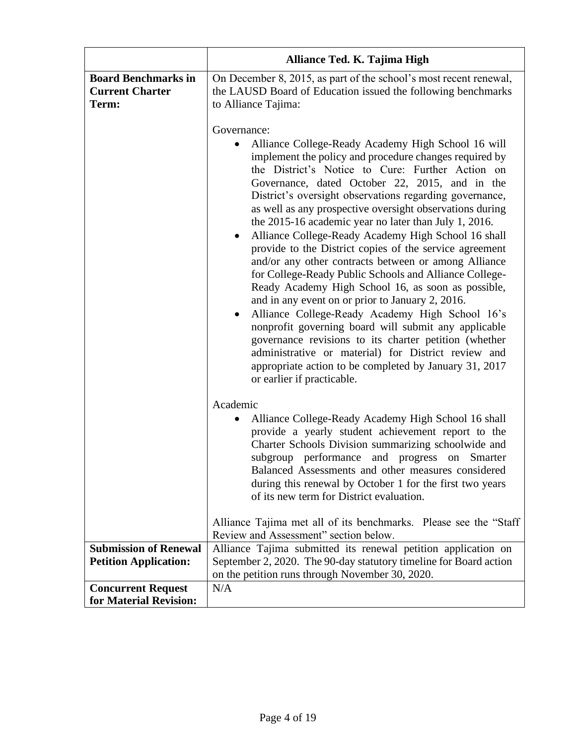|                                                               | Alliance Ted. K. Tajima High                                                                                                                                                                                                                                                                                                                                                                                                                                                                                                                                                                                                                                                                                                                                                                                                                                                                                                                                                                                                                                                                  |
|---------------------------------------------------------------|-----------------------------------------------------------------------------------------------------------------------------------------------------------------------------------------------------------------------------------------------------------------------------------------------------------------------------------------------------------------------------------------------------------------------------------------------------------------------------------------------------------------------------------------------------------------------------------------------------------------------------------------------------------------------------------------------------------------------------------------------------------------------------------------------------------------------------------------------------------------------------------------------------------------------------------------------------------------------------------------------------------------------------------------------------------------------------------------------|
| <b>Board Benchmarks in</b><br><b>Current Charter</b><br>Term: | On December 8, 2015, as part of the school's most recent renewal,<br>the LAUSD Board of Education issued the following benchmarks<br>to Alliance Tajima:<br>Governance:                                                                                                                                                                                                                                                                                                                                                                                                                                                                                                                                                                                                                                                                                                                                                                                                                                                                                                                       |
|                                                               | Alliance College-Ready Academy High School 16 will<br>implement the policy and procedure changes required by<br>the District's Notice to Cure: Further Action on<br>Governance, dated October 22, 2015, and in the<br>District's oversight observations regarding governance,<br>as well as any prospective oversight observations during<br>the 2015-16 academic year no later than July 1, 2016.<br>Alliance College-Ready Academy High School 16 shall<br>$\bullet$<br>provide to the District copies of the service agreement<br>and/or any other contracts between or among Alliance<br>for College-Ready Public Schools and Alliance College-<br>Ready Academy High School 16, as soon as possible,<br>and in any event on or prior to January 2, 2016.<br>Alliance College-Ready Academy High School 16's<br>$\bullet$<br>nonprofit governing board will submit any applicable<br>governance revisions to its charter petition (whether<br>administrative or material) for District review and<br>appropriate action to be completed by January 31, 2017<br>or earlier if practicable. |
|                                                               | Academic<br>Alliance College-Ready Academy High School 16 shall<br>provide a yearly student achievement report to the<br>Charter Schools Division summarizing schoolwide and<br>subgroup performance<br>and progress<br>on Smarter<br>Balanced Assessments and other measures considered<br>during this renewal by October 1 for the first two years<br>of its new term for District evaluation.                                                                                                                                                                                                                                                                                                                                                                                                                                                                                                                                                                                                                                                                                              |
|                                                               | Alliance Tajima met all of its benchmarks. Please see the "Staff"<br>Review and Assessment" section below.                                                                                                                                                                                                                                                                                                                                                                                                                                                                                                                                                                                                                                                                                                                                                                                                                                                                                                                                                                                    |
| <b>Submission of Renewal</b><br><b>Petition Application:</b>  | Alliance Tajima submitted its renewal petition application on<br>September 2, 2020. The 90-day statutory timeline for Board action<br>on the petition runs through November 30, 2020.                                                                                                                                                                                                                                                                                                                                                                                                                                                                                                                                                                                                                                                                                                                                                                                                                                                                                                         |
| <b>Concurrent Request</b><br>for Material Revision:           | N/A                                                                                                                                                                                                                                                                                                                                                                                                                                                                                                                                                                                                                                                                                                                                                                                                                                                                                                                                                                                                                                                                                           |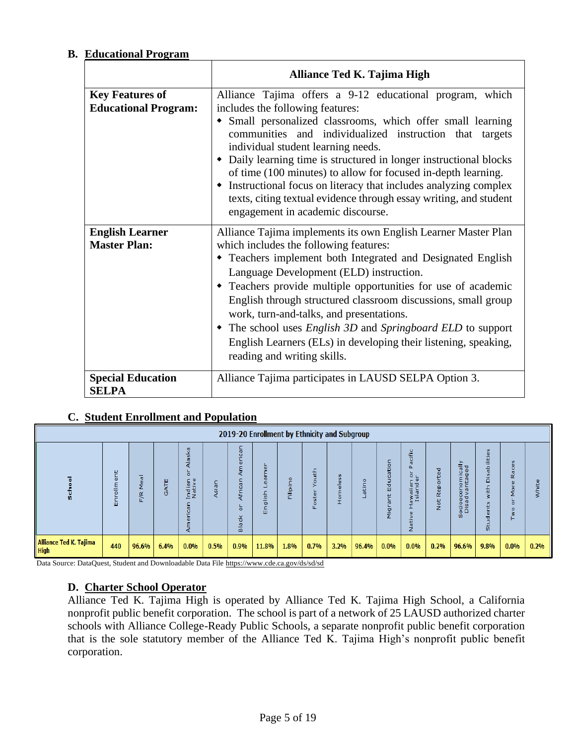# **B. Educational Program**

|                                                       | Alliance Ted K. Tajima High                                                                                                                                                                                                                                                                                                                                                                                                                                                                                                                                                        |
|-------------------------------------------------------|------------------------------------------------------------------------------------------------------------------------------------------------------------------------------------------------------------------------------------------------------------------------------------------------------------------------------------------------------------------------------------------------------------------------------------------------------------------------------------------------------------------------------------------------------------------------------------|
| <b>Key Features of</b><br><b>Educational Program:</b> | Alliance Tajima offers a 9-12 educational program, which<br>includes the following features:<br>• Small personalized classrooms, which offer small learning<br>communities and individualized instruction that targets<br>individual student learning needs.<br>• Daily learning time is structured in longer instructional blocks<br>of time (100 minutes) to allow for focused in-depth learning.<br>• Instructional focus on literacy that includes analyzing complex<br>texts, citing textual evidence through essay writing, and student<br>engagement in academic discourse. |
| <b>English Learner</b><br><b>Master Plan:</b>         | Alliance Tajima implements its own English Learner Master Plan<br>which includes the following features:<br>• Teachers implement both Integrated and Designated English<br>Language Development (ELD) instruction.<br>• Teachers provide multiple opportunities for use of academic<br>English through structured classroom discussions, small group<br>work, turn-and-talks, and presentations.<br>• The school uses <i>English 3D</i> and <i>Springboard ELD</i> to support<br>English Learners (ELs) in developing their listening, speaking,<br>reading and writing skills.    |
| <b>Special Education</b><br><b>SELPA</b>              | Alliance Tajima participates in LAUSD SELPA Option 3.                                                                                                                                                                                                                                                                                                                                                                                                                                                                                                                              |

# **C. Student Enrollment and Population**

|                                       | 2019-20 Enrollment by Ethnicity and Subgroup |                         |             |                                    |       |                                          |                    |                         |                                   |                                    |        |                  |                                                                       |                                                                             |                                                   |                                           |                                              |       |
|---------------------------------------|----------------------------------------------|-------------------------|-------------|------------------------------------|-------|------------------------------------------|--------------------|-------------------------|-----------------------------------|------------------------------------|--------|------------------|-----------------------------------------------------------------------|-----------------------------------------------------------------------------|---------------------------------------------------|-------------------------------------------|----------------------------------------------|-------|
|                                       | Ŵ.                                           | 带<br>$\omega$<br>E<br>ш | Ш<br>হ<br>ø | ska<br>$\circ$<br>Indian<br>Native | Asiar | $\mathbf{C}$<br>쏭<br><b>IN</b><br>∸<br>ω | <b>S</b><br>-<br>Ш | ۰<br>$\Omega$<br>≂<br>冨 | 횩<br>۰<br>B<br>m<br>$\circ$<br>Œ. | S<br><b>u</b><br>۰<br>-<br>a.<br>휸 | ۰<br>Б | π<br>ъ<br>ш<br>o | acific<br>O <sub>1</sub><br>ہ ۔<br>awaiian<br>Islande<br>ω<br>ia<br>2 | ত<br>$\overline{\omega}$<br>Đ.<br>$\circ$<br>$\alpha$<br>$\omega$<br>œ<br>ğ | ⋋<br>흉공<br>으 등<br>ocioeconom<br>Disad vanta<br>m. | <b>U</b><br>$\mathbf{u}$<br>÷<br>T.<br>Û. | <b>SC</b><br>ω<br>o<br>m<br>α<br>۰<br>۰<br>۰ | white |
| Alliance Ted K. Tajima<br><b>High</b> | 440                                          | 96.6%                   | 6.4%        | 0.0%                               | 0.5%  | 0.9%                                     | 11.8%              | 1.8%                    | 0.7%                              | 3.2%                               | 96.4%  | $0.0\%$          | 0.0%                                                                  | 0.2%                                                                        | 96.6%                                             | 9.8%                                      | 0.0%                                         | 0.2%  |

Data Source: DataQuest, Student and Downloadable Data File<https://www.cde.ca.gov/ds/sd/sd>

### **D. Charter School Operator**

Alliance Ted K. Tajima High is operated by Alliance Ted K. Tajima High School, a California nonprofit public benefit corporation. The school is part of a network of 25 LAUSD authorized charter schools with Alliance College-Ready Public Schools, a separate nonprofit public benefit corporation that is the sole statutory member of the Alliance Ted K. Tajima High's nonprofit public benefit corporation.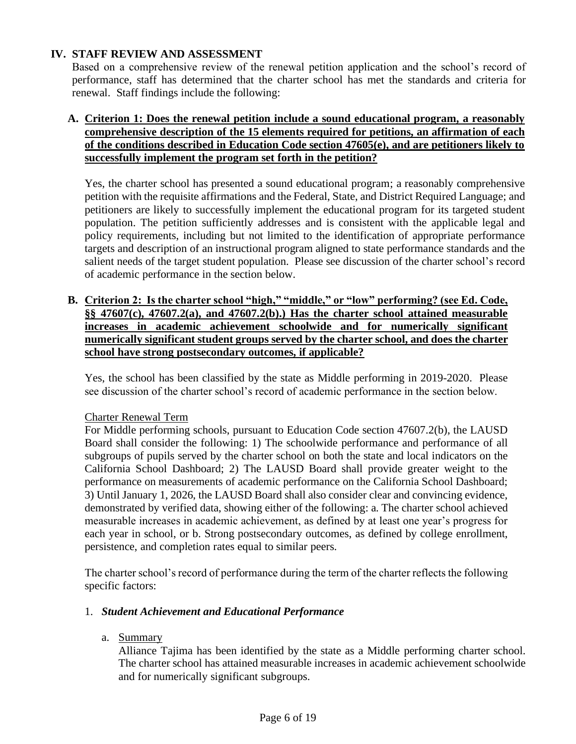# **IV. STAFF REVIEW AND ASSESSMENT**

Based on a comprehensive review of the renewal petition application and the school's record of performance, staff has determined that the charter school has met the standards and criteria for renewal. Staff findings include the following:

# **A. Criterion 1: Does the renewal petition include a sound educational program, a reasonably comprehensive description of the 15 elements required for petitions, an affirmation of each of the conditions described in Education Code section 47605(e), and are petitioners likely to successfully implement the program set forth in the petition?**

Yes, the charter school has presented a sound educational program; a reasonably comprehensive petition with the requisite affirmations and the Federal, State, and District Required Language; and petitioners are likely to successfully implement the educational program for its targeted student population. The petition sufficiently addresses and is consistent with the applicable legal and policy requirements, including but not limited to the identification of appropriate performance targets and description of an instructional program aligned to state performance standards and the salient needs of the target student population. Please see discussion of the charter school's record of academic performance in the section below.

**B. Criterion 2: Is the charter school "high," "middle," or "low" performing? (see Ed. Code, §§ 47607(c), 47607.2(a), and 47607.2(b).) Has the charter school attained measurable increases in academic achievement schoolwide and for numerically significant numerically significant student groups served by the charter school, and does the charter school have strong postsecondary outcomes, if applicable?**

Yes, the school has been classified by the state as Middle performing in 2019-2020. Please see discussion of the charter school's record of academic performance in the section below.

### Charter Renewal Term

For Middle performing schools, pursuant to Education Code section 47607.2(b), the LAUSD Board shall consider the following: 1) The schoolwide performance and performance of all subgroups of pupils served by the charter school on both the state and local indicators on the California School Dashboard; 2) The LAUSD Board shall provide greater weight to the performance on measurements of academic performance on the California School Dashboard; 3) Until January 1, 2026, the LAUSD Board shall also consider clear and convincing evidence, demonstrated by verified data, showing either of the following: a. The charter school achieved measurable increases in academic achievement, as defined by at least one year's progress for each year in school, or b. Strong postsecondary outcomes, as defined by college enrollment, persistence, and completion rates equal to similar peers.

The charter school's record of performance during the term of the charter reflects the following specific factors:

### 1. *Student Achievement and Educational Performance*

a. Summary

Alliance Tajima has been identified by the state as a Middle performing charter school. The charter school has attained measurable increases in academic achievement schoolwide and for numerically significant subgroups.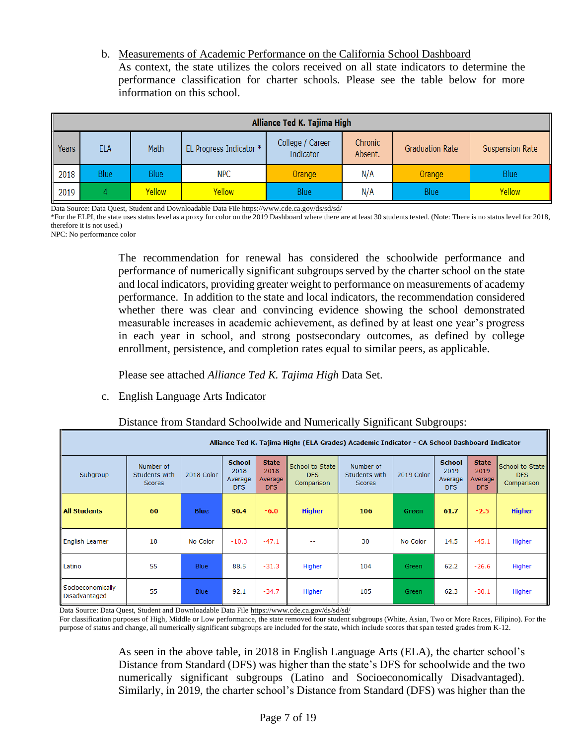b. Measurements of Academic Performance on the California School Dashboard As context, the state utilizes the colors received on all state indicators to determine the performance classification for charter schools. Please see the table below for more information on this school.

|              | Alliance Ted K. Tajima High |               |                         |                               |                    |                        |                        |  |  |  |  |  |  |  |  |
|--------------|-----------------------------|---------------|-------------------------|-------------------------------|--------------------|------------------------|------------------------|--|--|--|--|--|--|--|--|
| <b>Years</b> | <b>ELA</b>                  | Math          | EL Progress Indicator * | College / Career<br>Indicator | Chronic<br>Absent. | <b>Graduation Rate</b> | <b>Suspension Rate</b> |  |  |  |  |  |  |  |  |
| 2018         | <b>Blue</b>                 | <b>Blue</b>   | <b>NPC</b>              | Orange                        | N/A                | Orange                 | <b>Blue</b>            |  |  |  |  |  |  |  |  |
| 2019         |                             | <b>Yellow</b> | Yellow                  | <b>Blue</b>                   | N/A                | <b>Blue</b>            | Yellow                 |  |  |  |  |  |  |  |  |

Data Source: Data Quest, Student and Downloadable Data Fil[e https://www.cde.ca.gov/ds/sd/sd/](https://www.cde.ca.gov/ds/sd/sd/)

\*For the ELPI, the state uses status level as a proxy for color on the 2019 Dashboard where there are at least 30 students tested. (Note: There is no status level for 2018, therefore it is not used.)

NPC: No performance color

The recommendation for renewal has considered the schoolwide performance and performance of numerically significant subgroups served by the charter school on the state and local indicators, providing greater weight to performance on measurements of academy performance. In addition to the state and local indicators, the recommendation considered whether there was clear and convincing evidence showing the school demonstrated measurable increases in academic achievement, as defined by at least one year's progress in each year in school, and strong postsecondary outcomes, as defined by college enrollment, persistence, and completion rates equal to similar peers, as applicable.

Please see attached *Alliance Ted K. Tajima High* Data Set.

### c. English Language Arts Indicator

### Distance from Standard Schoolwide and Numerically Significant Subgroups:

|                                    | Alliance Ted K. Tajima High: (ELA Grades) Academic Indicator - CA School Dashboard Indicator |             |                                         |                                        |                                             |                                             |              |                                         |                                                     |                                             |  |  |  |
|------------------------------------|----------------------------------------------------------------------------------------------|-------------|-----------------------------------------|----------------------------------------|---------------------------------------------|---------------------------------------------|--------------|-----------------------------------------|-----------------------------------------------------|---------------------------------------------|--|--|--|
| Subgroup                           | Number of<br>Students with<br><b>Scores</b>                                                  | 2018 Color  | <b>School</b><br>2018<br>Average<br>DFS | <b>State</b><br>2018<br>Average<br>DFS | School to State<br><b>DFS</b><br>Comparison | Number of<br>Students with<br><b>Scores</b> | 2019 Color   | <b>School</b><br>2019<br>Average<br>DFS | <b>State</b><br>2019<br>Average <sup>1</sup><br>DFS | School to State<br><b>DFS</b><br>Comparison |  |  |  |
| <b>All Students</b>                | 60                                                                                           | <b>Blue</b> | 90.4                                    | $-6.0$                                 | <b>Higher</b>                               | 106                                         | Green        | 61.7                                    | $-2.5$                                              | <b>Higher</b>                               |  |  |  |
| English Learner                    | 18                                                                                           | No Color    | $-10.3$                                 | $-47.1$                                | --                                          | 30                                          | No Color     | 14.5                                    | $-45.1$                                             | Higher                                      |  |  |  |
| Latino                             | 55                                                                                           | <b>Blue</b> | 88.5                                    | $-31.3$                                | Higher                                      | 104                                         | <b>Green</b> | 62.2                                    | $-26.6$                                             | Higher                                      |  |  |  |
| Socioeconomically<br>Disadvantaged | 55                                                                                           | <b>Blue</b> | 92.1                                    | $-34.7$                                | Higher                                      | 105                                         | Green        | 62.3                                    | $-30.1$                                             | Higher                                      |  |  |  |

Data Source: Data Quest, Student and Downloadable Data Fil[e https://www.cde.ca.gov/ds/sd/sd/](https://www.cde.ca.gov/ds/sd/sd/)

For classification purposes of High, Middle or Low performance, the state removed four student subgroups (White, Asian, Two or More Races, Filipino). For the purpose of status and change, all numerically significant subgroups are included for the state, which include scores that span tested grades from K-12.

> As seen in the above table, in 2018 in English Language Arts (ELA), the charter school's Distance from Standard (DFS) was higher than the state's DFS for schoolwide and the two numerically significant subgroups (Latino and Socioeconomically Disadvantaged). Similarly, in 2019, the charter school's Distance from Standard (DFS) was higher than the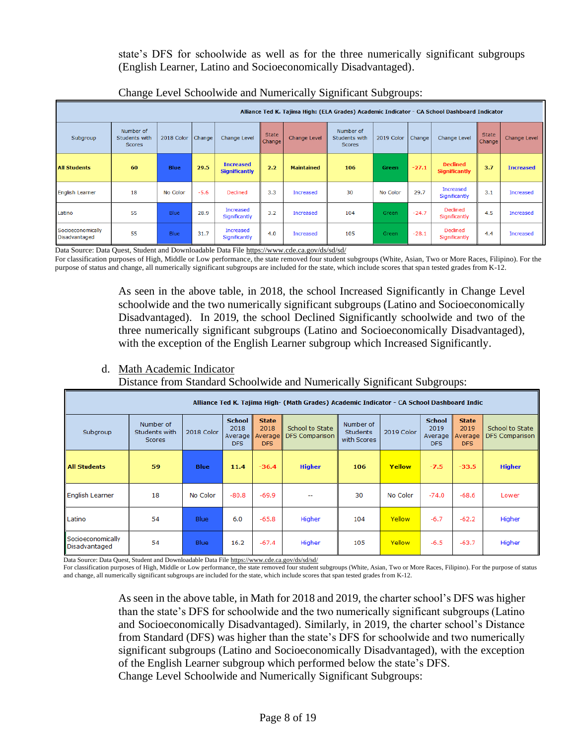state's DFS for schoolwide as well as for the three numerically significant subgroups (English Learner, Latino and Socioeconomically Disadvantaged).

|                                    | Alliance Ted K. Tajima High: (ELA Grades) Academic Indicator - CA School Dashboard Indicator |             |        |                                          |                        |                     |                                             |                    |         |                                         |                               |                  |  |
|------------------------------------|----------------------------------------------------------------------------------------------|-------------|--------|------------------------------------------|------------------------|---------------------|---------------------------------------------|--------------------|---------|-----------------------------------------|-------------------------------|------------------|--|
| Subgroup                           | Number of<br>Students with<br><b>Scores</b>                                                  | 2018 Color  | Change | Change Level                             | <b>State</b><br>Change | <b>Change Level</b> | Number of<br>Students with<br><b>Scores</b> | 2019 Color         | Change  | Change Level                            | <b>State</b><br><b>Change</b> | Change Level     |  |
| <b>All Students</b>                | 60                                                                                           | <b>Blue</b> | 29.5   | <b>Increased</b><br><b>Significantly</b> | 2.2                    | <b>Maintained</b>   | 106                                         | Green              | $-27.1$ | <b>Declined</b><br><b>Significantly</b> | 3.7                           | <b>Increased</b> |  |
| <b>English Learner</b>             | 18                                                                                           | No Color    | $-5.6$ | <b>Declined</b>                          | 3.3                    | <b>Increased</b>    | 30                                          | No Color           | 29.7    | Increased<br>Significantly              | 3.1                           | <b>Increased</b> |  |
| Latino                             | 55                                                                                           | <b>Blue</b> | 28.9   | Increased<br>Significantly               | 3.2                    | <b>Increased</b>    | 104                                         | Green <sup>1</sup> | $-24.7$ | <b>Declined</b><br>Significantly        | 4.5                           | Increased        |  |
| Socioeconomically<br>Disadvantaged | 55                                                                                           | <b>Blue</b> | 31.7   | Increased<br>Significantly               | 4.0                    | <b>Increased</b>    | 105                                         | Green              | $-28.1$ | <b>Declined</b><br>Significantly        | 4.4                           | Increased        |  |

# Change Level Schoolwide and Numerically Significant Subgroups:

Data Source: Data Quest, Student and Downloadable Data File<https://www.cde.ca.gov/ds/sd/sd/>

For classification purposes of High, Middle or Low performance, the state removed four student subgroups (White, Asian, Two or More Races, Filipino). For the purpose of status and change, all numerically significant subgroups are included for the state, which include scores that span tested grades from K-12.

> As seen in the above table, in 2018, the school Increased Significantly in Change Level schoolwide and the two numerically significant subgroups (Latino and Socioeconomically Disadvantaged). In 2019, the school Declined Significantly schoolwide and two of the three numerically significant subgroups (Latino and Socioeconomically Disadvantaged), with the exception of the English Learner subgroup which Increased Significantly.

# d. Math Academic Indicator

Distance from Standard Schoolwide and Numerically Significant Subgroups:

| Alliance Ted K. Tajima High- (Math Grades) Academic Indicator - CA School Dashboard Indic |                                      |             |                                         |                                        |                                          |                                             |            |                                                |                                        |                                   |  |  |  |
|-------------------------------------------------------------------------------------------|--------------------------------------|-------------|-----------------------------------------|----------------------------------------|------------------------------------------|---------------------------------------------|------------|------------------------------------------------|----------------------------------------|-----------------------------------|--|--|--|
| Subgroup                                                                                  | Number of<br>Students with<br>Scores | 2018 Color  | <b>School</b><br>2018<br>Average<br>DFS | <b>State</b><br>2018<br>Average<br>DFS | School to State<br><b>DFS Comparison</b> | Number of<br><b>Students</b><br>with Scores | 2019 Color | <b>School</b><br>2019<br>Average<br><b>DFS</b> | <b>State</b><br>2019<br>Average<br>DFS | School to State<br>DFS Comparison |  |  |  |
| <b>All Students</b>                                                                       | 59                                   | <b>Blue</b> | 11.4                                    | $-36.4$                                | <b>Higher</b>                            | 106                                         | Yellow     | $-7.5$                                         | $-33.5$                                | <b>Higher</b>                     |  |  |  |
| <b>English Learner</b>                                                                    | 18                                   | No Color    | $-80.8$                                 | $-69.9$                                | --                                       | 30                                          | No Color   | $-74.0$                                        | $-68.6$                                | Lower                             |  |  |  |
| Latino                                                                                    | 54                                   | Blue        | 6.0                                     | $-65.8$                                | Higher                                   | 104                                         | Yellow     | $-6.7$                                         | $-62.2$                                | Higher                            |  |  |  |
| Socioeconomically<br>Disadvantaged                                                        | 54                                   | Blue        | 16.2                                    | $-67.4$                                | Higher                                   | 105                                         | Yellow     | $-6.5$                                         | $-63.7$                                | Higher                            |  |  |  |

Data Source: Data Quest, Student and Downloadable Data Fil[e https://www.cde.ca.gov/ds/sd/sd/](https://www.cde.ca.gov/ds/sd/sd/)

For classification purposes of High, Middle or Low performance, the state removed four student subgroups (White, Asian, Two or More Races, Filipino). For the purpose of status and change, all numerically significant subgroups are included for the state, which include scores that span tested grades from K-12.

> As seen in the above table, in Math for 2018 and 2019, the charter school's DFS was higher than the state's DFS for schoolwide and the two numerically significant subgroups (Latino and Socioeconomically Disadvantaged). Similarly, in 2019, the charter school's Distance from Standard (DFS) was higher than the state's DFS for schoolwide and two numerically significant subgroups (Latino and Socioeconomically Disadvantaged), with the exception of the English Learner subgroup which performed below the state's DFS. Change Level Schoolwide and Numerically Significant Subgroups: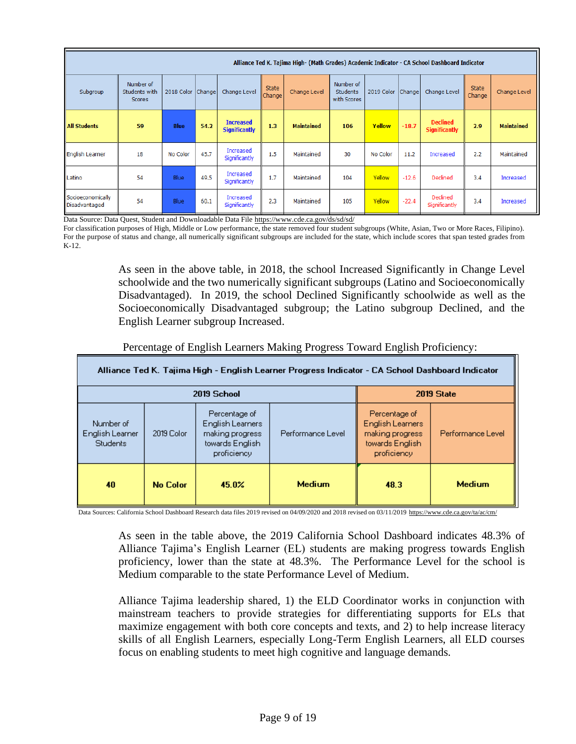|                                    | Alliance Ted K. Tajima High- (Math Grades) Academic Indicator - CA School Dashboard Indicator |             |        |                                          |                 |                   |                                             |                   |         |                                         |                        |                   |  |  |
|------------------------------------|-----------------------------------------------------------------------------------------------|-------------|--------|------------------------------------------|-----------------|-------------------|---------------------------------------------|-------------------|---------|-----------------------------------------|------------------------|-------------------|--|--|
| Subgroup                           | Number of<br>Students with<br><b>Scores</b>                                                   | 2018 Color  | Change | Change Level                             | State<br>Change | Change Level      | Number of<br><b>Students</b><br>with Scores | 2019 Color Change |         | Change Level                            | <b>State</b><br>Change | Change Level      |  |  |
| <b>All Students</b>                | 59                                                                                            | <b>Blue</b> | 54.2   | <b>Increased</b><br><b>Significantly</b> | 1.3             | <b>Maintained</b> | 106                                         | Yellow            | $-18.7$ | <b>Declined</b><br><b>Significantly</b> | 2.9                    | <b>Maintained</b> |  |  |
| <b>English Learner</b>             | 18                                                                                            | No Color    | 45.7   | Increased<br>Significantly               | 1.5             | Maintained        | 30                                          | No Color          | 11.2    | Increased                               | 2.2                    | Maintained        |  |  |
| Latino                             | 54                                                                                            | Blue        | 49.5   | Increased<br>Significantly               | 1.7             | Maintained        | 104                                         | Yellow            | $-12.6$ | Declined                                | 3.4                    | Increased         |  |  |
| Socioeconomically<br>Disadvantaged | 54                                                                                            | Blue        | 60.1   | Increased<br>Significantly               | 2.3             | Maintained        | 105                                         | Yellow            | $-22.4$ | Declined<br>Significantly               | 3.4                    | Increased         |  |  |

Data Source: Data Quest, Student and Downloadable Data File<https://www.cde.ca.gov/ds/sd/sd/>

For classification purposes of High, Middle or Low performance, the state removed four student subgroups (White, Asian, Two or More Races, Filipino). For the purpose of status and change, all numerically significant subgroups are included for the state, which include scores that span tested grades from K-12.

> As seen in the above table, in 2018, the school Increased Significantly in Change Level schoolwide and the two numerically significant subgroups (Latino and Socioeconomically Disadvantaged). In 2019, the school Declined Significantly schoolwide as well as the Socioeconomically Disadvantaged subgroup; the Latino subgroup Declined, and the English Learner subgroup Increased.

| Alliance Ted K. Tajima High - English Learner Progress Indicator - CA School Dashboard Indicator |                 |                                                                                        |                   |                                                                                               |                   |  |  |  |  |  |  |  |
|--------------------------------------------------------------------------------------------------|-----------------|----------------------------------------------------------------------------------------|-------------------|-----------------------------------------------------------------------------------------------|-------------------|--|--|--|--|--|--|--|
|                                                                                                  | 2019 School     |                                                                                        | 2019 State        |                                                                                               |                   |  |  |  |  |  |  |  |
| Number of<br>English Learner<br><b>Students</b>                                                  | 2019 Color      | Percentage of<br>English Learners<br>making progress<br>towards English<br>proficiency | Performance Level | Percentage of<br><b>English Learners</b><br>making progress<br>towards English<br>proficiency | Performance Level |  |  |  |  |  |  |  |
| 40                                                                                               | <b>No Color</b> | 45.0%                                                                                  | <b>Medium</b>     | 48.3                                                                                          | <b>Medium</b>     |  |  |  |  |  |  |  |

Percentage of English Learners Making Progress Toward English Proficiency:

Data Sources: California School Dashboard Research data files 2019 revised on 04/09/2020 and 2018 revised on 03/11/201[9 https://www.cde.ca.gov/ta/ac/cm/](https://www.cde.ca.gov/ta/ac/cm/)

As seen in the table above, the 2019 California School Dashboard indicates 48.3% of Alliance Tajima's English Learner (EL) students are making progress towards English proficiency, lower than the state at 48.3%. The Performance Level for the school is Medium comparable to the state Performance Level of Medium.

Alliance Tajima leadership shared, 1) the ELD Coordinator works in conjunction with mainstream teachers to provide strategies for differentiating supports for ELs that maximize engagement with both core concepts and texts, and 2) to help increase literacy skills of all English Learners, especially Long-Term English Learners, all ELD courses focus on enabling students to meet high cognitive and language demands.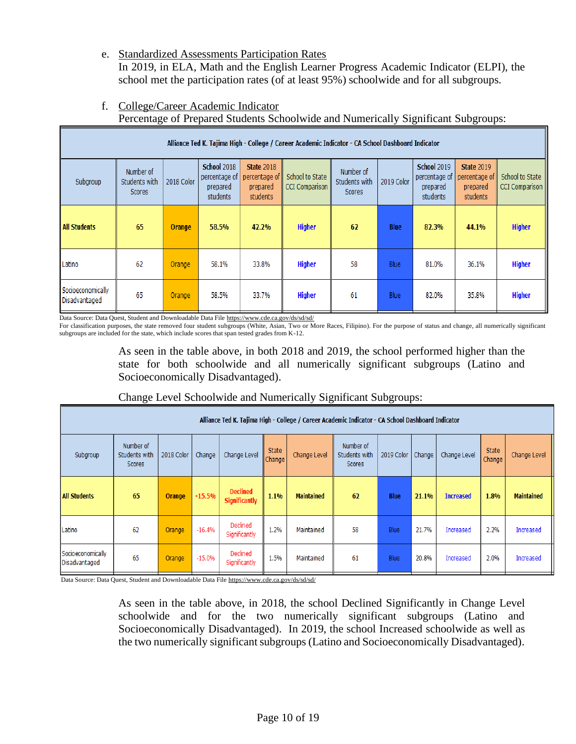e. Standardized Assessments Participation Rates

In 2019, in ELA, Math and the English Learner Progress Academic Indicator (ELPI), the school met the participation rates (of at least 95%) schoolwide and for all subgroups.

f. College/Career Academic Indicator

Percentage of Prepared Students Schoolwide and Numerically Significant Subgroups:

|                                    | Alliance Ted K. Tajima High - College / Career Academic Indicator - CA School Dashboard Indicator |            |                                                             |                                                                                                        |               |                                      |             |                                                             |                                                            |                                          |  |  |  |  |
|------------------------------------|---------------------------------------------------------------------------------------------------|------------|-------------------------------------------------------------|--------------------------------------------------------------------------------------------------------|---------------|--------------------------------------|-------------|-------------------------------------------------------------|------------------------------------------------------------|------------------------------------------|--|--|--|--|
| Subgroup                           | Number of<br>Students with<br>Scores                                                              | 2018 Color | <b>School 2018</b><br>percentage of<br>prepared<br>students | <b>State 2018</b><br>School to State<br>percentage of<br><b>CCI Comparison</b><br>prepared<br>students |               | Number of<br>Students with<br>Scores | 2019 Color  | <b>School 2019</b><br>percentage of<br>prepared<br>students | <b>State 2019</b><br>percentage of<br>prepared<br>students | School to State<br><b>CCI Comparison</b> |  |  |  |  |
| <b>All Students</b>                | 65                                                                                                | Orange     | 58.5%                                                       | 42.2%                                                                                                  | <b>Higher</b> | 62                                   | <b>Blue</b> | 82.3%                                                       | 44.1%                                                      | <b>Higher</b>                            |  |  |  |  |
| Latino                             | 62                                                                                                | Orange     | 58.1%                                                       | 33.8%                                                                                                  | <b>Higher</b> | 58                                   | <b>Blue</b> | 81.0%                                                       | 36.1%                                                      | <b>Higher</b>                            |  |  |  |  |
| Socioeconomically<br>Disadvantaged | 65                                                                                                | Orange     | 58.5%                                                       | 33.7%                                                                                                  | <b>Higher</b> | 61                                   | <b>Blue</b> | 82.0%                                                       | 35.8%                                                      | <b>Higher</b>                            |  |  |  |  |

Data Source: Data Quest, Student and Downloadable Data Fil[e https://www.cde.ca.gov/ds/sd/sd/](https://www.cde.ca.gov/ds/sd/sd/)

For classification purposes, the state removed four student subgroups (White, Asian, Two or More Races, Filipino). For the purpose of status and change, all numerically significant subgroups are included for the state, which include scores that span tested grades from K-12.

> As seen in the table above, in both 2018 and 2019, the school performed higher than the state for both schoolwide and all numerically significant subgroups (Latino and Socioeconomically Disadvantaged).

| Alliance Ted K. Tajima High - College / Career Academic Indicator - CA School Dashboard Indicator |                                      |            |          |                                         |                                                                         |                   |            |             |              |                  |              |                   |  |
|---------------------------------------------------------------------------------------------------|--------------------------------------|------------|----------|-----------------------------------------|-------------------------------------------------------------------------|-------------------|------------|-------------|--------------|------------------|--------------|-------------------|--|
| Subgroup                                                                                          | Number of<br>Students with<br>Scores | 2018 Color | Change   | Change Level                            | Number of<br>State<br>Change Level<br>Students with<br>Change<br>Scores |                   | 2019 Color | Change      | Change Level | State<br>Change  | Change Level |                   |  |
| <b>All Students</b>                                                                               | 65                                   | Orange     | $-15.5%$ | <b>Declined</b><br><b>Significantly</b> | 1.1%                                                                    | <b>Maintained</b> | 62         | <b>Blue</b> | 21.1%        | <b>Increased</b> | 1.8%         | <b>Maintained</b> |  |
| Latino                                                                                            | 62                                   | Orange     | $-16.4%$ | Declined<br>Significantly               | 1.2%                                                                    | Maintained        | 58         | Blue        | 21.7%        | Increased        | 2.2%         | Increased         |  |
| Socioeconomically<br>Disadvantaged                                                                | 65                                   | Orange     | $-15.0%$ | Declined<br>Significantly               | 1.5%                                                                    | Maintained        | 61         | Blue        | 20.8%        | Increased        | 2.0%         | Increased         |  |

Change Level Schoolwide and Numerically Significant Subgroups:

Data Source: Data Quest, Student and Downloadable Data Fil[e https://www.cde.ca.gov/ds/sd/sd/](https://www.cde.ca.gov/ds/sd/sd/)

As seen in the table above, in 2018, the school Declined Significantly in Change Level schoolwide and for the two numerically significant subgroups (Latino and Socioeconomically Disadvantaged). In 2019, the school Increased schoolwide as well as the two numerically significant subgroups (Latino and Socioeconomically Disadvantaged).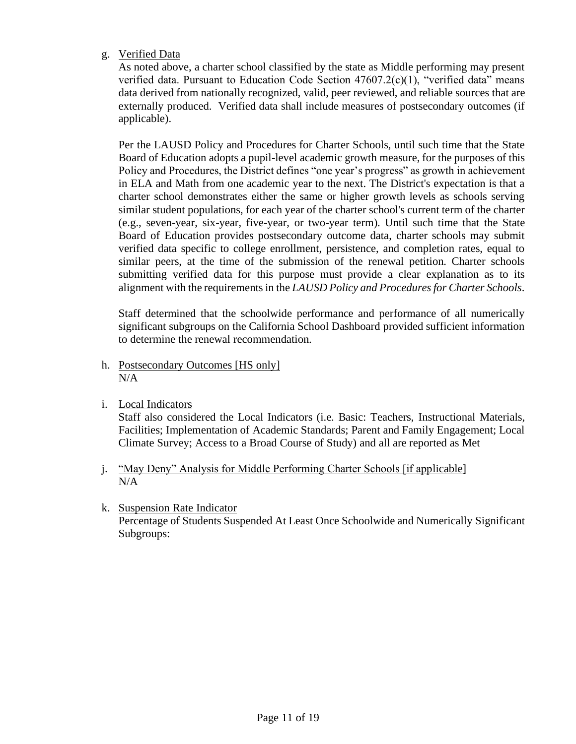# g. Verified Data

As noted above, a charter school classified by the state as Middle performing may present verified data. Pursuant to Education Code Section  $47607.2(c)(1)$ , "verified data" means data derived from nationally recognized, valid, peer reviewed, and reliable sources that are externally produced. Verified data shall include measures of postsecondary outcomes (if applicable).

Per the LAUSD Policy and Procedures for Charter Schools, until such time that the State Board of Education adopts a pupil-level academic growth measure, for the purposes of this Policy and Procedures, the District defines "one year's progress" as growth in achievement in ELA and Math from one academic year to the next. The District's expectation is that a charter school demonstrates either the same or higher growth levels as schools serving similar student populations, for each year of the charter school's current term of the charter (e.g., seven-year, six-year, five-year, or two-year term). Until such time that the State Board of Education provides postsecondary outcome data, charter schools may submit verified data specific to college enrollment, persistence, and completion rates, equal to similar peers, at the time of the submission of the renewal petition. Charter schools submitting verified data for this purpose must provide a clear explanation as to its alignment with the requirements in the *LAUSD Policy and Procedures for Charter Schools*.

Staff determined that the schoolwide performance and performance of all numerically significant subgroups on the California School Dashboard provided sufficient information to determine the renewal recommendation.

- h. Postsecondary Outcomes [HS only] N/A
- i. Local Indicators

Staff also considered the Local Indicators (i.e. Basic: Teachers, Instructional Materials, Facilities; Implementation of Academic Standards; Parent and Family Engagement; Local Climate Survey; Access to a Broad Course of Study) and all are reported as Met

- j. "May Deny" Analysis for Middle Performing Charter Schools [if applicable] N/A
- k. Suspension Rate Indicator Percentage of Students Suspended At Least Once Schoolwide and Numerically Significant Subgroups: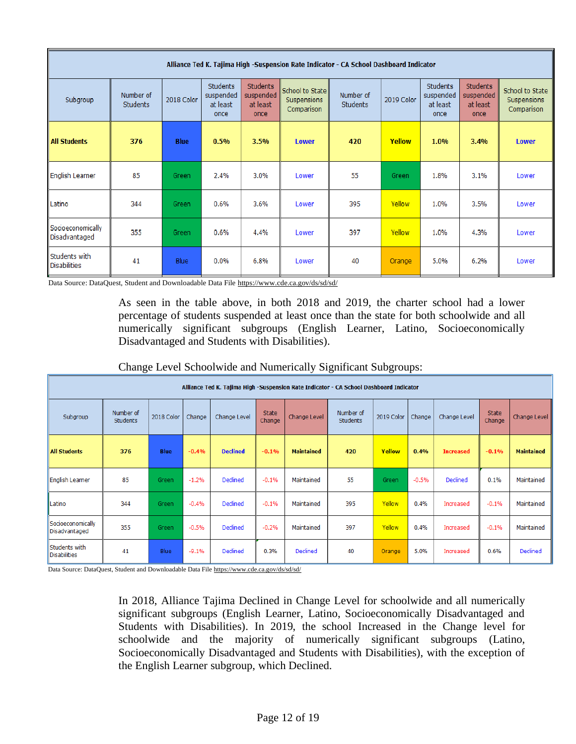|                                    | Alliance Ted K. Tajima High -Suspension Rate Indicator - CA School Dashboard Indicator |             |                                           |                                                  |                                                            |                              |            |                                                  |                                                  |                                              |  |  |  |  |  |
|------------------------------------|----------------------------------------------------------------------------------------|-------------|-------------------------------------------|--------------------------------------------------|------------------------------------------------------------|------------------------------|------------|--------------------------------------------------|--------------------------------------------------|----------------------------------------------|--|--|--|--|--|
| Subgroup                           | Number of<br><b>Students</b>                                                           | 2018 Color  | Students<br>suspended<br>at least<br>once | <b>Students</b><br>suspended<br>at least<br>once | <b>School to State</b><br><b>Suspensions</b><br>Comparison | Number of<br><b>Students</b> | 2019 Color | <b>Students</b><br>suspended<br>at least<br>once | <b>Students</b><br>suspended<br>at least<br>once | School to State<br>Suspensions<br>Comparison |  |  |  |  |  |
| <b>All Students</b>                | 376                                                                                    | <b>Blue</b> | 0.5%                                      | 3.5%                                             | <b>Lower</b>                                               | 420                          | Yellow     | 1.0%                                             | 3.4%                                             | <b>Lower</b>                                 |  |  |  |  |  |
| <b>English Learner</b>             | 85                                                                                     | Green       | 2.4%                                      | 3.0%                                             | Lower                                                      | 55                           | Green      | 1.8%                                             | 3.1%                                             | Lower                                        |  |  |  |  |  |
| Latino                             | 344                                                                                    | Green       | 0.6%                                      | 3.6%                                             | Lower                                                      | 395                          | Yellow     | 1.0%                                             | 3.5%                                             | Lower                                        |  |  |  |  |  |
| Socioeconomically<br>Disadvantaged | 355                                                                                    | Green       | 0.6%                                      | 4.4%                                             | Lower                                                      | 397                          | Yellow     | 1.0%                                             | 4.3%                                             | Lower                                        |  |  |  |  |  |
| Students with<br>Disabilities      | 41                                                                                     | <b>Blue</b> | $0.0\%$                                   | 6.8%                                             | Lower                                                      | 40                           | Orange     | 5.0%                                             | 6.2%                                             | Lower                                        |  |  |  |  |  |

Data Source: DataQuest, Student and Downloadable Data File<https://www.cde.ca.gov/ds/sd/sd/>

As seen in the table above, in both 2018 and 2019, the charter school had a lower percentage of students suspended at least once than the state for both schoolwide and all numerically significant subgroups (English Learner, Latino, Socioeconomically Disadvantaged and Students with Disabilities).

|                                      |                                                                                        |             |         |                 |                 |                   | J                            | ັ          | $\overline{\phantom{a}}$ |                  |                        |                   |  |  |  |
|--------------------------------------|----------------------------------------------------------------------------------------|-------------|---------|-----------------|-----------------|-------------------|------------------------------|------------|--------------------------|------------------|------------------------|-------------------|--|--|--|
|                                      | Alliance Ted K. Tajima High -Suspension Rate Indicator - CA School Dashboard Indicator |             |         |                 |                 |                   |                              |            |                          |                  |                        |                   |  |  |  |
| Subgroup                             | Number of<br><b>Students</b>                                                           | 2018 Color  | Change  | Change Level    | State<br>Change | Change Level      | Number of<br><b>Students</b> | 2019 Color | Change                   | Change Level     | <b>State</b><br>Change | Change Level      |  |  |  |
| <b>All Students</b>                  | 376                                                                                    | <b>Blue</b> | $-0.4%$ | <b>Declined</b> | $-0.1%$         | <b>Maintained</b> | 420                          | Yellow     | 0.4%                     | <b>Increased</b> | $-0.1%$                | <b>Maintained</b> |  |  |  |
| <b>English Learner</b>               | 85                                                                                     | Green       | $-1.2%$ | Declined        | $-0.1%$         | Maintained        | 55                           | Green      | $-0.5%$                  | Declined         | 0.1%                   | Maintained        |  |  |  |
| Latino                               | 344                                                                                    | Green       | $-0.4%$ | Declined        | $-0.1%$         | Maintained        | 395                          | Yellow     | 0.4%                     | Increased        | $-0.1%$                | Maintained        |  |  |  |
| Socioeconomically<br>Disadvantaged   | 355                                                                                    | Green       | $-0.5%$ | Declined        | $-0.2%$         | Maintained        | 397                          | Yellow     | 0.4%                     | Increased        | $-0.1%$                | Maintained        |  |  |  |
| Students with<br><b>Disabilities</b> | 41                                                                                     | Blue        | $-9.1%$ | Declined        | 0.3%            | Declined          | 40                           | Orange     | 5.0%                     | Increased        | 0.6%                   | Declined          |  |  |  |

Change Level Schoolwide and Numerically Significant Subgroups:

Data Source: DataQuest, Student and Downloadable Data Fil[e https://www.cde.ca.gov/ds/sd/sd/](https://www.cde.ca.gov/ds/sd/sd/)

In 2018, Alliance Tajima Declined in Change Level for schoolwide and all numerically significant subgroups (English Learner, Latino, Socioeconomically Disadvantaged and Students with Disabilities). In 2019, the school Increased in the Change level for schoolwide and the majority of numerically significant subgroups (Latino, Socioeconomically Disadvantaged and Students with Disabilities), with the exception of the English Learner subgroup, which Declined.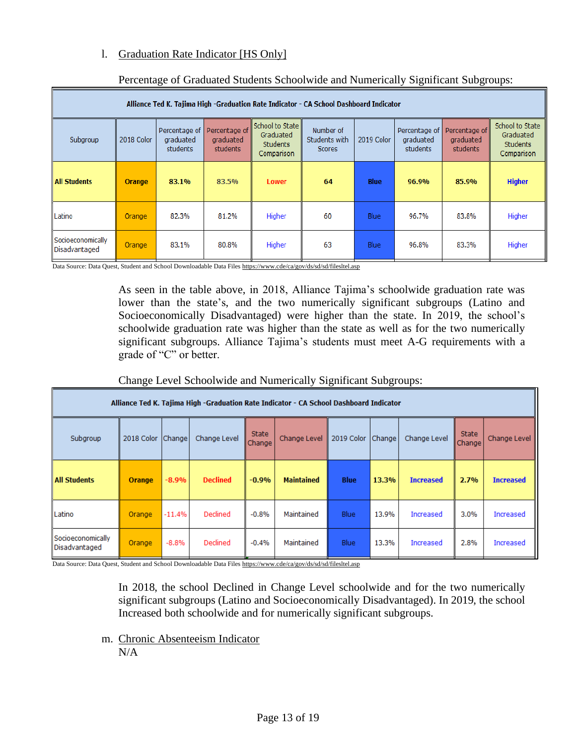# l. Graduation Rate Indicator [HS Only]

| Alliance Ted K. Tajima High -Graduation Rate Indicator - CA School Dashboard Indicator |               |                                                                                                                                                                                                                                                                                                                                                              |       |              |    |             |       |       |               |  |  |  |  |  |
|----------------------------------------------------------------------------------------|---------------|--------------------------------------------------------------------------------------------------------------------------------------------------------------------------------------------------------------------------------------------------------------------------------------------------------------------------------------------------------------|-------|--------------|----|-------------|-------|-------|---------------|--|--|--|--|--|
| Subgroup                                                                               | 2018 Color    | School to State<br>School to State<br>Percentage of<br>Percentage of<br>Number of<br>Percentage of<br>Percentage of<br>Graduated<br>Graduated<br>Students with<br>2019 Color<br>graduated<br>graduated<br>graduated<br>graduated<br><b>Students</b><br><b>Students</b><br>students<br>students<br>students<br>students<br>Scores<br>Comparison<br>Comparison |       |              |    |             |       |       |               |  |  |  |  |  |
| <b>All Students</b>                                                                    | <b>Orange</b> | 83.1%                                                                                                                                                                                                                                                                                                                                                        | 83.5% | <b>Lower</b> | 64 | <b>Blue</b> | 96.9% | 85.9% | <b>Higher</b> |  |  |  |  |  |
| Latino                                                                                 | Orange        | 82.3%                                                                                                                                                                                                                                                                                                                                                        | 81.2% | Higher       | 60 | Blue        | 96.7% | 83.8% | Higher        |  |  |  |  |  |
| Socioeconomically<br>Disadvantaged                                                     | Orange        | 83.1%                                                                                                                                                                                                                                                                                                                                                        | 80.8% | Higher       | 63 | <b>Blue</b> | 96.8% | 83.3% | Higher        |  |  |  |  |  |

# Percentage of Graduated Students Schoolwide and Numerically Significant Subgroups:

Data Source: Data Quest, Student and School Downloadable Data File[s https://www.cde/ca/gov/ds/sd/sd/filesltel.asp](https://www.cde/ca/gov/ds/sd/sd/filesltel.asp)

As seen in the table above, in 2018, Alliance Tajima's schoolwide graduation rate was lower than the state's, and the two numerically significant subgroups (Latino and Socioeconomically Disadvantaged) were higher than the state. In 2019, the school's schoolwide graduation rate was higher than the state as well as for the two numerically significant subgroups. Alliance Tajima's students must meet A-G requirements with a grade of "C" or better.

### Change Level Schoolwide and Numerically Significant Subgroups:

| Alliance Ted K. Tajima High -Graduation Rate Indicator - CA School Dashboard Indicator |               |               |                 |                        |                   |             |        |                  |                 |                  |  |  |  |
|----------------------------------------------------------------------------------------|---------------|---------------|-----------------|------------------------|-------------------|-------------|--------|------------------|-----------------|------------------|--|--|--|
| Subgroup                                                                               | 2018 Color    | <b>Change</b> | Change Level    | <b>State</b><br>Change | Change Level      | 2019 Color  | Change | Change Level     | State<br>Change | Change Level     |  |  |  |
| <b>All Students</b>                                                                    | <b>Orange</b> | $-8.9%$       | <b>Declined</b> | $-0.9%$                | <b>Maintained</b> | Blue        | 13.3%  | <b>Increased</b> | 2.7%            | <b>Increased</b> |  |  |  |
| Latino                                                                                 | Orange        | $-11.4%$      | Declined        | $-0.8%$                | Maintained        | <b>Blue</b> | 13.9%  | Increased        | 3.0%            | Increased        |  |  |  |
| Socioeconomically<br>Disadvantaged                                                     | Orange        | $-8.8%$       | Declined        | $-0.4%$                | Maintained        | <b>Blue</b> | 13.3%  | Increased        | 2.8%            | Increased        |  |  |  |

Data Source: Data Quest, Student and School Downloadable Data File[s https://www.cde/ca/gov/ds/sd/sd/filesltel.asp](https://www.cde/ca/gov/ds/sd/sd/filesltel.asp)

In 2018, the school Declined in Change Level schoolwide and for the two numerically significant subgroups (Latino and Socioeconomically Disadvantaged). In 2019, the school Increased both schoolwide and for numerically significant subgroups.

m. Chronic Absenteeism Indicator N/A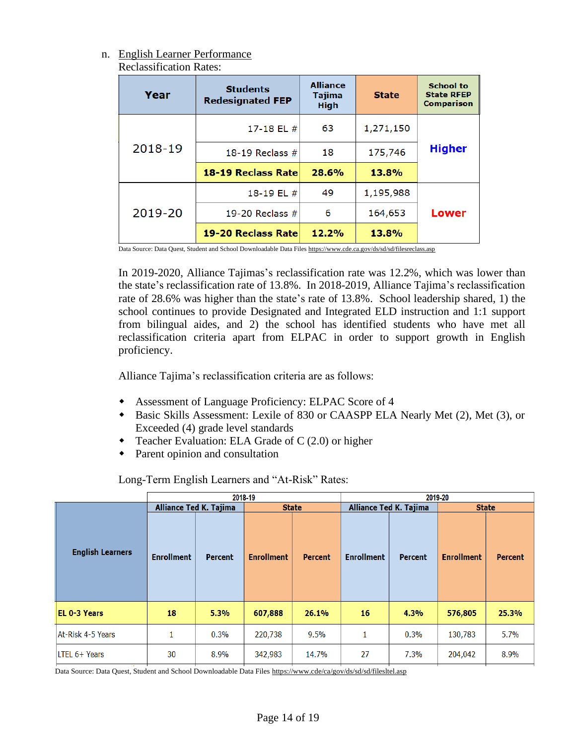### n. English Learner Performance Reclassification Rates:

| Year    | <b>Students</b><br><b>Redesignated FEP</b> | <b>Alliance</b><br><b>Tajima</b><br><b>High</b> | <b>State</b> | <b>School to</b><br><b>State RFEP</b><br>Comparison |  |
|---------|--------------------------------------------|-------------------------------------------------|--------------|-----------------------------------------------------|--|
|         | 17-18 EL $#$                               | 63                                              | 1,271,150    |                                                     |  |
| 2018-19 | 18-19 Reclass $#$                          | 18                                              | 175,746      | <b>Higher</b>                                       |  |
|         | 18-19 Reclass Rate                         | 28.6%                                           |              |                                                     |  |
|         | 18-19 EL $#$                               | 49                                              | 1,195,988    |                                                     |  |
| 2019-20 | 19-20 Reclass $#$                          | 6                                               | 164,653      | Lower                                               |  |
|         | 19-20 Reclass Rate                         | 12.2%                                           | 13.8%        |                                                     |  |

Data Source: Data Quest, Student and School Downloadable Data File[s https://www.cde.ca.gov/ds/sd/sd/filesreclass.asp](https://www.cde.ca.gov/ds/sd/sd/filesreclass.asp)

In 2019-2020, Alliance Tajimas's reclassification rate was 12.2%, which was lower than the state's reclassification rate of 13.8%. In 2018-2019, Alliance Tajima's reclassification rate of 28.6% was higher than the state's rate of 13.8%. School leadership shared, 1) the school continues to provide Designated and Integrated ELD instruction and 1:1 support from bilingual aides, and 2) the school has identified students who have met all reclassification criteria apart from ELPAC in order to support growth in English proficiency.

Alliance Tajima's reclassification criteria are as follows:

- Assessment of Language Proficiency: ELPAC Score of 4
- Basic Skills Assessment: Lexile of 830 or CAASPP ELA Nearly Met (2), Met (3), or Exceeded (4) grade level standards
- Teacher Evaluation: ELA Grade of C (2.0) or higher
- Parent opinion and consultation

Long-Term English Learners and "At-Risk" Rates:

|                         |                               |         | 2018-19           |         |                   |                               | 2019-20           |                |  |
|-------------------------|-------------------------------|---------|-------------------|---------|-------------------|-------------------------------|-------------------|----------------|--|
|                         | <b>Alliance Ted K. Tajima</b> |         | <b>State</b>      |         |                   | <b>Alliance Ted K. Tajima</b> | <b>State</b>      |                |  |
| <b>English Learners</b> | <b>Enrollment</b>             | Percent | <b>Enrollment</b> | Percent | <b>Enrollment</b> | <b>Percent</b>                | <b>Enrollment</b> | <b>Percent</b> |  |
| <b>IEL 0-3 Years</b>    | 18                            | 5.3%    | 607,888           | 26.1%   | 16                | 4.3%                          | 576,805           | 25.3%          |  |
| At-Risk 4-5 Years       |                               | 0.3%    | 220,738           | 9.5%    | 1                 | 0.3%                          | 130,783           | 5.7%           |  |
| LTEL 6+ Years           | 30                            | 8.9%    | 342,983           | 14.7%   | 27                | 7.3%                          | 204,042           | 8.9%           |  |

Data Source: Data Quest, Student and School Downloadable Data Files<https://www.cde/ca/gov/ds/sd/sd/filesltel.asp>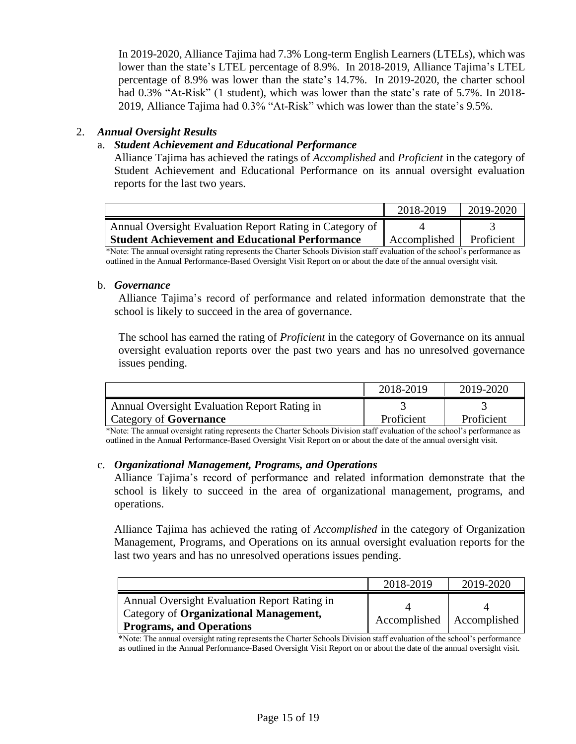In 2019-2020, Alliance Tajima had 7.3% Long-term English Learners (LTELs), which was lower than the state's LTEL percentage of 8.9%. In 2018-2019, Alliance Tajima's LTEL percentage of 8.9% was lower than the state's 14.7%. In 2019-2020, the charter school had 0.3% "At-Risk" (1 student), which was lower than the state's rate of 5.7%. In 2018-2019, Alliance Tajima had 0.3% "At-Risk" which was lower than the state's 9.5%.

# 2. *Annual Oversight Results*

# a. *Student Achievement and Educational Performance*

Alliance Tajima has achieved the ratings of *Accomplished* and *Proficient* in the category of Student Achievement and Educational Performance on its annual oversight evaluation reports for the last two years.

|                                                          | 2018-2019    | 2019-2020  |
|----------------------------------------------------------|--------------|------------|
| Annual Oversight Evaluation Report Rating in Category of |              |            |
| <b>Student Achievement and Educational Performance</b>   | Accomplished | Proficient |

\*Note: The annual oversight rating represents the Charter Schools Division staff evaluation of the school's performance as outlined in the Annual Performance-Based Oversight Visit Report on or about the date of the annual oversight visit.

### b. *Governance*

Alliance Tajima's record of performance and related information demonstrate that the school is likely to succeed in the area of governance.

The school has earned the rating of *Proficient* in the category of Governance on its annual oversight evaluation reports over the past two years and has no unresolved governance issues pending.

|                                                     | 2018-2019  | 2019-2020  |
|-----------------------------------------------------|------------|------------|
| <b>Annual Oversight Evaluation Report Rating in</b> |            |            |
| Category of <b>Governance</b>                       | Proficient | Proficient |

\*Note: The annual oversight rating represents the Charter Schools Division staff evaluation of the school's performance as outlined in the Annual Performance-Based Oversight Visit Report on or about the date of the annual oversight visit.

### c. *Organizational Management, Programs, and Operations*

Alliance Tajima's record of performance and related information demonstrate that the school is likely to succeed in the area of organizational management, programs, and operations.

Alliance Tajima has achieved the rating of *Accomplished* in the category of Organization Management, Programs, and Operations on its annual oversight evaluation reports for the last two years and has no unresolved operations issues pending.

|                                                                                                                           | 2018-2019                   | 2019-2020 |
|---------------------------------------------------------------------------------------------------------------------------|-----------------------------|-----------|
| Annual Oversight Evaluation Report Rating in<br>Category of Organizational Management,<br><b>Programs, and Operations</b> | Accomplished   Accomplished |           |

\*Note: The annual oversight rating represents the Charter Schools Division staff evaluation of the school's performance as outlined in the Annual Performance-Based Oversight Visit Report on or about the date of the annual oversight visit.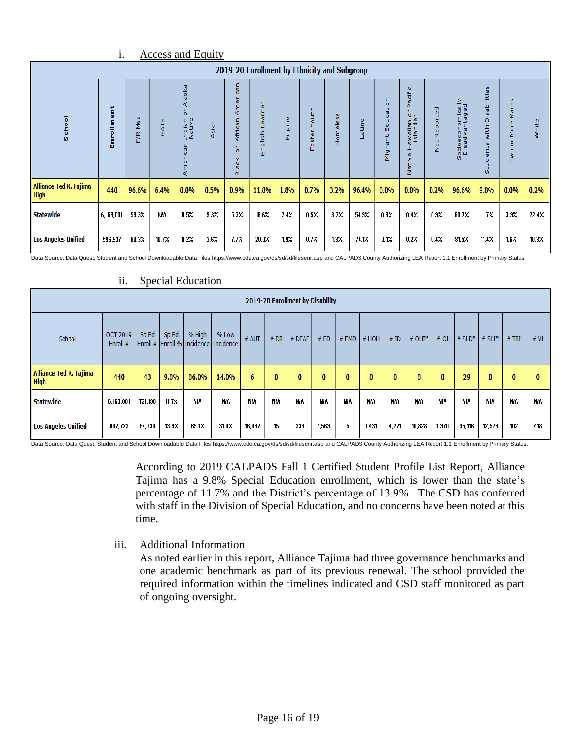|                                              | 1.               |                                                      |           | <b>Access and Equity</b>                       |       |                                      |                                        |              |                                  |                         |       |                       |                                                                        |              |                                     |                                                                    |                                                                               |       |
|----------------------------------------------|------------------|------------------------------------------------------|-----------|------------------------------------------------|-------|--------------------------------------|----------------------------------------|--------------|----------------------------------|-------------------------|-------|-----------------------|------------------------------------------------------------------------|--------------|-------------------------------------|--------------------------------------------------------------------|-------------------------------------------------------------------------------|-------|
| 2019-20 Enrollment by Ethnicity and Subgroup |                  |                                                      |           |                                                |       |                                      |                                        |              |                                  |                         |       |                       |                                                                        |              |                                     |                                                                    |                                                                               |       |
| School                                       | ť<br>w<br>E<br>品 | $\overline{\sigma}$<br>$\pmb{\omega}$<br>Σ<br>ğ<br>m | GATE      | Alaska<br>능<br>Indian<br>Native<br>erican<br>Ę | Asian | n<br>S<br>Ę<br>African<br>ă<br>Black | $\omega$<br>ø<br>lish<br>$\sigma$<br>岳 | ۰<br>Filipin | outh <sub>0</sub><br>≻<br>Foster | $\mathbf{v}$<br>Homeles | atino | c<br>ã<br>ъ<br>Ш<br>Ξ | acific<br>Δ.<br>۰<br>ailar<br>and<br>ø<br>ŠΞ<br>T<br>$\omega$<br>Nativ | Not Reported | Socioeconomically<br>Disad vantaged | abilities<br>ä<br>with<br>nts<br>$\overline{\mathbf{v}}$<br>ಕ<br>å | $\mathbf{u}$<br>$\omega$<br>ũ<br>≃<br>$\circ$<br>Σ<br>$\circ$<br>$\circ$<br>¥ | white |
| Alliance Ted K. Tajima<br>High               | 440              | 96.6%                                                | 6.4%      | $0.0\%$                                        | 0.5%  | 0.9%                                 | 11.8%                                  | 1.8%         | 0.7%                             | 3.2%                    | 96.4% | 0.0%                  | 0.0%                                                                   | 0.2%         | 96.6%                               | 9.8%                                                               | 0.0%                                                                          | 0.2%  |
| <b>Statewide</b>                             | 6,163,001        | 59.3%                                                | <b>NA</b> | 0.5%                                           | 9.3%  | 5.3%                                 | 18.6%                                  | 2.4%         | $0.5\%$                          | 3.2%                    | 54.9% | $0.8\%$               | 0.4%                                                                   | 0.9%         | 60.7%                               | 11.7%                                                              | 3.9%                                                                          | 22.4% |
| <b>Los Angeles Unified</b>                   | 596,937          | 80.3%                                                | 10.7%     | 0.2%                                           | 3.6%  | 7.7%                                 | 20.0%                                  | 1.9%         | $0.7\%$                          | 1.3%                    | 74.1% | 0.1%                  | 0.2%                                                                   | 0.4%         | 81.5%                               | 11.4%                                                              | 1.6%                                                                          | 10.3% |

Data Source: Data Quest, Student and School Downloadable Data File[s https://www.cde.ca.gov/ds/sd/sd/filesenr.asp](https://www.cde.ca.gov/ds/sd/sd/filesenr.asp) and CALPADS County Authorizing LEA Report 1.1 Enrollment by Primary Status

|                                       | 11.                                                                                                                                                                                                                                            |         |       | <b>Special Education</b> |            |            |            |                                  |            |            |            |            |            |            |            |            |            |            |
|---------------------------------------|------------------------------------------------------------------------------------------------------------------------------------------------------------------------------------------------------------------------------------------------|---------|-------|--------------------------|------------|------------|------------|----------------------------------|------------|------------|------------|------------|------------|------------|------------|------------|------------|------------|
|                                       |                                                                                                                                                                                                                                                |         |       |                          |            |            |            | 2019-20 Enrollment by Disability |            |            |            |            |            |            |            |            |            |            |
| School                                | % High<br>Sp Ed<br><b>OCT 2019</b><br>Sp Ed<br>% Low<br># AUT<br>#DB<br>#ED<br>$#$ EMD<br># HOH<br># ID<br>$# OHI*$<br>$\#$ SLD <sup>*</sup><br>$# SLI^*$<br>$#$ TBI<br># DEAF<br>#OI<br>Enroll # Enroll % Incidence   Incidence<br>Enroll $#$ |         |       |                          |            |            |            |                                  |            |            |            |            |            |            |            | # VI       |            |            |
| Alliance Ted K. Tajima<br><b>High</b> | 440                                                                                                                                                                                                                                            | 43      | 9.8%  | 86.0%                    | 14.0%      | 6          | $\bf{0}$   | $\bf{0}$                         | $\bf{0}$   | $\bf{0}$   | $\bf{0}$   | $\bf{0}$   | 8          | $\bf{0}$   | 29         | $\bf{0}$   | $\bf{0}$   | 0          |
| <b>Statewide</b>                      | 6,163,001                                                                                                                                                                                                                                      | 721,198 | 11.7% | <b>N/A</b>               | <b>N/A</b> | <b>N/A</b> | <b>NIA</b> | <b>N/A</b>                       | <b>NIA</b> | <b>N/A</b> | <b>N/A</b> | <b>N/A</b> | <b>N/A</b> | <b>NIA</b> | <b>N/A</b> | <b>N/A</b> | <b>N/A</b> | <b>NIA</b> |
| <b>Los Angeles Unified</b>            | 607,723                                                                                                                                                                                                                                        | 84,730  | 13.37 | 69.1%                    | 31.0%      | 16,067     | 15         | 336                              | 1,569      | 5          | 1,431      | 4,271      | 10,828     | 1,970      | 35,116     | 12,579     | 102        | 418        |

# Data Source: Data Quest, Student and School Downloadable Data File[s https://www.cde.ca.gov/ds/sd/sd/filesenr.asp](https://www.cde.ca.gov/ds/sd/sd/filesenr.asp) and CALPADS County Authorizing LEA Report 1.1 Enrollment by Primary Status.

According to 2019 CALPADS Fall 1 Certified Student Profile List Report, Alliance Tajima has a 9.8% Special Education enrollment, which is lower than the state's percentage of 11.7% and the District's percentage of 13.9%. The CSD has conferred with staff in the Division of Special Education, and no concerns have been noted at this time.

### iii. Additional Information

As noted earlier in this report, Alliance Tajima had three governance benchmarks and one academic benchmark as part of its previous renewal. The school provided the required information within the timelines indicated and CSD staff monitored as part of ongoing oversight.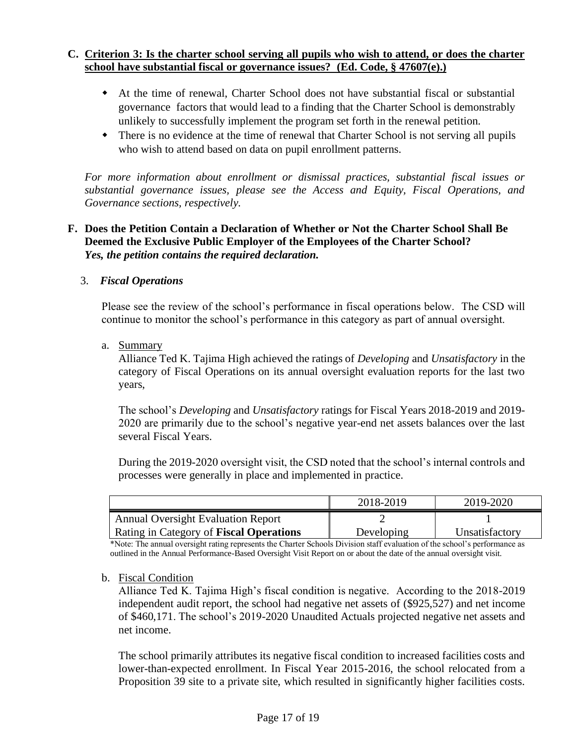# **C. Criterion 3: Is the charter school serving all pupils who wish to attend, or does the charter school have substantial fiscal or governance issues? (Ed. Code, § 47607(e).)**

- At the time of renewal, Charter School does not have substantial fiscal or substantial governance factors that would lead to a finding that the Charter School is demonstrably unlikely to successfully implement the program set forth in the renewal petition.
- There is no evidence at the time of renewal that Charter School is not serving all pupils who wish to attend based on data on pupil enrollment patterns.

*For more information about enrollment or dismissal practices, substantial fiscal issues or substantial governance issues, please see the Access and Equity, Fiscal Operations, and Governance sections, respectively.* 

# **F. Does the Petition Contain a Declaration of Whether or Not the Charter School Shall Be Deemed the Exclusive Public Employer of the Employees of the Charter School?**  *Yes, the petition contains the required declaration.*

# 3. *Fiscal Operations*

Please see the review of the school's performance in fiscal operations below. The CSD will continue to monitor the school's performance in this category as part of annual oversight.

a. Summary

Alliance Ted K. Tajima High achieved the ratings of *Developing* and *Unsatisfactory* in the category of Fiscal Operations on its annual oversight evaluation reports for the last two years,

The school's *Developing* and *Unsatisfactory* ratings for Fiscal Years 2018-2019 and 2019- 2020 are primarily due to the school's negative year-end net assets balances over the last several Fiscal Years.

During the 2019-2020 oversight visit, the CSD noted that the school's internal controls and processes were generally in place and implemented in practice.

|                                                | 2018-2019  | 2019-2020      |
|------------------------------------------------|------------|----------------|
| <b>Annual Oversight Evaluation Report</b>      |            |                |
| <b>Rating in Category of Fiscal Operations</b> | Developing | Unsatisfactory |

\*Note: The annual oversight rating represents the Charter Schools Division staff evaluation of the school's performance as outlined in the Annual Performance-Based Oversight Visit Report on or about the date of the annual oversight visit.

### b. Fiscal Condition

Alliance Ted K. Tajima High's fiscal condition is negative. According to the 2018-2019 independent audit report, the school had negative net assets of (\$925,527) and net income of \$460,171. The school's 2019-2020 Unaudited Actuals projected negative net assets and net income.

The school primarily attributes its negative fiscal condition to increased facilities costs and lower-than-expected enrollment. In Fiscal Year 2015-2016, the school relocated from a Proposition 39 site to a private site, which resulted in significantly higher facilities costs.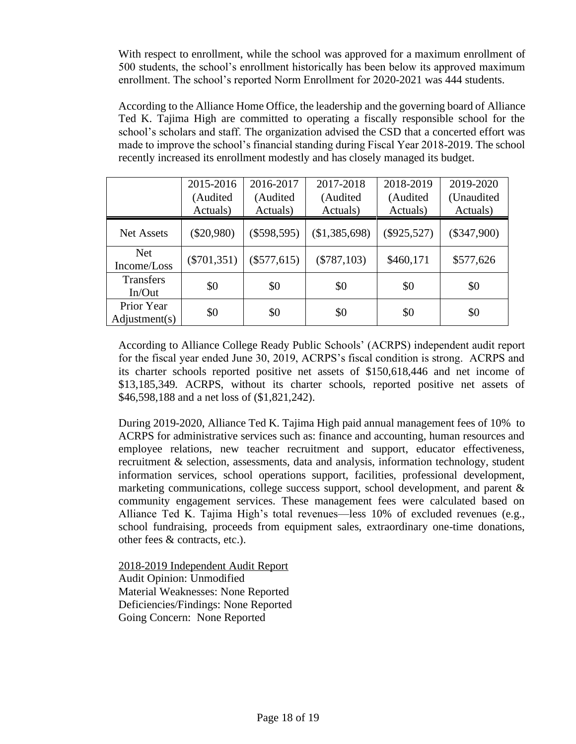With respect to enrollment, while the school was approved for a maximum enrollment of 500 students, the school's enrollment historically has been below its approved maximum enrollment. The school's reported Norm Enrollment for 2020-2021 was 444 students.

According to the Alliance Home Office, the leadership and the governing board of Alliance Ted K. Tajima High are committed to operating a fiscally responsible school for the school's scholars and staff. The organization advised the CSD that a concerted effort was made to improve the school's financial standing during Fiscal Year 2018-2019. The school recently increased its enrollment modestly and has closely managed its budget.

|                             | 2015-2016<br>(Audited<br>Actuals) | 2016-2017<br>(Audited<br>Actuals) | 2017-2018<br>(Audited<br>Actuals) | 2018-2019<br>(Audited<br>Actuals) | 2019-2020<br>(Unaudited<br>Actuals) |
|-----------------------------|-----------------------------------|-----------------------------------|-----------------------------------|-----------------------------------|-------------------------------------|
| <b>Net Assets</b>           | $(\$20,980)$                      | $(\$598,595)$                     | (\$1,385,698)                     | $(\$925,527)$                     | $(\$347,900)$                       |
| <b>Net</b><br>Income/Loss   | $(\$701,351)$                     | $(\$577,615)$                     | $(\$787,103)$                     | \$460,171                         | \$577,626                           |
| <b>Transfers</b><br>In/Out  | \$0                               | \$0                               | \$0                               | \$0                               | \$0                                 |
| Prior Year<br>Adjustment(s) | \$0                               | \$0                               | \$0                               | \$0                               | \$0                                 |

According to Alliance College Ready Public Schools' (ACRPS) independent audit report for the fiscal year ended June 30, 2019, ACRPS's fiscal condition is strong. ACRPS and its charter schools reported positive net assets of \$150,618,446 and net income of \$13,185,349. ACRPS, without its charter schools, reported positive net assets of \$46,598,188 and a net loss of (\$1,821,242).

During 2019-2020, Alliance Ted K. Tajima High paid annual management fees of 10% to ACRPS for administrative services such as: finance and accounting, human resources and employee relations, new teacher recruitment and support, educator effectiveness, recruitment & selection, assessments, data and analysis, information technology, student information services, school operations support, facilities, professional development, marketing communications, college success support, school development, and parent & community engagement services. These management fees were calculated based on Alliance Ted K. Tajima High's total revenues—less 10% of excluded revenues (e.g., school fundraising, proceeds from equipment sales, extraordinary one-time donations, other fees & contracts, etc.).

2018-2019 Independent Audit Report Audit Opinion: Unmodified Material Weaknesses: None Reported Deficiencies/Findings: None Reported Going Concern: None Reported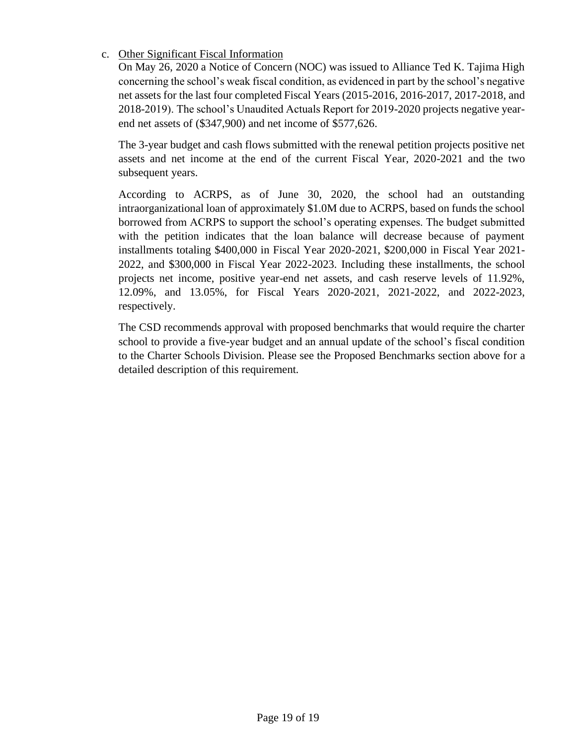# c. Other Significant Fiscal Information

On May 26, 2020 a Notice of Concern (NOC) was issued to Alliance Ted K. Tajima High concerning the school's weak fiscal condition, as evidenced in part by the school's negative net assets for the last four completed Fiscal Years (2015-2016, 2016-2017, 2017-2018, and 2018-2019). The school's Unaudited Actuals Report for 2019-2020 projects negative yearend net assets of (\$347,900) and net income of \$577,626.

The 3-year budget and cash flows submitted with the renewal petition projects positive net assets and net income at the end of the current Fiscal Year, 2020-2021 and the two subsequent years.

According to ACRPS, as of June 30, 2020, the school had an outstanding intraorganizational loan of approximately \$1.0M due to ACRPS, based on funds the school borrowed from ACRPS to support the school's operating expenses. The budget submitted with the petition indicates that the loan balance will decrease because of payment installments totaling \$400,000 in Fiscal Year 2020-2021, \$200,000 in Fiscal Year 2021- 2022, and \$300,000 in Fiscal Year 2022-2023. Including these installments, the school projects net income, positive year-end net assets, and cash reserve levels of 11.92%, 12.09%, and 13.05%, for Fiscal Years 2020-2021, 2021-2022, and 2022-2023, respectively.

The CSD recommends approval with proposed benchmarks that would require the charter school to provide a five-year budget and an annual update of the school's fiscal condition to the Charter Schools Division. Please see the Proposed Benchmarks section above for a detailed description of this requirement.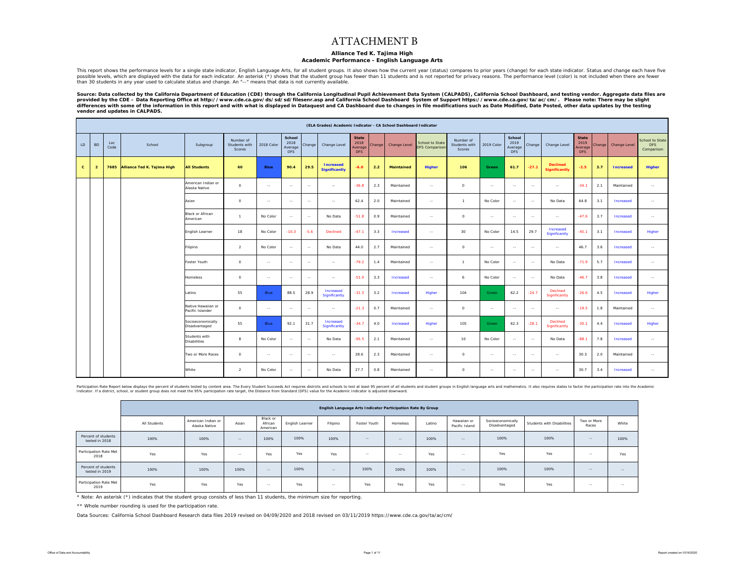#### ATTACHMENT B

#### **Alliance Ted K. Tajima High**

#### **Academic Performance - English Language Arts**

This report shows the performance levels for a single state indicator, English Language Arts, for all student groups. It also shows how the current year (status) compares to prior years (change) for each state indicator. S than 30 students in any year used to calculate status and change. An "--" means that data is not currently available.

Source: Data collected by the California Department of Education (CDE) through the California Longitudinal Pupil Achievement Data System (CALPADS), California School Dashboard, and testing vendor. Aggregate data files are *provided by the CDE – Data Reporting Office at http://www.cde.ca.gov/ds/sd/sd/filesenr.asp and California School Dashboard System of Support https://www.cde.ca.gov/ta/ac/cm/. Please note: There may be slight*  .<br>differences with some of the information in this report and with what is displayed in Dataquest and CA Dashboard due to changes in file modifications such as Date Modified, Date Posted, other data updates by the testing *vendor and updates in CALPADS.* 

|              |                |             |                             |                                        |                                      |            |                                         |        | (ELA Grades) Academic Indicator - CA School Dashboard Indicator |                                               |        |                   |                                          |                                      |              |                                         |               |                                         |                                               |        |                  |                                      |
|--------------|----------------|-------------|-----------------------------|----------------------------------------|--------------------------------------|------------|-----------------------------------------|--------|-----------------------------------------------------------------|-----------------------------------------------|--------|-------------------|------------------------------------------|--------------------------------------|--------------|-----------------------------------------|---------------|-----------------------------------------|-----------------------------------------------|--------|------------------|--------------------------------------|
| LD           | <b>BD</b>      | Loc<br>Code | School                      | Subgroup                               | Number of<br>Students with<br>Scores | 2018 Color | School<br>2018<br>Average<br><b>DFS</b> | Change | Change Level                                                    | <b>State</b><br>2018<br>Average<br><b>DFS</b> | Change | Change Level      | School to State<br><b>DFS Comparison</b> | Number of<br>Students with<br>Scores | 2019 Color   | School<br>2019<br>Average<br><b>DFS</b> | Change        | Change Level                            | <b>State</b><br>2019<br>Average<br><b>DFS</b> | Change | Change Level     | School to State<br>DFS<br>Comparison |
| $\mathbf{c}$ | $\overline{2}$ | 7685        | Alliance Ted K. Tajima High | <b>All Students</b>                    | 60                                   | Blue       | 90.4                                    | 29.5   | <b>Increased</b><br><b>Significantly</b>                        | $-6.0$                                        | 2.2    | <b>Maintained</b> | <b>Higher</b>                            | 106                                  | <b>Green</b> | 61.7                                    | $-27.1$       | <b>Declined</b><br><b>Significantly</b> | $-2.5$                                        | 3.7    | <b>Increased</b> | Higher                               |
|              |                |             |                             | American Indian or<br>Alaska Native    | $\circ$                              | $\sim$     | $\sim$                                  | $\sim$ | $\sim$                                                          | $-36.8$                                       | 2.3    | Maintained        | $\sim$                                   | $\circ$                              | $\sim$       | $\sim$                                  | $\sim$        | $\sim$                                  | $-34.1$                                       | 2.1    | Maintained       | $\sim$                               |
|              |                |             |                             | Asian                                  | $\circ$                              | $\sim$     | $\sim$                                  | $\sim$ | $\sim$                                                          | 62.4                                          | 2.0    | Maintained        | $\sim$ $\sim$                            | $\sim$                               | No Color     | $\sim$                                  | $\sim$        | No Data                                 | 64.8                                          | 3.1    | Increased        | $\sim$ $\sim$                        |
|              |                |             |                             | <b>Black or African</b><br>American    | 1.                                   | No Color   | $\sim$                                  | $\sim$ | No Data                                                         | $-51.8$                                       | 0.9    | Maintained        | $\sim$                                   | $\circ$                              | $\sim$       | $\sim$                                  | $\sim$        | $\sim$                                  | $-476$                                        | 3.7    | Increased        | $\sim$                               |
|              |                |             |                             | English Learner                        | 18                                   | No Color   | $-10.3$                                 | $-5.6$ | Declined                                                        | $-47.1$                                       | 3.3    | Increased         | $\sim$                                   | 30                                   | No Color     | 14.5                                    | 29.7          | Increased<br>Significantly              | $-45.1$                                       | 3.1    | Increased        | Higher                               |
|              |                |             |                             | Filipino                               | $\overline{2}$                       | No Color   | $\sim$                                  | $\sim$ | No Data                                                         | 44.0                                          | 2.7    | Maintained        | $\sim$                                   | $\circ$                              | $\sim$       | $\sim$                                  | $\sim$        | $\sim$ $\sim$                           | 46.7                                          | 3.6    | Increased        | $\sim$ $\sim$                        |
|              |                |             |                             | Foster Youth                           | $\circ$                              | $\sim$     | $\sim$                                  | $\sim$ | $\sim$                                                          | $-79.2$                                       | 1.4    | Maintained        | $\sim$                                   | $\overline{1}$                       | No Color     | $\sim$                                  | $\sim$        | No Data                                 | $-71.9$                                       | 5.7    | Increased        | $\sim$                               |
|              |                |             |                             | Homeless                               | $\circ$                              | $\sim$     | $\sim$                                  | $\sim$ | $\ldots$                                                        | $-51.0$                                       | 3.3    | Increased         | $\sim$                                   | 6                                    | No Color     | $\sim$                                  | $\sim$        | No Data                                 | $-46.7$                                       | 3.8    | Increased        | $\sim$                               |
|              |                |             |                             | Latino                                 | 55                                   | Blue       | 88.5                                    | 28.9   | Increased<br>Significantly                                      | $-31.3$                                       | 3.2    | Increased         | Higher                                   | 104                                  | Green        | 62.2                                    | $-24.7$       | Declined<br>Significantly               | $-26.6$                                       | 4.5    | Increased        | Higher                               |
|              |                |             |                             | Native Hawaiian or<br>Pacific Islander | $\circ$                              | $\sim$     | $\sim$                                  | $\sim$ | $\sim$                                                          | $-21.3$                                       | 0.7    | Maintained        | $\sim$ $\sim$                            | $\circ$                              | $\sim$       | $\sim$                                  | $\sim$        | $\sim$                                  | $-19.5$                                       | 1.8    | Maintained       | $\sim$ $\sim$                        |
|              |                |             |                             | Socioeconomically<br>Disadvantaged     | 55                                   | Blue       | 92.1                                    | 31.7   | Increased<br>Significantly                                      | $-34.7$                                       | 4.0    | Increased         | Higher                                   | 105                                  | Green        | 62.3                                    | $-28.1$       | <b>Declined</b><br>Significantly        | $-30.1$                                       | 4.4    | Increased        | Higher                               |
|              |                |             |                             | Students with<br><b>Disabilities</b>   | $\mathbf{R}$                         | No Color   | $\sim$                                  | $\sim$ | No Data                                                         | $-95.5$                                       | 2.1    | Maintained        | $\sim$ $\sim$                            | 10                                   | No Color     | $\sim$                                  | $\sim$        | No Data                                 | $-88.1$                                       | 7.8    | Increased        | $\sim$                               |
|              |                |             |                             | Two or More Races                      | $\circ$                              | $\sim$     | $\sim$                                  | $\sim$ | $\sim$                                                          | 28.6                                          | 2.3    | Maintained        | $\sim$                                   | $\circ$                              | $\sim$       | $\sim$                                  | $\sim$        | $\sim$                                  | 30.3                                          | 2.0    | Maintained       | $\sim$                               |
|              |                |             |                             | White                                  | <sup>2</sup>                         | No Color   | $\sim$                                  | $\sim$ | No Data                                                         | 27.7                                          | 0.8    | Maintained        | $\sim$ $\sim$                            | $\circ$                              | $\sim$       | $\sim$                                  | $\sim$ $\sim$ | $\sim$ $\sim$                           | 30.7                                          | 3.4    | Increased        | $\sim$                               |

Participation Rate Report below displays the percent of students tested by content area. The Every Student Succeeds Act requires districts and schools to test at least 95 percent of all students and subdent groups in Engli Indicator. If a district, school, or student group does not meet the 95% participation rate target, the Distance from Standard (DFS) value for the Academic Indicator is adjusted downward.

|                                       |              |                                     |        |                                 |                 |          | English Language Arts Indicator Participation Rate By Group |                                                                                                |        |                               |                                    |                            |                      |        |
|---------------------------------------|--------------|-------------------------------------|--------|---------------------------------|-----------------|----------|-------------------------------------------------------------|------------------------------------------------------------------------------------------------|--------|-------------------------------|------------------------------------|----------------------------|----------------------|--------|
|                                       | All Students | American Indian or<br>Alaska Native | Asian  | Black or<br>African<br>American | English Learner | Filipino | Foster Youth                                                | Homeless                                                                                       | Latino | Hawaiian or<br>Pacific Island | Socioeconomically<br>Disadvantaged | Students with Disabilities | Two or More<br>Races | White  |
| Percent of students<br>tested in 2018 | 100%         | 100%                                | $- -$  | 100%                            | 100%            | 100%     | $-$                                                         | $\frac{1}{2} \left( \frac{1}{2} \right) \left( \frac{1}{2} \right) \left( \frac{1}{2} \right)$ | 100%   | $\sim$ $-$                    | 100%                               | 100%                       | $-$                  | 100%   |
| Participation Rate Met<br>2018        | Yes          | Yes                                 | $\sim$ | Yes                             | Yes             | Yes      | $\sim$                                                      | $\sim$                                                                                         | Yes    | --                            | Yes                                | Yes                        | $\sim$ $-$           | Yes    |
| Percent of students<br>tested in 2019 | 100%         | 100%                                | 100%   | $\sim$                          | 100%            | $\sim$   | 100%                                                        | 100%                                                                                           | 100%   | $\sim$                        | 100%                               | 100%                       | $\sim$ $-$           | $\sim$ |
| Participation Rate Met<br>2019        | Yes          | Yes                                 | Yes    | $\sim$                          | Yes             | $\sim$   | Yes                                                         | Yes                                                                                            | Yes    | $\sim$ $-$                    | Yes                                | Yes                        | $\sim$ $-$           | $\sim$ |

\* Note: An asterisk (\*) indicates that the student group consists of less than 11 students, the minimum size for reporting.

\*\* Whole number rounding is used for the participation rate.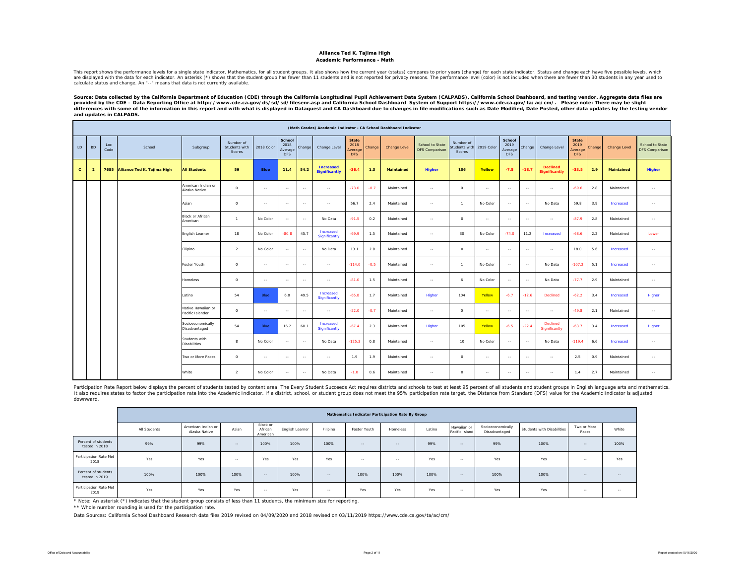#### **Alliance Ted K. Tajima High Academic Performance - Math**

This report shows the performance levels for a single state indicator, Mathematics, for all student groups. It also shows how the current year (status) compares to prior years (enable between than 10 suddents in any vear u calculate status and change. An "--" means that data is not currently available.

Source: Data collected by the California Department of Education (CDE) through the California Longitudinal Pupil Achievement Data System (CALPADS), California School Dashboard, and testing vendor. Aggregate data files are<br> differences with some of the information in this report and with what is displayed in Dataquest and CA Dashboard due to changes in file modifications such as Date Modified, Date Posted, other data updates by the testing ve *and updates in CALPADS.* 

|              |                |             |                             |                                        |                                      |            |                                         |        |                                          |                                               |        | (Math Grades) Academic Indicator - CA School Dashboard Indicator |                                          |                                            |               |                                         |         |                                         |                                               |        |                   |                                          |
|--------------|----------------|-------------|-----------------------------|----------------------------------------|--------------------------------------|------------|-----------------------------------------|--------|------------------------------------------|-----------------------------------------------|--------|------------------------------------------------------------------|------------------------------------------|--------------------------------------------|---------------|-----------------------------------------|---------|-----------------------------------------|-----------------------------------------------|--------|-------------------|------------------------------------------|
| LD           | <b>BD</b>      | Loc<br>Code | School                      | Subgroup                               | Number of<br>Students with<br>Scores | 2018 Color | School<br>2018<br>Average<br><b>DFS</b> | Change | Change Level                             | <b>State</b><br>2018<br>Average<br><b>DFS</b> | Change | Change Level                                                     | School to State<br><b>DFS Comparison</b> | Number of<br>tudents with<br><b>Scores</b> | 2019 Color    | School<br>2019<br>Average<br><b>DFS</b> | Change  | Change Level                            | <b>State</b><br>2019<br>Average<br><b>DFS</b> | Change | Change Level      | School to State<br><b>DFS Comparison</b> |
| $\mathbf{c}$ | $\overline{2}$ | 7685        | Alliance Ted K. Tajima High | <b>All Students</b>                    | 59                                   | Blue       | 11.4                                    | 54.2   | <b>Increased</b><br><b>Significantly</b> | $-36.4$                                       | 1.3    | <b>Maintained</b>                                                | <b>Higher</b>                            | 106                                        | Yellow        | $-7.5$                                  | $-18.7$ | <b>Declined</b><br><b>Significantly</b> | $-33.5$                                       | 2.9    | <b>Maintained</b> | Higher                                   |
|              |                |             |                             | American Indian or<br>Alaska Native    | $\Omega$                             | $\sim$     | $\sim$                                  | $\sim$ | $\sim$                                   | $-73.0$                                       | $-0.7$ | Maintained                                                       | $\sim$                                   | $\Omega$                                   | $\sim$ $\sim$ | $\sim$                                  | $\sim$  | $\sim$ $\sim$                           | $-69.6$                                       | 2.8    | Maintained        | $\sim$                                   |
|              |                |             |                             | Asian                                  | $\circ$                              | $\sim$     | $\sim$                                  | $\sim$ | $\sim$                                   | 56.7                                          | 2.4    | Maintained                                                       | $\sim$                                   | $\overline{1}$                             | No Color      | $\sim$                                  | $\sim$  | No Data                                 | 59.8                                          | 3.9    | Increased         | $\sim$                                   |
|              |                |             |                             | <b>Black or African</b><br>American    | $\mathbf{A}$                         | No Color   | $\sim$                                  | $\sim$ | No Data                                  | $-91.5$                                       | 0.2    | Maintained                                                       | $\sim$                                   | $\circ$                                    | $\sim$        | $\sim$                                  | $\sim$  | $\sim$                                  | $-87.9$                                       | 2.8    | Maintained        | $\sim$                                   |
|              |                |             |                             | English Learner                        | 18                                   | No Color   | $-80.8$                                 | 45.7   | Increased<br>Significantly               | $-69.9$                                       | 1.5    | Maintained                                                       | $\sim$                                   | 30                                         | No Color      | $-74.0$                                 | 11.2    | Increased                               | $-68.6$                                       | 2.2    | Maintained        | Lower                                    |
|              |                |             |                             | Filipino                               | $\overline{2}$                       | No Color   | $\sim$                                  | $\sim$ | No Data                                  | 13.1                                          | 2.8    | Maintained                                                       | $\sim$                                   | $\circ$                                    | $\sim$        | $\sim$                                  | $\sim$  | $\sim$ $\sim$                           | 18.0                                          | 5.6    | Increased         | $\sim$                                   |
|              |                |             |                             | Foster Youth                           | $\circ$                              | $\sim$     | $\sim$                                  | $\sim$ | $\sim$                                   | $-114.0$                                      | $-0.5$ | Maintained                                                       | $\sim$                                   | $\overline{1}$                             | No Color      | $\sim$                                  | $\sim$  | No Data                                 | $-107.2$                                      | 5.1    | Increased         | $\sim$                                   |
|              |                |             |                             | <b>Homeless</b>                        | $\circ$                              | $\sim$     | $\sim$                                  | $\sim$ | $\sim$                                   | $-81.0$                                       | 1.5    | Maintained                                                       | $\sim$                                   | 6                                          | No Color      | $\sim$                                  | $\sim$  | No Data                                 | $-77.7$                                       | 2.9    | Maintained        | $\sim$                                   |
|              |                |             |                             | Latino                                 | 54                                   | Blue       | 6.0                                     | 49.5   | Increased<br>Significantly               | $-65.8$                                       | 1.7    | Maintained                                                       | Higher                                   | 104                                        | Yellow        | $-6.7$                                  | $-12.6$ | Declined                                | $-62.2$                                       | 3.4    | Increased         | Higher                                   |
|              |                |             |                             | Native Hawaiian or<br>Pacific Islander | $\circ$                              | $\sim$     | $\sim$ $\sim$                           | $\sim$ | $\sim$ $\sim$                            | $-52.0$                                       | $-0.7$ | Maintained                                                       | $\sim$                                   | $\circ$                                    | $\sim$ $\sim$ | $\sim$                                  | $\sim$  | $\sim$ $\sim$                           | $-49.8$                                       | 2.1    | Maintained        | $\sim$                                   |
|              |                |             |                             | Socioeconomically<br>Disadvantaged     | 54                                   | Blue       | 16.2                                    | 60.1   | Increased<br>Significantly               | $-67.4$                                       | 2.3    | Maintained                                                       | Higher                                   | 105                                        | Yellow        | $-6.5$                                  | $-22.4$ | <b>Declined</b><br>Significantly        | $-63.7$                                       | 3.4    | Increased         | Higher                                   |
|              |                |             |                             | Students with<br><b>Disabilities</b>   | 8                                    | No Color   | $\sim$ $\sim$                           | $\sim$ | No Data                                  | $-125.3$                                      | 0.8    | Maintained                                                       | $\sim$                                   | 10                                         | No Color      | $\sim$                                  | $\sim$  | No Data                                 | $-119.4$                                      | 6.6    | Increased         | $\sim$                                   |
|              |                |             |                             | Two or More Races                      | $\Omega$                             | $\sim$     | $\sim$                                  | $\sim$ | $\sim$                                   | 1.9                                           | 1.9    | Maintained                                                       | $\sim$                                   | $\circ$                                    | $\sim$        | $\sim$                                  | $\sim$  | $\sim$                                  | 2.5                                           | 0.9    | Maintained        | $\ldots$                                 |
|              |                |             |                             | White                                  | $\overline{a}$                       | No Color   | $\sim$                                  | $\sim$ | No Data                                  | $-1.0$                                        | 0.6    | Maintained                                                       | $\sim$                                   | $\circ$                                    | $\sim$        | $\sim$                                  | $\sim$  | $\sim$                                  | 1.4                                           | 2.7    | Maintained        | $\sim$                                   |

Participation Rate Report below displays the percent of students tested by content area. The Every Student Succeeds Act requires districts and schools to test at least 95 percent of all students and student groups in Engli It also requires states to factor the participation rate into the Academic Indicator. If a district, school, or student group does not meet the 95% participation rate target, the Distance from Standard (DFS) value for the downward.

|                                       |              |                                     |        |                                 |                 |               | <b>Mathematics Indicator Participation Rate By Group</b> |            |        |                               |                                    |                            |                      |               |
|---------------------------------------|--------------|-------------------------------------|--------|---------------------------------|-----------------|---------------|----------------------------------------------------------|------------|--------|-------------------------------|------------------------------------|----------------------------|----------------------|---------------|
|                                       | All Students | American Indian or<br>Alaska Native | Asian  | Black or<br>African<br>American | English Learner | Filipino      | Foster Youth                                             | Homeless   | Latino | Hawaiian or<br>Pacific Island | Socioeconomically<br>Disadvantaged | Students with Disabilities | Two or More<br>Races | White         |
| Percent of students<br>tested in 2018 | 99%          | 99%                                 | $\sim$ | 100%                            | 100%            | 100%          | $\sim$ $-$                                               | $\sim$     | 99%    | $\sim$                        | 99%                                | 100%                       | $\sim$ $-$           | 100%          |
| Participation Rate Met<br>2018        | Yes          | Yes                                 | $\sim$ | Yes                             | Yes             | Yes           | $\sim$                                                   | $\sim$ $-$ | Yes    | $\sim$ $-$                    | Yes                                | Yes                        | $\sim$ $-$           | <b>Yes</b>    |
| Percent of students<br>tested in 2019 | 100%         | 100%                                | 100%   | $\sim$                          | 100%            | $\sim$ $-$    | 100%                                                     | 100%       | 100%   | $\sim$ $-$                    | 100%                               | 100%                       | $\sim$ $-$           | $\sim$ $-$    |
| Participation Rate Met<br>2019        | Yes          | Yes                                 | Yes    | $\sim$                          | Yes             | $\sim$ $\sim$ | Yes                                                      | Yes        | Yes    | $\sim$ $-$                    | Yes                                | Yes                        | $\sim$ $-$           | $\sim$ $\sim$ |

\* Note: An asterisk (\*) indicates that the student group consists of less than 11 students, the minimum size for reporting.

\*\* Whole number rounding is used for the participation rate.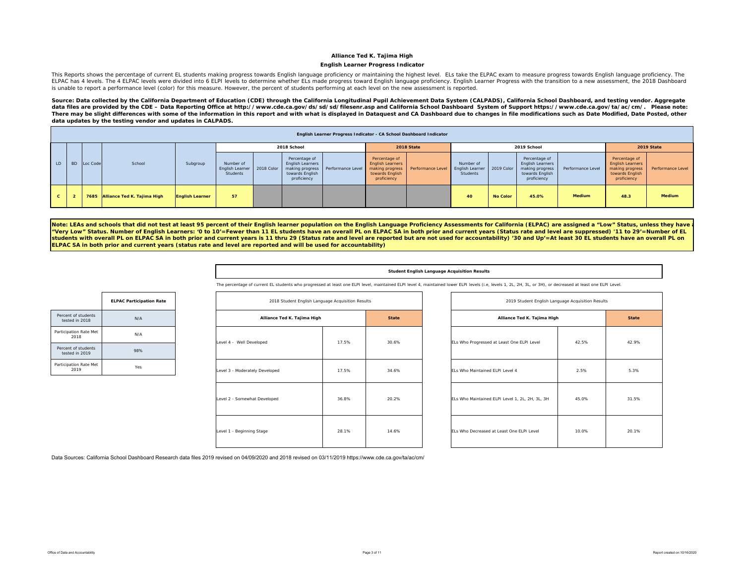#### **English Learner Progress Indicator**

This Reports shows the percentage of current EL students making progress towards English language proficiency or maintaining the highest level. ELs take the ELPAC exam to measure progress towards English language proficien ELPAC has 4 levels. The 4 ELPAC levels were divided into 6 ELPI levels to determine whether ELs made progress toward English language proficiency. English Learner Progress with the transition to a new assessment, the 2018 is unable to report a performance level (color) for this measure. However, the percent of students performing at each level on the new assessment is reported.

Source: Data collected by the California Department of Education (CDE) through the California Longitudinal Pupil Achievement Data System (CALPADS), California School Dashboard, and testing vendor. Aggregate data files are provided by the CDE - Data Reporting Office at http://www.cde.ca.gov/ds/sd/sd/filesenr.asp and California School Dashboard System of Support https://www.cde.ca.gov/ta/ac/cm/. Please note: *There may be slight differences with some of the information in this report and with what is displayed in Dataquest and CA Dashboard due to changes in file modifications such as Date Modified, Date Posted, other data updates by the testing vendor and updates in CALPADS.* 

|              |           |          |                                  |                        |                                                       |                                                                            | English Learner Progress Indicator - CA School Dashboard Indicator |                                                                                               |                   |                                                        |                 |                                                                                               |                   |                                                                                               |                   |
|--------------|-----------|----------|----------------------------------|------------------------|-------------------------------------------------------|----------------------------------------------------------------------------|--------------------------------------------------------------------|-----------------------------------------------------------------------------------------------|-------------------|--------------------------------------------------------|-----------------|-----------------------------------------------------------------------------------------------|-------------------|-----------------------------------------------------------------------------------------------|-------------------|
|              |           |          |                                  |                        |                                                       | 2018 School                                                                |                                                                    |                                                                                               | 2018 State        |                                                        |                 | 2019 School                                                                                   |                   |                                                                                               | 2019 State        |
| LD.          | <b>BD</b> | Loc Code | School                           | Subgroup               | Number of<br>English Learner   2018 Color<br>Students | Percentage of<br><b>English Learners</b><br>towards English<br>proficiency | making progress Performance Level                                  | Percentage of<br><b>English Learners</b><br>making progress<br>towards English<br>proficiency | Performance Level | Number of<br><b>English Learner</b><br><b>Students</b> | 2019 Color      | Percentage of<br><b>English Learners</b><br>making progress<br>towards English<br>proficiency | Performance Level | Percentage of<br><b>English Learners</b><br>making progress<br>towards English<br>proficiency | Performance Level |
| $\mathbf{c}$ |           |          | 7685 Alliance Ted K. Tajima High | <b>English Learner</b> | 57                                                    |                                                                            |                                                                    |                                                                                               |                   | 40                                                     | <b>No Color</b> | 45.0%                                                                                         | <b>Medium</b>     | 48.3                                                                                          | <b>Medium</b>     |

Note: LEAs and schools that did not test at least 95 percent of their English learner population on the English Language Proficiency Assessments for California (ELPAC) are assigned a "Low" Status, unless they have **"Very Low" Status. Number of English Learners: '0 to 10'=Fewer than 11 EL students have an overall PL on ELPAC SA in both prior and current years (Status rate and level are suppressed) '11 to 29'=Number of EL students with overall PL on ELPAC SA in both prior and current years is 11 thru 29 (Status rate and level are reported but are not used for accountability) '30 and Up'=At least 30 EL students have an overall PL on ELPAC SA in both prior and current years (status rate and level are reported and will be used for accountability)** 

#### **Student English Language Acquisition Results**

The percentage of current EL students who progressed at least one ELPI level, maintained ELPI level 4, maintained lower ELPI levels (i.e, levels 1, 2L, 2H, 3L, or 3H), or decreased at least one ELPI Level

|                                       | <b>ELPAC Participation Rate</b> |
|---------------------------------------|---------------------------------|
| Percent of students<br>tested in 2018 | N/A                             |
| Participation Rate Met<br>2018        | N/A                             |
| Percent of students<br>tested in 2019 | 98%                             |
| Participation Rate Met<br>2019        | Yes                             |

| 2018 Student English Language Acquisition Results |       |              |
|---------------------------------------------------|-------|--------------|
| Alliance Ted K. Tajima High                       |       | <b>State</b> |
| Level 4 - Well Developed                          | 17.5% | 30.6%        |
| Level 3 - Moderately Developed                    | 17.5% | 34.6%        |
| Level 2 - Somewhat Developed                      | 36.8% | 20.2%        |
| Level 1 - Beginning Stage                         | 28.1% | 14.6%        |

| 2018 Student English Language Acquisition Results |                |              | 2019 Student English Language Acquisition Results |       |              |
|---------------------------------------------------|----------------|--------------|---------------------------------------------------|-------|--------------|
| Alliance Ted K. Tajima High                       |                | <b>State</b> | Alliance Ted K. Tajima High                       |       | <b>State</b> |
| ped                                               | 17.5%          | 30.6%        | ELs Who Progressed at Least One ELPI Level        | 42.5% | 42.9%        |
| eveloped                                          | 17.5%<br>34.6% |              | ELs Who Maintained ELPI Level 4                   | 2.5%  | 5.3%         |
| eveloped                                          | 36.8%          | 20.2%        | ELs Who Maintained ELPI Level 1, 2L, 2H, 3L, 3H   | 45.0% | 31.5%        |
| age                                               | 28.1%          | 14.6%        | ELs Who Decreased at Least One ELPI Level         | 10.0% | 20.1%        |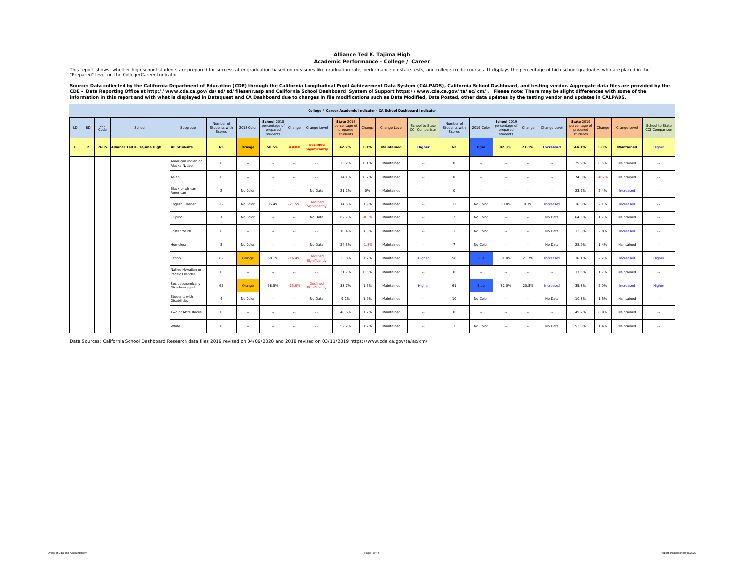#### **Academic Performance - College / Career**

This report shows whether high school students are prepared for success after graduation based on measures like graduation rate, performance on state tests, and college credit courses. It displays the percentage of high sc "Prepared" level on the College/Career Indicator.

Source: Data collected by the California Department of Education (CDE) through the California Longitudinal Pupil Achievement Data System (CALPADS), California School Dashboard, and testing vendor. Aggregate data files are

|              |                |             |                             |                                        |                                      |            |                                                      |          |                                         |                                                            |         | College / Career Academic Indicator - CA School Dashboard Indicator |                                                 |                                      |             |                                                             |                |                  |                                                            |         |                   |                                   |
|--------------|----------------|-------------|-----------------------------|----------------------------------------|--------------------------------------|------------|------------------------------------------------------|----------|-----------------------------------------|------------------------------------------------------------|---------|---------------------------------------------------------------------|-------------------------------------------------|--------------------------------------|-------------|-------------------------------------------------------------|----------------|------------------|------------------------------------------------------------|---------|-------------------|-----------------------------------|
| LD.          | <b>BD</b>      | Loc<br>Code | School                      | Subgroup                               | Number of<br>Students with<br>Scores | 2018 Color | School 2018<br>percentage of<br>prepared<br>students | Change   | Change Level                            | <b>State 2018</b><br>percentage of<br>prepared<br>students | Change  | Change Level                                                        | <b>School to State</b><br><b>CCI Comparison</b> | Number of<br>Students with<br>Scores | 2019 Color  | <b>School 2019</b><br>percentage of<br>prepared<br>students | Change         | Change Level     | <b>State 2019</b><br>percentage of<br>prepared<br>students | Change  | Change Level      | School to State<br>CCI Comparison |
| $\mathbf{c}$ | $\overline{2}$ | 7685        | Alliance Ted K. Tajima High | <b>All Students</b>                    | 65                                   | Orange     | 58.5%                                                | ####     | <b>Declined</b><br><b>Significantly</b> | 42.2%                                                      | 1.1%    | <b>Maintained</b>                                                   | Higher                                          | 62                                   | <b>Blue</b> | 82.3%                                                       | 21.1%          | <b>Increased</b> | 44.1%                                                      | 1.8%    | <b>Maintained</b> | Higher                            |
|              |                |             |                             | American Indian or<br>Alaska Native    | $\Omega$                             | $\sim$     | $\sim$ $\sim$                                        | $\sim$   | $\sim$                                  | 25.2%                                                      | 0.1%    | Maintained                                                          | $\sim$                                          | $\circ$                              | $\sim$      | $\sim$                                                      | $\sim$         | $\sim$ $-$       | 25.9%                                                      | 0.5%    | Maintained        | $\cdots$                          |
|              |                |             |                             | Asian                                  | $\circ$                              | $\sim$     | $\sim$ $\sim$                                        | $\sim$   | $\sim$                                  | 74.1%                                                      | 0.7%    | Maintained                                                          | $\sim$ $\sim$                                   | $\circ$                              | $\sim$      | $\sim$                                                      | $\sim$         | $\sim$           | 74.0%                                                      | $-0.2%$ | Maintained        | $\cdots$                          |
|              |                |             |                             | Black or African<br>American           | $\overline{2}$                       | No Color   | $\sim$                                               | $\sim$   | No Data                                 | 21.2%                                                      | 0%      | Maintained                                                          | $\sim$                                          | $\circ$                              | $\sim$      | $\sim$                                                      | $\sim$         | $\sim$           | 23.7%                                                      | 2.4%    | Increased         | $\sim$                            |
|              |                |             |                             | English Learner                        | 22                                   | No Color   | 36.4%                                                | $-21.5%$ | Declined<br>Significantly               | 14.5%                                                      | 1.9%    | Maintained                                                          | $\sim$ $\sim$                                   | 12                                   | No Color    | 50.0%                                                       | 8.3%           | Increased        | 16.8%                                                      | 2.1%    | Increased         | $\cdots$                          |
|              |                |             |                             | Filipino                               | $\mathbf{1}$                         | No Color   | $\sim$ $\sim$                                        | $\sim$   | No Data                                 | 62.7%                                                      | $-0.3%$ | Maintained                                                          | $\sim$ $\sim$                                   | $\overline{2}$                       | No Color    | $\sim$                                                      | $\sim$         | No Data          | 64.5%                                                      | 1.7%    | Maintained        | $\sim$                            |
|              |                |             |                             | Foster Youth                           | $^{\circ}$                           | $\sim$     | $\sim$                                               | $\sim$   | $\sim$                                  | 10.4%                                                      | 1.3%    | Maintained                                                          | $\sim$                                          | $\overline{1}$                       | No Color    | $\sim$                                                      | $\sim$         | No Data          | 13.3%                                                      | 2.8%    | Increased         | $\cdots$                          |
|              |                |             |                             | Homeless                               | $\overline{2}$                       | No Color   | $\sim$ $\sim$                                        | $\sim$   | No Data                                 | 24.3%                                                      | $-1.3%$ | Maintained                                                          | $\sim$ $\sim$                                   | $\overline{7}$                       | No Color    | $\sim$                                                      | $\sim$         | No Data          | 25.9%                                                      | 1.4%    | Maintained        | $\sim$                            |
|              |                |             |                             | Latino                                 | 62                                   | Orange     | 58.1%                                                | $-16.49$ | Declined<br>Significantly               | 33.8%                                                      | 1.2%    | Maintained                                                          | Higher                                          | 58                                   | Blue        | 81.0%                                                       | 21.7%          | Increased        | 36.1%                                                      | 2.2%    | Increased         | Higher                            |
|              |                |             |                             | Native Hawaiian or<br>Pacific Islander | $^{\circ}$                           | $\sim$     | $\sim$                                               | $\sim$   | $\sim$                                  | 31.7%                                                      | 0.5%    | Maintained                                                          | $\sim$                                          | $\circ$                              | ÷.          | $\sim$                                                      | $\sim$         | $\sim$           | 33.5%                                                      | 1.7%    | Maintained        | $\sim$                            |
|              |                |             |                             | Socioeconomically<br>Disadvantaged     | 65                                   | Orange     | 58.5%                                                | $-15.0%$ | Declined<br>Significantly               | 33.7%                                                      | 1.5%    | Maintained                                                          | Higher                                          | 61                                   | Blue        | 82.0%                                                       | 20.8%          | Increased        | 35.8%                                                      | 2.0%    | Increased         | Higher                            |
|              |                |             |                             | Students with<br><b>Disabilities</b>   | $\overline{A}$                       | No Color   | $\sim$ $\sim$                                        | $\sim$   | No Data                                 | 9.2%                                                       | 1.9%    | Maintained                                                          | <b>COL</b>                                      | 10                                   | No Color    | $\sim$                                                      | $\sim$         | No Data          | 10.8%                                                      | 1.5%    | Maintained        | $\sim$                            |
|              |                |             |                             | Two or More Races                      | $\circ$                              | $\sim$     | $\sim$                                               | $\sim$   | $\sim$                                  | 48.6%                                                      | 1.7%    | Maintained                                                          | $\sim$                                          | $\circ$                              | $\sim$      | $\sim$                                                      | <b>Section</b> | $\sim$           | 49.7%                                                      | 0.9%    | Maintained        | $\overline{\phantom{a}}$          |
|              |                |             |                             | White                                  | $^{\circ}$                           | $\sim$     | $\sim$ $\sim$                                        | $\sim$   | $\sim$                                  | 52.2%                                                      | 1.2%    | Maintained                                                          | $\sim$ $\sim$                                   | $\overline{1}$                       | No Color    | $\sim$                                                      | $\sim$         | No Data          | 53.8%                                                      | 1.4%    | Maintained        | $\sim$                            |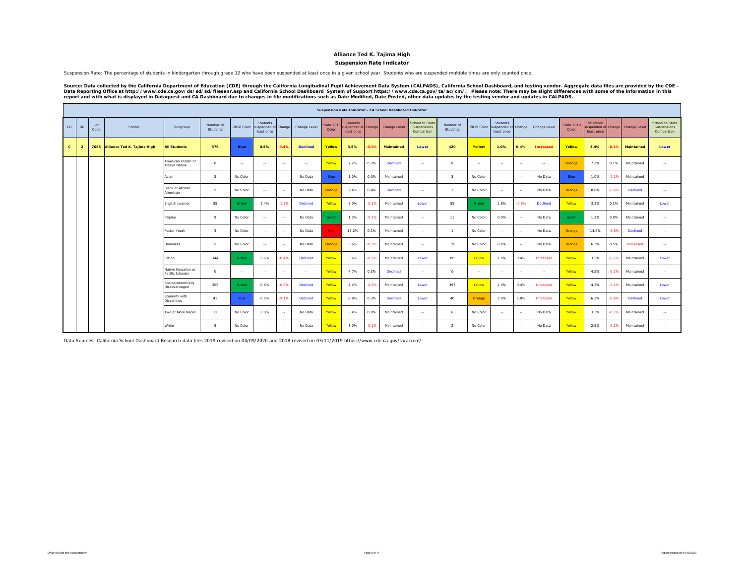#### **Suspension Rate Indicator**

Suspension Rate: The percentage of students in kindergarten through grade 12 who have been suspended at least once in a given school year. Students who are suspended multiple times are only counted once.

Source: Data collected by the California Department of Education (CDE) through the California Longitudinal Pupil Achievement Data System (CALPADS), California School Dashboard, and testing vendor. Aggregate data files are

|              |                |             |                             |                                        |                         |               |                                                          |         |                 |                    |                                              |         | Suspension Rate Indicator - CA School Dashboard Indicator |                                              |                         |               |                                        |               |                  |                            |                                                    |         |                   |                                              |
|--------------|----------------|-------------|-----------------------------|----------------------------------------|-------------------------|---------------|----------------------------------------------------------|---------|-----------------|--------------------|----------------------------------------------|---------|-----------------------------------------------------------|----------------------------------------------|-------------------------|---------------|----------------------------------------|---------------|------------------|----------------------------|----------------------------------------------------|---------|-------------------|----------------------------------------------|
| LD           | <b>BD</b>      | Loc<br>Code | School                      | Subgroup                               | Number of<br>Students   |               | Students<br>2018 Color suspended at Change<br>least once |         | Change Level    | State 201<br>Color | <b>Students</b><br>uspended at<br>least once | Change  | Change Level                                              | School to State<br>Suspensions<br>Comparison | Number of<br>Students   | 2019 Color    | Students<br>suspended at<br>least once | Change        | Change Level     | <b>State 2019</b><br>Color | <b>Students</b><br>spended at Change<br>least once |         | Change Level      | School to State<br>Suspensions<br>Comparison |
| $\mathbf{c}$ | $\overline{2}$ | 7685        | Alliance Ted K. Tajima High | <b>All Students</b>                    | 376                     | <b>Blue</b>   | 0.5%                                                     | $-0.4%$ | <b>Declined</b> | Yellow             | 3.5%                                         | $-0.1%$ | <b>Maintained</b>                                         | Lower                                        | 420                     | Yellow        | 1.0%                                   | 0.4%          | <b>Increased</b> | Yellow                     | 3.4%                                               | 0.1%    | <b>Maintained</b> | Lower                                        |
|              |                |             |                             | American Indian or<br>Alaska Native    | $\Omega$                | $\sim$ $\sim$ | $\sim$                                                   | $\sim$  | $\sim$ $\sim$   | Yellow             | 7.2%                                         | 0.3%    | Declined                                                  | $\cdots$                                     | $\Omega$                | $\sim$ $\sim$ | $\sim$                                 | $\sim$        | $\sim$           | Orange                     | 7.2%                                               | 0.1%    | Maintained        | $\sim$                                       |
|              |                |             |                             | Asian                                  | $\overline{2}$          | No Color      | $\sim$                                                   | $\sim$  | No Data         | Blue               | 1.0%                                         | 0.0%    | Maintained                                                | $\sim$ $\sim$                                | $\overline{\mathbf{3}}$ | No Color      | $\sim$                                 | $\sim$        | No Data          | Blue                       | 1.0%                                               | $-0.1%$ | Maintained        | $\sim$ $\sim$                                |
|              |                |             |                             | Black or African<br>American           | $\mathbf{r}$            | No Color      | $\sim$                                                   | $\sim$  | No Data         | Orange             | 9.4%                                         | 0.4%    | Declined                                                  | $\sim$ $\sim$                                | $\mathcal{R}$           | No Color      | $\sim$                                 | $\sim$ $-$    | No Data          | Orange                     | 8.8%                                               | $-0.6%$ | Declined          | $\sim$ $\sim$                                |
|              |                |             |                             | English Learner                        | 85                      | Green         | 2.4%                                                     | $-1.2%$ | <b>Declined</b> | Yellow             | 3.0%                                         | $-0.1%$ | Maintained                                                | Lower                                        | 55                      | Green         | 1.8%                                   | $-0.5%$       | <b>Declined</b>  | Yellow                     | 3.1%                                               | 0.1%    | Maintained        | Lower                                        |
|              |                |             |                             | Filipino                               | $\circ$                 | No Color      | $\sim$                                                   | $\sim$  | No Data         | Green              | 1.3%                                         | $-0.1%$ | Maintained                                                | $\sim$ $\sim$                                | 11                      | No Color      | 0.0%                                   | $\sim$        | No Data          | Green                      | 1.3%                                               | 0.0%    | Maintained        | $\sim$ $\sim$                                |
|              |                |             |                             | Foster Youth                           | $\overline{\mathbf{3}}$ | No Color      | $\sim$                                                   | $\sim$  | No Data         | <b>Red</b>         | 15.2%                                        | 0.1%    | Maintained                                                | $\sim$ $\sim$                                | $\overline{1}$          | No Color      | $\cdots$                               | $\sim$        | No Data          | Orange                     | 14.6%                                              | $-0.6%$ | Declined          | $\sim$                                       |
|              |                |             |                             | <b>Homeless</b>                        | -5                      | No Color      | $\sim$                                                   | $\sim$  | No Data         | Orange             | 5.6%                                         | $-0.1%$ | Maintained                                                | $\cdots$                                     | 19                      | No Color      | 0.0%                                   | $\sim$ $-$    | No Data          | Orange                     | 6.2%                                               | 0.5%    | Increased         | $\sim$                                       |
|              |                |             |                             | Latino                                 | 344                     | Green         | 0.6%                                                     | $-0.4%$ | Declined        | Yellow             | 3.6%                                         | $-0.1%$ | Maintained                                                | Lower                                        | 395                     | Yellow        | 1.0%                                   | 0.4%          | Increased        | Yellow                     | 3.5%                                               | $-0.1%$ | Maintained        | Lower                                        |
|              |                |             |                             | Native Hawaiian or<br>Pacific Islander | $^{\circ}$              | $\sim$ $\sim$ | $\sim$                                                   | $\sim$  | $\sim$ $\sim$   | Yellow             | 4.7%                                         | 0.3%    | Declined                                                  | $\sim$ $\sim$                                | $\circ$                 | $\sim$        | $\sim$                                 | $\sim$ $\sim$ | $\sim$ $\sim$    | Yellow                     | 4.5%                                               | $-0.2%$ | Maintained        | $\sim$                                       |
|              |                |             |                             | Socioeconomically<br>Disadvantaged     | 355                     | Green         | 0.6%                                                     | $-0.5%$ | Declined        | Yellow             | 4.4%                                         | $-0.2%$ | Maintained                                                | Lower                                        | 397                     | Yellow        | 1.0%                                   | 0.4%          | Increased        | Yellow                     | 4.3%                                               | $-0.1%$ | Maintained        | Lower                                        |
|              |                |             |                             | Students with<br><b>Disabilities</b>   | 41                      | Blue          | 0.0%                                                     | $-9.1%$ | <b>Declined</b> | Yellow             | 6.8%                                         | 0.3%    | <b>Declined</b>                                           | Lower                                        | 40                      | Orange        | 5.0%                                   | 5.0%          | Increased        | Yellow                     | 6.2%                                               | $-0.6%$ | <b>Declined</b>   | Lower                                        |
|              |                |             |                             | Two or More Races                      | 11                      | No Color      | 0.0%                                                     | $\sim$  | No Data         | Yellow             | 3.4%                                         | 0.0%    | Maintained                                                | $\sim$ $\sim$                                | 6                       | No Color      | $\sim$                                 | $\sim$        | No Data          | Yellow                     | 3.3%                                               | $-0.1%$ | Maintained        | $\sim$ $\sim$                                |
|              |                |             |                             | White                                  | Б.                      | No Color      | $\sim$                                                   | $\sim$  | No Data         | Yellow             | 3.0%                                         | $-0.1%$ | Maintained                                                | $\sim$                                       | $\overline{2}$          | No Color      | $\cdots$                               | $\sim$        | No Data          | Yellow                     | 2.9%                                               | $-0.2%$ | Maintained        | $\sim$                                       |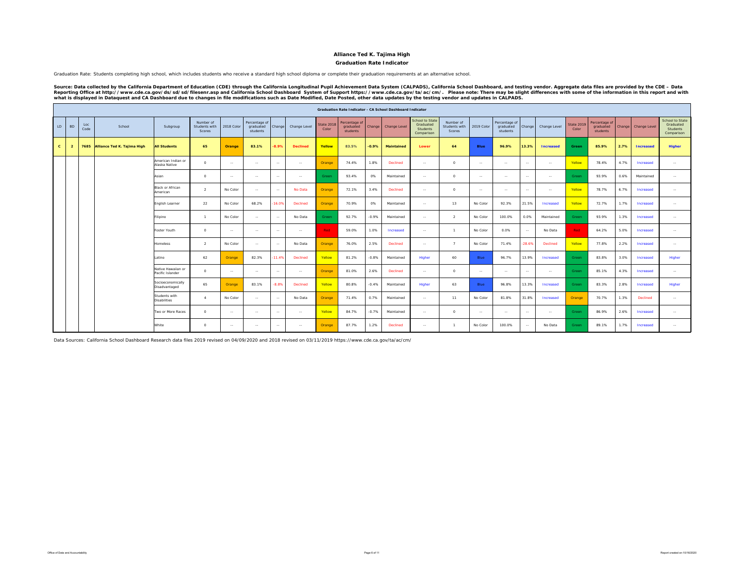#### **Graduation Rate Indicator**

Graduation Rate: Students completing high school, which includes students who receive a standard high school diploma or complete their graduation requirements at an alternative school.

Source: Data collected by the California Department of Education (CDE) through the California Longitudinal Pupil Achievement Data System (CALPADS), California School Dashboard, and testing vendor. Aggregate data files are

|              |                |             |                                  |                                        |                                      |            |                                        |          |                 |                            |                                        |         | <b>Graduation Rate Indicator - CA School Dashboard Indicator</b> |                                                        |                                      |                |                                        |               |                  |                            |                                        |      |                     |                                                        |
|--------------|----------------|-------------|----------------------------------|----------------------------------------|--------------------------------------|------------|----------------------------------------|----------|-----------------|----------------------------|----------------------------------------|---------|------------------------------------------------------------------|--------------------------------------------------------|--------------------------------------|----------------|----------------------------------------|---------------|------------------|----------------------------|----------------------------------------|------|---------------------|--------------------------------------------------------|
| LD           | <b>BD</b>      | Loc<br>Code | School                           | Subgroup                               | Number of<br>Students with<br>Scores | 2018 Color | Percentage of<br>graduated<br>students | Change   | Change Level    | <b>State 2018</b><br>Color | Percentage of<br>graduated<br>students | Change  | Change Level                                                     | School to State<br>Graduated<br>Students<br>Comparison | Number of<br>Students with<br>Scores | 2019 Color     | Percentage of<br>graduated<br>students | Change        | Change Level     | <b>State 2019</b><br>Color | Percentage of<br>graduated<br>students |      | Change Change Level | School to State<br>Graduated<br>Students<br>Comparison |
| $\mathbf{c}$ | $\overline{2}$ |             | 7685 Alliance Ted K. Tajima High | <b>All Students</b>                    | 65                                   | Orange     | 83.1%                                  | $-8.9%$  | <b>Declined</b> | Yellow                     | 83.5%                                  | $-0.9%$ | <b>Maintained</b>                                                | Lower                                                  | 64                                   | Blue           | 96.9%                                  | 13.3%         | <b>Increased</b> | Green                      | 85.9%                                  | 2.7% | <b>Increased</b>    | <b>Higher</b>                                          |
|              |                |             |                                  | American Indian or<br>Alaska Native    | $\Omega$                             | $\sim$     | <b>Service</b>                         | $\sim$   | $\sim$ $-$      | Orange                     | 74.4%                                  | 1.8%    | Declined                                                         | $\sim$ $-$                                             | $\Omega$                             | <b>Service</b> | $\sim$ $\sim$                          | $\sim$ $\sim$ | $\sim$           | Yellow                     | 78.4%                                  | 4.7% | Increased           | $\sim$                                                 |
|              |                |             |                                  | Asian                                  | $\circ$                              | $\sim$     | $\sim$ $\sim$                          | $\sim$   | $\sim$ $\sim$   | Green                      | 93.4%                                  | 0%      | Maintained                                                       | $\sim$ $\sim$                                          | $\Omega$                             | $\sim$         | $\sim$                                 | $\sim$ $\sim$ | $\sim$           | Green                      | 93.9%                                  | 0.6% | Maintained          | $\sim$                                                 |
|              |                |             |                                  | <b>Black or African</b><br>American    | $\mathcal{L}$                        | No Color   | <b>Service</b>                         | $\sim$   | No Data         | Orange                     | 72.1%                                  | 3.4%    | Declined                                                         | $\sim$ $\sim$                                          | $\circ$                              | $\sim$         | $\sim$                                 | $\sim$ $\sim$ | $\sim$           | Yellow                     | 78.7%                                  | 6.7% | Increased           | $\sim$                                                 |
|              |                |             |                                  | English Learner                        | 22                                   | No Color   | 68.2%                                  | $-16.0%$ | Declined        | Orange                     | 70.9%                                  | 0%      | Maintained                                                       | $\sim$                                                 | 13                                   | No Color       | 92.3%                                  | 21.5%         | Increased        | Yellow                     | 72.7%                                  | 1.7% | Increased           | $\sim$                                                 |
|              |                |             |                                  | Filipino                               | $\mathbf{1}$                         | No Color   | $\sim$ $\sim$                          | $\sim$   | No Data         | Green                      | 92.7%                                  | $-0.9%$ | Maintained                                                       | $\sim$                                                 | $\overline{2}$                       | No Color       | 100.0%                                 | 0.0%          | Maintained       | Green                      | 93.9%                                  | 1.3% | Increased           | $\sim$                                                 |
|              |                |             |                                  | Foster Youth                           | $\circ$                              | $\sim$     | $\sim$ $\sim$                          | $\sim$   | $\sim$ $\sim$   | Red -                      | 59.0%                                  | 1.0%    | Increased                                                        | $\sim$                                                 | $\mathbf{1}$                         | No Color       | 0.0%                                   | $\sim$ $\sim$ | No Data          | Red                        | 64.2%                                  | 5.0% | Increased           | $\sim$                                                 |
|              |                |             |                                  | <b>Homeless</b>                        | 2                                    | No Color   | $\sim$ $\sim$                          | $\sim$   | No Data         | Orange                     | 76.0%                                  | 2.5%    | Declined                                                         | $\sim$ $\sim$                                          | $\overline{7}$                       | No Color       | 71.4%                                  | $-28.6%$      | Declined         | Yellow                     | 77.8%                                  | 2.2% | Increased           | $\sim$                                                 |
|              |                |             |                                  | Latino                                 | 62                                   | Orange     | 82.3%                                  | $-11.4%$ | Declined        | Yellow                     | 81.2%                                  | $-0.8%$ | Maintained                                                       | Higher                                                 | 60                                   | <b>Blue</b>    | 96.7%                                  | 13.9%         | Increased        | Green                      | 83.8%                                  | 3.0% | Increased           | Higher                                                 |
|              |                |             |                                  | Native Hawaiian or<br>Pacific Islander | $\circ$                              | $\sim$ $-$ | <b>Service</b>                         | $\sim$   | $\sim$          | Orange                     | 81.0%                                  | 2.6%    | Declined                                                         | $\sim$ $\sim$                                          | $\circ$                              | $\sim$         | $\sim$                                 | $\sim$ $\sim$ | $\sim$           | Green                      | 85.1%                                  | 4.3% | Increased           | $\sim$                                                 |
|              |                |             |                                  | Socioeconomically<br>Disadvantaged     | 65                                   | Orange     | 83.1%                                  | $-8.8%$  | Declined        | Yellow                     | 80.8%                                  | $-0.4%$ | Maintained                                                       | Higher                                                 | 63                                   | Blue           | 96.8%                                  | 13.3%         | Increased        | Green                      | 83.3%                                  | 2.8% | Increased           | Higher                                                 |
|              |                |             |                                  | Students with<br><b>Disabilities</b>   | $\mathbf{A}$                         | No Color   | $\sim$                                 | $\sim$   | No Data         | Orange                     | 71.4%                                  | 0.7%    | Maintained                                                       | $\sim$                                                 | 11                                   | No Color       | 81.8%                                  | 31.8%         | Increased        | Orange                     | 70.7%                                  | 1.3% | Declined            | $\sim$                                                 |
|              |                |             |                                  | Two or More Races                      | $\Omega$                             | $\sim$     | $\sim$ $\sim$                          | $\sim$   | $\sim$          | Yellow                     | 84.7%                                  | $-0.7%$ | Maintained                                                       | $\sim$ $\sim$                                          | $\circ$                              | $\sim$         | $\sim$                                 | $\sim$ $\sim$ | $\sim$           | Green                      | 86.9%                                  | 2.6% | Increased           | $\sim$                                                 |
|              |                |             |                                  | White                                  | $^{\circ}$                           | $\sim$     | $\sim$                                 | $\sim$   | $\sim$          | Orange                     | 87.7%                                  | 1.2%    | Declined                                                         | $\sim$                                                 | $\mathbf{1}$                         | No Color       | 100.0%                                 | $\sim$ $\sim$ | No Data          | Green                      | 89.1%                                  | 1.7% | Increased           | $\sim$                                                 |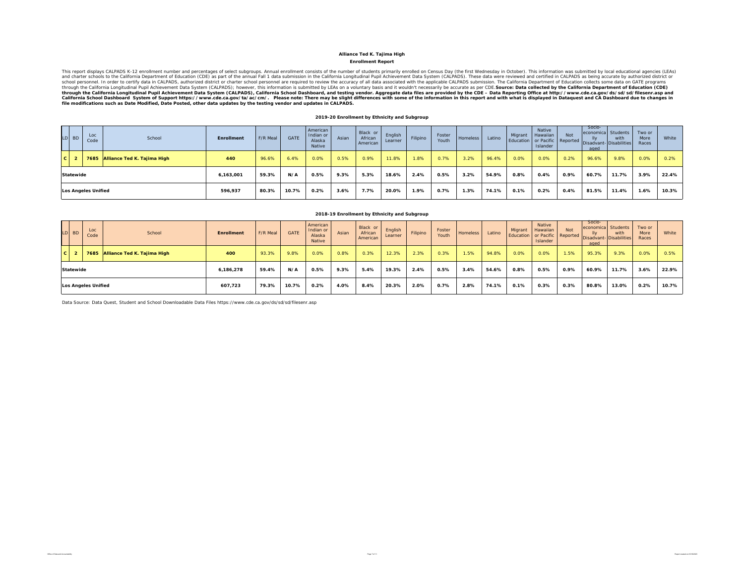#### **Enrollment Report**

This report displays CALPADS k-12 enrollment number and persentator base and error interest and the number of students primate in reduced by the first Wethesday in Data wers and CALPADS submissions bare reviewed and certif

#### **2019-20 Enrollment by Ethnicity and Subgroup**

| LD BD                      | Loc<br>Code | School                           | Enrollment | F/R Meal | <b>GATE</b> | American<br>Indian or<br>Alaska<br>Native | Asian | Black or<br>African<br>American | English<br>Learner | Filipino | Foster<br>Youth | Homeless | Latino | Migrant | Native<br>Hawaiian<br>Islander | <b>Not</b> | Socio-<br>economica Students<br>aged | with<br>Education or Pacific Reported Disadvant- Disabilities | Two or<br>More<br>Races | White |
|----------------------------|-------------|----------------------------------|------------|----------|-------------|-------------------------------------------|-------|---------------------------------|--------------------|----------|-----------------|----------|--------|---------|--------------------------------|------------|--------------------------------------|---------------------------------------------------------------|-------------------------|-------|
| $C$   2                    |             | 7685 Alliance Ted K. Tajima High | 440        | 96.6%    | 6.4%        | 0.0%                                      | 0.5%  | 0.9%                            | 11.8%              | .8%      | 0.7%            | 3.2%     | 96.4%  | 0.0%    | 0.0%                           | 0.2%       | 96.6%                                | 9.8%                                                          | 0.0%                    | 0.2%  |
| <b>Statewide</b>           |             |                                  | 6,163,001  | 59.3%    | N/A         | 0.5%                                      | 9.3%  | 5.3%                            | 18.6%              | 2.4%     | 0.5%            | 3.2%     | 54.9%  | 0.8%    | 0.4%                           | 0.9%       | 60.7%                                | 11.7%                                                         | 3.9%                    | 22.4% |
| <b>Los Angeles Unified</b> |             | 596,937                          | 80.3%      | 10.7%    | $0.2\%$     | 3.6%                                      | 7.7%  | 20.0%                           | 1.9%               | 0.7%     | 1.3%            | 74.1%    | 0.1%   | 0.2%    | 0.4%                           | 81.5%      | 11.4%                                | 1.6%                                                          | 10.3%                   |       |

#### **2018-19 Enrollment by Ethnicity and Subgroup**

|          | LD BD     | Loc<br>Code                | School                           | Enrollment | F/R Meal | <b>GATE</b> | American<br>Indian or<br>Alaska<br>Native | Asian   | Black or<br>African<br>American | English<br>Learner | Filipino | Foster<br>Youth | Homeless | Latino | Migrant<br>Education or Pacific Reported | Native<br>Hawaiian<br>Islander | <b>Not</b> | Socio-<br>economica Students<br>IIv<br>aged | with<br>Disadvant-Disabilities | Two or<br>More<br>Races | White |
|----------|-----------|----------------------------|----------------------------------|------------|----------|-------------|-------------------------------------------|---------|---------------------------------|--------------------|----------|-----------------|----------|--------|------------------------------------------|--------------------------------|------------|---------------------------------------------|--------------------------------|-------------------------|-------|
| <b>C</b> |           |                            | 7685 Alliance Ted K. Tajima High | 400        | 93.3%    | 9.8%        | 0.0%                                      | 0.8%    | 0.3%                            | 12.3%              | 2.3%     | 0.3%            | 1.5%     | 94.8%  | 0.0%                                     | 0.0%                           | 1.5%       | 95.3%                                       | 9.3%                           | 0.0%                    | 0.5%  |
|          | Statewide |                            |                                  | 6.186.278  | 59.4%    | N/A         | 0.5%                                      | $9.3\%$ | 5.4%                            | 19.3%              | 2.4%     | 0.5%            | 3.4%     | 54.6%  | 0.8%                                     | 0.5%                           | 0.9%       | 60.9%                                       | 11.7%                          | 3.6%                    | 22.9% |
|          |           | <b>Los Angeles Unified</b> |                                  | 607.723    | 79.3%    | 10.7%       | 0.2%                                      | 4.0%    | 8.4%                            | 20.3%              | 2.0%     | 0.7%            | 2.8%     | 74.1%  | 0.1%                                     | 0.3%                           | 0.3%       | 80.8%                                       | 13.0%                          | 0.2%                    | 10.7% |

Data Source: Data Quest, Student and School Downloadable Data Files https://www.cde.ca.gov/ds/sd/sd/filesenr.asp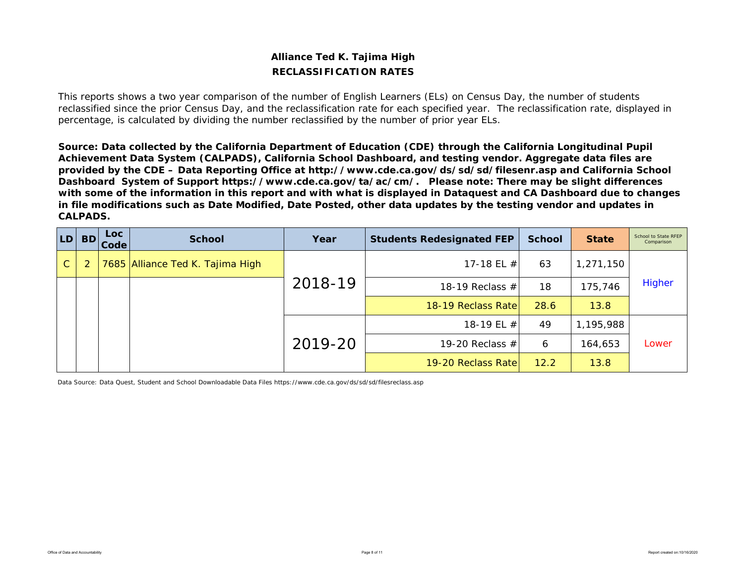# **Alliance Ted K. Tajima High RECLASSIFICATION RATES**

This reports shows a two year comparison of the number of English Learners (ELs) on Census Day, the number of students reclassified since the prior Census Day, and the reclassification rate for each specified year. The reclassification rate, displayed in percentage, is calculated by dividing the number reclassified by the number of prior year ELs.

*Source: Data collected by the California Department of Education (CDE) through the California Longitudinal Pupil Achievement Data System (CALPADS), California School Dashboard, and testing vendor. Aggregate data files are provided by the CDE – Data Reporting Office at http://www.cde.ca.gov/ds/sd/sd/filesenr.asp and California School Dashboard System of Support https://www.cde.ca.gov/ta/ac/cm/. Please note: There may be slight differences with some of the information in this report and with what is displayed in Dataquest and CA Dashboard due to changes in file modifications such as Date Modified, Date Posted, other data updates by the testing vendor and updates in CALPADS.* 

| <b>LD</b>    | <b>BD</b> | <b>Loc</b><br><b>Code</b> | <b>School</b>                    | Year    | <b>Students Redesignated FEP</b> | <b>School</b> | <b>State</b> | School to State RFEP<br>Comparison |
|--------------|-----------|---------------------------|----------------------------------|---------|----------------------------------|---------------|--------------|------------------------------------|
| $\mathsf{C}$ |           |                           | 7685 Alliance Ted K. Tajima High |         | 17-18 EL $#$                     | 63            | 1,271,150    |                                    |
|              |           |                           |                                  | 2018-19 | 18-19 Reclass $#$                | 18            | 175,746      | Higher                             |
|              |           |                           |                                  |         | 18-19 Reclass Rate               | 28.6          | 13.8         |                                    |
|              |           |                           |                                  |         | 18-19 EL #                       | 49            | 1,195,988    |                                    |
|              |           |                           |                                  | 2019-20 | 19-20 Reclass $#$                | 6             | 164,653      | Lower                              |
|              |           |                           |                                  |         | 19-20 Reclass Rate               | 12.2          | 13.8         |                                    |

Data Source: Data Quest, Student and School Downloadable Data Files https://www.cde.ca.gov/ds/sd/sd/filesreclass.asp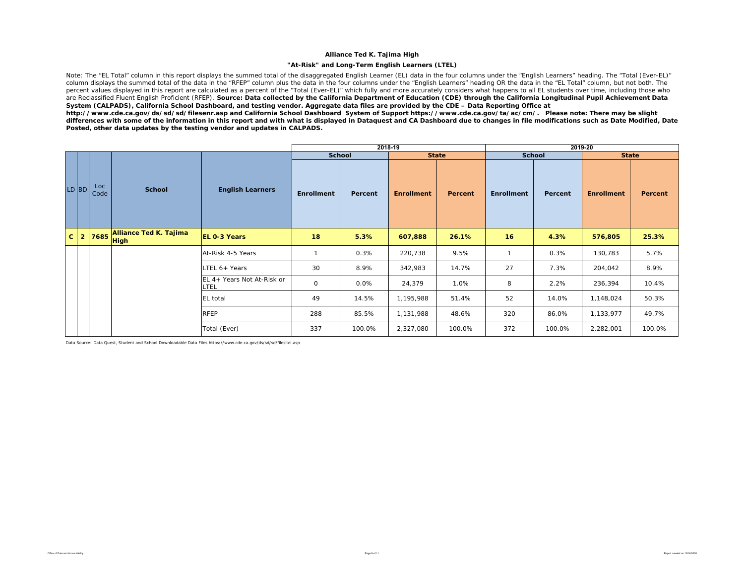#### **"At-Risk" and Long-Term English Learners (LTEL)**

Note: The "EL Total" column in this report displays the summed total of the disaggregated English Learner (EL) data in the four columns under the "English Learners" heading. The "Total (Ever-EL)" column displays the summed total of the data in the "RFEP" column plus the data in the four columns under the "English Learners" heading OR the data in the "EL Total" column, but not both. The percent values displayed in this report are calculated as a percent of the "Total (Ever-EL)" which fully and more accurately considers what happens to all EL students over time, including those who are Reclassified Fluent English Proficient (RFEP). **Source: Data collected by the California Department of Education (CDE) through the California Longitudinal Pupil Achievement Data** *System (CALPADS), California School Dashboard, and testing vendor. Aggregate data files are provided by the CDE – Data Reporting Office at* 

*http://www.cde.ca.gov/ds/sd/sd/filesenr.asp and California School Dashboard System of Support https://www.cde.ca.gov/ta/ac/cm/. Please note: There may be slight differences with some of the information in this report and with what is displayed in Dataquest and CA Dashboard due to changes in file modifications such as Date Modified, Date Posted, other data updates by the testing vendor and updates in CALPADS.* 

|              |                |             |                        |                                    |                     |         | 2018-19           |                |                   |               | 2019-20           |         |
|--------------|----------------|-------------|------------------------|------------------------------------|---------------------|---------|-------------------|----------------|-------------------|---------------|-------------------|---------|
|              |                |             |                        |                                    | <b>School</b>       |         | <b>State</b>      |                |                   | <b>School</b> | <b>State</b>      |         |
|              | LD BD          | Loc<br>Code | <b>School</b>          | <b>English Learners</b>            | <b>Enrollment</b>   | Percent | <b>Enrollment</b> | <b>Percent</b> | <b>Enrollment</b> | Percent       | <b>Enrollment</b> | Percent |
| $\mathbf{C}$ | 2 <sup>1</sup> |             | Alliance Ted K. Tajima | <b>EL 0-3 Years</b>                | 18                  | 5.3%    | 607,888           | 26.1%          | 16                | 4.3%          | 576,805           | 25.3%   |
|              |                |             |                        | At-Risk 4-5 Years                  | $\mathbf{1}$        | 0.3%    | 220,738           | 9.5%           | $\mathbf{1}$      | 0.3%          | 130,783           | 5.7%    |
|              |                |             |                        | LTEL 6+ Years                      | 30                  | 8.9%    | 342,983           | 14.7%          | 27                | 7.3%          | 204,042           | 8.9%    |
|              |                |             |                        | EL 4+ Years Not At-Risk or<br>LTEL | $\mathsf{O}\xspace$ | 0.0%    | 24,379            | 1.0%           | 8                 | 2.2%          | 236,394           | 10.4%   |
|              |                |             |                        | <b>EL</b> total                    | 49                  | 14.5%   | 1,195,988         | 51.4%          | 52                | 14.0%         | 1,148,024         | 50.3%   |
|              |                |             |                        | <b>RFEP</b>                        | 288                 | 85.5%   | 1,131,988         | 48.6%          | 320               | 86.0%         | 1,133,977         | 49.7%   |
|              |                |             |                        | Total (Ever)                       | 337                 | 100.0%  | 2,327,080         | 100.0%         | 372               | 100.0%        | 2,282,001         | 100.0%  |

Data Source: Data Quest, Student and School Downloadable Data Files https://www.cde.ca.gov/ds/sd/sd/filesltel.asp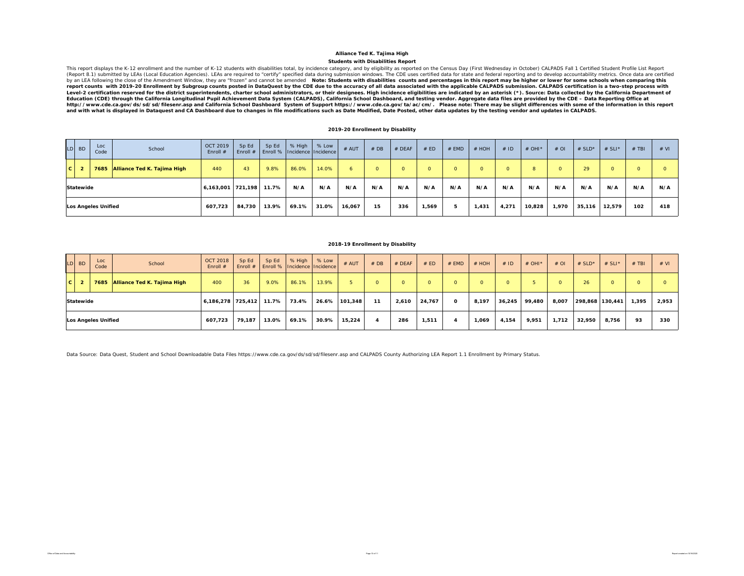#### **Students with Disabilities Report Alliance Ted K. Tajima High**

This report displays the K-12 enrollment and the number of K-12 students with disabilities total, by incidence category, and by eligibility as reported on the Census Day (First Wednesday in October) CALPADS Fall 1 Certifie (Report 8.1) submitted by LEAs (Local Education Agencies). LEAs are required to "certify" specified data during submission windows. The CDE uses certified data for state and federal reporting and to develop accountability by an LEA following the close of the Amendment Window, they are "frozen" and cannot be amended Note: Students with disabilities counts and percentages in this report may be higher or lower for some schools when comparing t report counts with 2019-20 Enrollment by Subgroup counts posted in DataQuest by the CDE due to the accuracy of all data associated with the applicable CALPADS submission. CALPADS certification is a two-step process with Level-2 certification reserved for the district superintendents, charter school administrators, or their designees. High incidence eligibilities are indicated by an asterisk (\*). Source: Data collected by the California De *Education (CDE) through the California Longitudinal Pupil Achievement Data System (CALPADS), California School Dashboard, and testing vendor. Aggregate data files are provided by the CDE – Data Reporting Office at*  http://www.cde.ca.gov/ds/sd/sd/filesenr.asp and California School Dashboard System of Support https://www.cde.ca.gov/ta/ac/cm/. Please note: There may be slight differences with some of the information in this report<br>and

#### **2019-20 Enrollment by Disability**

|   | $LD$ BD          | Loc<br>Code                | School                           | <b>OCT 2019</b><br>Enroll # | Sp Ed  | Sp Ed | % High<br>Enroll #   Enroll %   Incidence   Incidence | % Low | # AUT  | #DB      | $#$ DEAF | # ED    | $#$ EMD | $#$ HOH  | #ID   | # OHI $*$ | $#$ OI   | # $SLD^*$ | # SLI* | $#$ TBI  | # VI |
|---|------------------|----------------------------|----------------------------------|-----------------------------|--------|-------|-------------------------------------------------------|-------|--------|----------|----------|---------|---------|----------|-------|-----------|----------|-----------|--------|----------|------|
| c | $\overline{2}$   |                            | 7685 Alliance Ted K. Tajima High | 440                         | 43     | 9.8%  | 86.0%                                                 | 14.0% |        | $\Omega$ | $\Omega$ | $\circ$ |         | $\Omega$ |       | 8         | $\Omega$ | 29        |        | $\Omega$ |      |
|   | <b>Statewide</b> |                            |                                  | 6,163,001 721,198           |        | 11.7% | N/A                                                   | N/A   | N/A    | N/A      | N/A      | N/A     | N/A     | N/A      | N/A   | N/A       | N/A      | N/A       | N/A    | N/A      | N/A  |
|   |                  | <b>Los Angeles Unified</b> |                                  | 607.723                     | 84,730 | 13.9% | 69.1%                                                 | 31.0% | 16,067 | 15       | 336      | 1,569   |         | 1,431    | 4,271 | 10,828    | 1,970    | 35,116    | 12,579 | 102      | 418  |

#### **2018-19 Enrollment by Disability**

|              | $LD$ BD        | Loc<br>Code                | School                      | <b>OCT 2018</b><br>Enroll # | Sp Ed<br>Enroll $#$ | Sp Ed | % High<br>Enroll %   Incidence   Incidence | % Low | # AUT   | #DB      | $#$ DEAF | # ED     | $#$ EMD  | # HOH | #ID    | $#$ OHI <sup>*</sup> | #OI      | $#$ SLD*        | $# SLI^*$ | $#$ TBI | # VI  |
|--------------|----------------|----------------------------|-----------------------------|-----------------------------|---------------------|-------|--------------------------------------------|-------|---------|----------|----------|----------|----------|-------|--------|----------------------|----------|-----------------|-----------|---------|-------|
| $\mathbf{C}$ | $\overline{2}$ | 7685                       | Alliance Ted K. Tajima High | 400                         | 36 <sub>1</sub>     | 9.0%  | 86.1%                                      | 13.9% |         | $\Omega$ |          | $\Omega$ |          |       |        |                      | $\Omega$ | 26              | $\Omega$  |         |       |
|              | Statewide      |                            |                             | $6,186,278$ 725,412         |                     | 11.7% | 73.4%                                      | 26.6% | 101,348 | 11       | 2,610    | 24,767   | $\Omega$ | 8,197 | 36,245 | 99,480               | 8,007    | 298,868 130,441 |           | 1,395   | 2,953 |
|              |                | <b>Los Angeles Unified</b> |                             | 607,723                     | 79,187              | 13.0% | 69.1%                                      | 30.9% | 15.224  |          | 286      | 1,511    |          | 1,069 | 4,154  | 9,951                | 1,712    | 32,950          | 8,756     | 93      | 330   |

Data Source: Data Quest, Student and School Downloadable Data Files https://www.cde.ca.gov/ds/sd/sd/filesenr.asp and CALPADS County Authorizing LEA Report 1.1 Enrollment by Primary Status.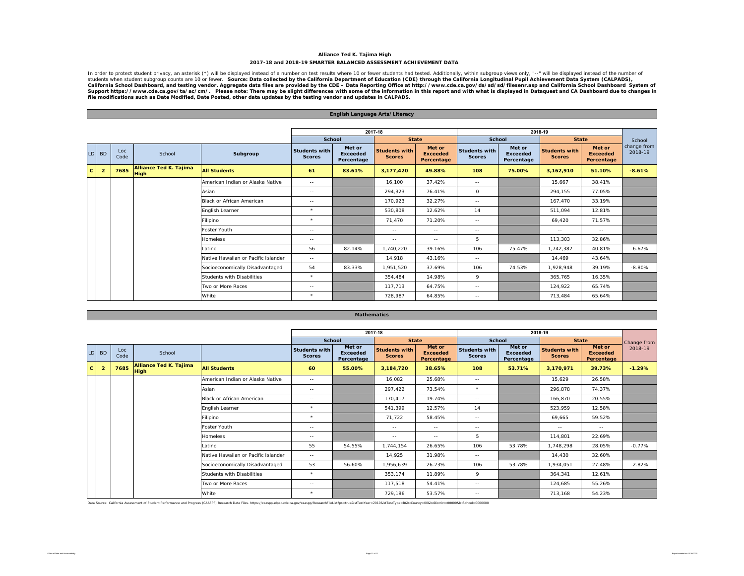#### **Alliance Ted K. Tajima High 2017-18 and 2018-19 SMARTER BALANCED ASSESSMENT ACHIEVEMENT DATA**

In order to protect student privacy, an asterisk (\*) will be displayed instead of a number on test results where 10 or fewer students had tested. Additionally, within subgroup views only, "--" will be displayed instead of students when student subgroup counts are 10 or fewer. Source: Data collected by the California Department of Education (CDE) through the California Longitudinal Pupil Achievement Data System (CALPADS),<br>Suifornia School Da

|                 |                |             |                                              |                                     |                                       |                                  | English Language Arts/Literacy        |                                         |                                       |                                         |                                |                                         |                        |
|-----------------|----------------|-------------|----------------------------------------------|-------------------------------------|---------------------------------------|----------------------------------|---------------------------------------|-----------------------------------------|---------------------------------------|-----------------------------------------|--------------------------------|-----------------------------------------|------------------------|
|                 |                |             |                                              |                                     |                                       |                                  |                                       |                                         |                                       |                                         |                                |                                         |                        |
|                 |                |             |                                              |                                     |                                       |                                  | 2017-18                               |                                         |                                       |                                         | 2018-19                        |                                         |                        |
|                 |                |             |                                              |                                     | <b>School</b>                         |                                  | <b>State</b>                          |                                         | <b>School</b>                         |                                         | <b>State</b>                   |                                         | School                 |
| LD <sup>1</sup> | <b>BD</b>      | Loc<br>Code | School                                       | Subgroup                            | <b>Students with</b><br><b>Scores</b> | Met or<br>Exceeded<br>Percentage | <b>Students with</b><br><b>Scores</b> | Met or<br><b>Exceeded</b><br>Percentage | <b>Students with</b><br><b>Scores</b> | Met or<br><b>Exceeded</b><br>Percentage | Students with<br><b>Scores</b> | Met or<br><b>Exceeded</b><br>Percentage | change from<br>2018-19 |
| $\mathbf{c}$    | $\overline{2}$ | 7685        | <b>Alliance Ted K. Tajima</b><br><b>High</b> | <b>All Students</b>                 | 61                                    | 83.61%                           | 3,177,420                             | 49.88%                                  | 108                                   | 75.00%                                  | 3,162,910                      | 51.10%                                  | $-8.61%$               |
|                 |                |             |                                              | American Indian or Alaska Native    | $\sim$ $-$                            |                                  | 16,100                                | 37.42%                                  | $\sim$ $-$                            |                                         | 15,667                         | 38.41%                                  |                        |
|                 |                |             |                                              | Asian                               | $\sim$ $-$                            |                                  | 294,323                               | 76.41%                                  | $\circ$                               |                                         | 294,155                        | 77.05%                                  |                        |
|                 |                |             |                                              | <b>Black or African American</b>    | $\sim$ $-$                            |                                  | 170.923                               | 32.27%                                  | $\sim$ $-$                            |                                         | 167.470                        | 33.19%                                  |                        |
|                 |                |             |                                              | English Learner                     | $\star$                               |                                  | 530,808                               | 12.62%                                  | 14                                    |                                         | 511,094                        | 12.81%                                  |                        |
|                 |                |             |                                              | Filipino                            | $\star$                               |                                  | 71.470                                | 71.20%                                  | $\sim$ $-$                            |                                         | 69.420                         | 71.57%                                  |                        |
|                 |                |             |                                              | Foster Youth                        | $\sim$ $-$                            |                                  | $\sim$ $-$                            | $\sim$ $\sim$                           | $\sim$ $-$                            |                                         | $\sim$ $-$                     | $\sim$ $-$                              |                        |
|                 |                |             |                                              | <b>Homeless</b>                     | $\sim$ $-$                            |                                  | $\sim$ $\sim$                         | $\sim$ $-$                              | 5                                     |                                         | 113,303                        | 32.86%                                  |                        |
|                 |                |             |                                              | Latino                              | 56                                    | 82.14%                           | 1,740,220                             | 39.16%                                  | 106                                   | 75.47%                                  | 1,742,382                      | 40.81%                                  | $-6.67%$               |
|                 |                |             |                                              | Native Hawaiian or Pacific Islander | $\sim$ $-$                            |                                  | 14,918                                | 43.16%                                  | $\sim$ $-$                            |                                         | 14,469                         | 43.64%                                  |                        |
|                 |                |             |                                              | Socioeconomically Disadvantaged     | 54                                    | 83.33%                           | 1,951,520                             | 37.69%                                  | 106                                   | 74.53%                                  | 1,928,948                      | 39.19%                                  | $-8.80%$               |
|                 |                |             |                                              | Students with Disabilities          | $\star$                               |                                  | 354.484                               | 14.98%                                  | 9                                     |                                         | 365,765                        | 16.35%                                  |                        |
|                 |                |             |                                              | Two or More Races                   | $\sim$ $-$                            |                                  | 117,713                               | 64.75%                                  | $\sim$ $-$                            |                                         | 124,922                        | 65.74%                                  |                        |
|                 |                |             |                                              | White                               | $\star$                               |                                  | 728,987                               | 64.85%                                  | $\sim$ $\sim$                         |                                         | 713,484                        | 65.64%                                  |                        |

#### **Mathematics**

|              |                |             |                                              |                                     |                                       |                                         | 2017-18                               |                                         |                                       |                                         | 2018-19                               |                                         |             |
|--------------|----------------|-------------|----------------------------------------------|-------------------------------------|---------------------------------------|-----------------------------------------|---------------------------------------|-----------------------------------------|---------------------------------------|-----------------------------------------|---------------------------------------|-----------------------------------------|-------------|
|              |                |             |                                              |                                     | School                                |                                         | <b>State</b>                          |                                         | School                                |                                         | <b>State</b>                          |                                         | Change from |
| LD           | <b>BD</b>      | Loc<br>Code | School                                       |                                     | <b>Students with</b><br><b>Scores</b> | Met or<br><b>Exceeded</b><br>Percentage | <b>Students with</b><br><b>Scores</b> | Met or<br><b>Exceeded</b><br>Percentage | <b>Students with</b><br><b>Scores</b> | Met or<br><b>Exceeded</b><br>Percentage | <b>Students with</b><br><b>Scores</b> | Met or<br><b>Exceeded</b><br>Percentage | 2018-19     |
| $\mathbf{C}$ | $\overline{2}$ | 7685        | <b>Alliance Ted K. Tajima</b><br><b>High</b> | <b>All Students</b>                 | 60                                    | 55.00%                                  | 3,184,720                             | 38.65%                                  | 108                                   | 53.71%                                  | 3,170,971                             | 39.73%                                  | $-1.29%$    |
|              |                |             |                                              | American Indian or Alaska Native    | $\sim$ $\sim$                         |                                         | 16,082                                | 25.68%                                  | $\sim$ $-$                            |                                         | 15,629                                | 26.58%                                  |             |
|              |                |             |                                              | Asian                               | $\sim$ $\sim$                         |                                         | 297,422                               | 73.54%                                  | $\star$                               |                                         | 296,878                               | 74.37%                                  |             |
|              |                |             |                                              | Black or African American           | $\sim$ $-$                            |                                         | 170,417                               | 19.74%                                  | $\sim$ $\sim$                         |                                         | 166,870                               | 20.55%                                  |             |
|              |                |             |                                              | English Learner                     | $\star$                               |                                         | 541,399                               | 12.57%                                  | 14                                    |                                         | 523,959                               | 12.58%                                  |             |
|              |                |             |                                              | Filipino                            | $\star$                               |                                         | 71,722                                | 58.45%                                  | $\sim$ $-$                            |                                         | 69,665                                | 59.52%                                  |             |
|              |                |             |                                              | Foster Youth                        | $\sim$ $-$                            |                                         | $\sim$ $-$                            | $\sim$ $-$                              | $\sim$ $-$                            |                                         | $\sim$ $-$                            | $\sim$ $\sim$                           |             |
|              |                |             |                                              | Homeless                            | $\sim$ $\sim$                         |                                         | $\sim$ $\sim$                         | $\sim$ $-$                              | 5                                     |                                         | 114,801                               | 22.69%                                  |             |
|              |                |             |                                              | Latino                              | 55                                    | 54.55%                                  | 1,744,154                             | 26.65%                                  | 106                                   | 53.78%                                  | 1,748,298                             | 28.05%                                  | $-0.77%$    |
|              |                |             |                                              | Native Hawaiian or Pacific Islander | $\sim$ $\sim$                         |                                         | 14,925                                | 31.98%                                  | $\sim$ $-$                            |                                         | 14,430                                | 32.60%                                  |             |
|              |                |             |                                              | Socioeconomically Disadvantaged     | 53                                    | 56.60%                                  | 1,956,639                             | 26.23%                                  | 106                                   | 53.78%                                  | 1,934,051                             | 27.48%                                  | $-2.82%$    |
|              |                |             |                                              | Students with Disabilities          | $\star$                               |                                         | 353.174                               | 11.89%                                  | 9                                     |                                         | 364,341                               | 12.61%                                  |             |
|              |                |             |                                              | Two or More Races                   | $\sim$ $\sim$                         |                                         | 117,518                               | 54.41%                                  | $\sim$ $-$                            |                                         | 124,685                               | 55.26%                                  |             |
|              |                |             |                                              | White                               | $\star$                               |                                         | 729.186                               | 53.57%                                  | $\sim$ $-$                            |                                         | 713.168                               | 54.23%                                  |             |

Data Source: California Assessment of Student Performance and Progress (CAASPP) Research Data Files. https://caaspp-elpac.cde.ca.gov/caaspp/ResearchFileList?ps=true&istTestYear=2019&istTestYype=B&istCounty=00&istDistrict=0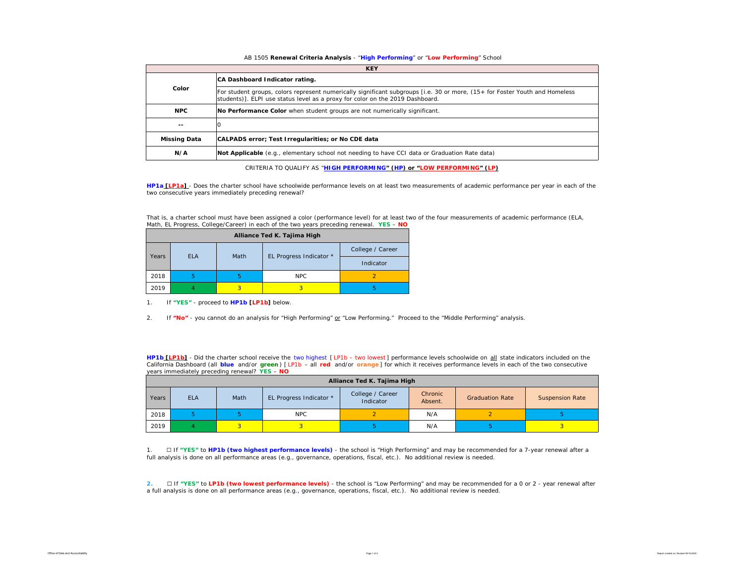#### AB 1505 **Renewal Criteria Analysis** - "**High Performing**" or "**Low Performing**" School

|                     | <b>KEY</b>                                                                                                                                                                                                   |
|---------------------|--------------------------------------------------------------------------------------------------------------------------------------------------------------------------------------------------------------|
|                     | CA Dashboard Indicator rating.                                                                                                                                                                               |
| Color               | For student groups, colors represent numerically significant subgroups [i.e. 30 or more, (15+ for Foster Youth and Homeless<br>students)]. ELPI use status level as a proxy for color on the 2019 Dashboard. |
| <b>NPC</b>          | No Performance Color when student groups are not numerically significant.                                                                                                                                    |
| $\sim$ $-$          |                                                                                                                                                                                                              |
| <b>Missing Data</b> | CALPADS error; Test Irregularities; or No CDE data                                                                                                                                                           |
| N/A                 | Not Applicable (e.g., elementary school not needing to have CCI data or Graduation Rate data)                                                                                                                |

CRITERIA TO QUALIFY AS "**HIGH PERFORMING" (HP) or "LOW PERFORMING" (LP)**

**HP1a [LP1a]** - *Does the charter school have schoolwide performance levels on at least two measurements of academic performance per year in each of the two consecutive years immediately preceding renewal?* 

That is, a charter school must have been assigned a color (performance level) for at least two of the four measurements of academic performance (ELA, Math, EL Progress, College/Career) in each of the two years preceding renewal. **YES** – **NO**

|       |            |      | Alliance Ted K. Tajima High |                  |
|-------|------------|------|-----------------------------|------------------|
|       |            |      |                             | College / Career |
| Years | <b>ELA</b> | Math | EL Progress Indicator *     | Indicator        |
| 2018  | b          | ь    | <b>NPC</b>                  |                  |
| 2019  |            | 3    | 3                           |                  |

1. If **"YES"** - proceed to **HP1b [LP1b]** below.

2. If **"No"** - you cannot do an analysis for "High Performing" or "Low Performing." Proceed to the "Middle Performing" analysis.

**HP1b [LP1b]** - *Did the charter school receive the two highest [ LP1b – two lowest ] performance levels schoolwide on all state indicators included on the California Dashboard (all blue and/or green ) [ LP1b – all red and/or orange ] for which it receives performance levels in each of the two consecutive years immediately preceding renewal?* **YES** – **NO**

|       | Alliance Ted K. Tajima High |      |                         |                               |                    |                        |                        |  |  |  |  |  |  |
|-------|-----------------------------|------|-------------------------|-------------------------------|--------------------|------------------------|------------------------|--|--|--|--|--|--|
| Years | <b>ELA</b>                  | Math | EL Progress Indicator * | College / Career<br>Indicator | Chronic<br>Absent. | <b>Graduation Rate</b> | <b>Suspension Rate</b> |  |  |  |  |  |  |
| 2018  |                             |      | NPC                     |                               | N/A                |                        |                        |  |  |  |  |  |  |
| 2019  |                             |      |                         |                               | N/A                |                        |                        |  |  |  |  |  |  |

1. ☐ If **"YES"** to **HP1b (two highest performance levels)** - the school is "High Performing" and may be recommended for a 7-year renewal after a full analysis is done on all performance areas (e.g., governance, operations, fiscal, etc.). No additional review is needed.

**2.** ☐ If **"YES"** to **LP1b (two lowest performance levels)** - the school is "Low Performing" and may be recommended for a 0 or 2 - year renewal after a full analysis is done on all performance areas (e.g., governance, operations, fiscal, etc.). No additional review is needed.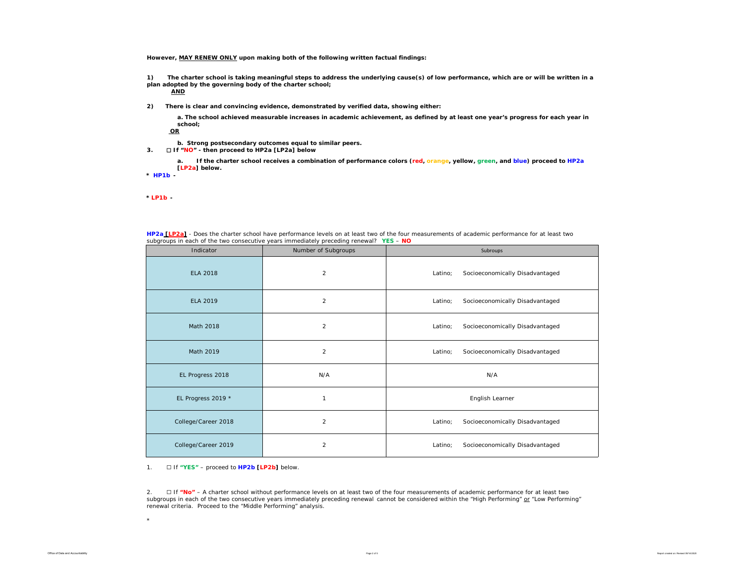**However, MAY RENEW ONLY upon making both of the following written factual findings:**

**1) The charter school is taking meaningful steps to address the underlying cause(s) of low performance, which are or will be written in a plan adopted by the governing body of the charter school;** 

**AND**

**2) There is clear and convincing evidence, demonstrated by verified data, showing either:**

**a. The school achieved measurable increases in academic achievement, as defined by at least one year's progress for each year in school;**

**OR**

- **b. Strong postsecondary outcomes equal to similar peers.**
- **3.** ☐ **If "NO" then proceed to HP2a [LP2a] below**

**a. If the charter school receives a combination of performance colors (red, orange, yellow, green, and blue) proceed to HP2a [LP2a] below.** 

**\*** *HP1b -* 

*\* LP1b -* 

\*

| <b>HP2a [LP2a]</b> - Does the charter school have performance levels on at least two of the four measurements of academic performance for at least two |  |  |
|--------------------------------------------------------------------------------------------------------------------------------------------------------|--|--|
| subgroups in each of the two consecutive years immediately preceding renewal? YES - NO                                                                 |  |  |

| Indicator           | Number of Subgroups | Subroups                                   |
|---------------------|---------------------|--------------------------------------------|
| <b>ELA 2018</b>     | $\overline{2}$      | Latino;<br>Socioeconomically Disadvantaged |
| <b>ELA 2019</b>     | $\overline{2}$      | Latino;<br>Socioeconomically Disadvantaged |
| Math 2018           | $\overline{2}$      | Latino;<br>Socioeconomically Disadvantaged |
| Math 2019           | $\overline{c}$      | Latino;<br>Socioeconomically Disadvantaged |
| EL Progress 2018    | N/A                 | N/A                                        |
| EL Progress 2019 *  | 1                   | English Learner                            |
| College/Career 2018 | $\overline{2}$      | Socioeconomically Disadvantaged<br>Latino; |
| College/Career 2019 | $\overline{2}$      | Latino;<br>Socioeconomically Disadvantaged |

1. ☐ If **"YES"** – proceed to **HP2b [LP2b]** below.

2. ☐ If **"No"** – A charter school without *performance levels on at least two of the four measurements of academic performance for at least two subgroups in each of the two consecutive years immediately preceding renewal* cannot be considered within the "High Performing" or "Low Performing" renewal criteria. Proceed to the "Middle Performing" analysis.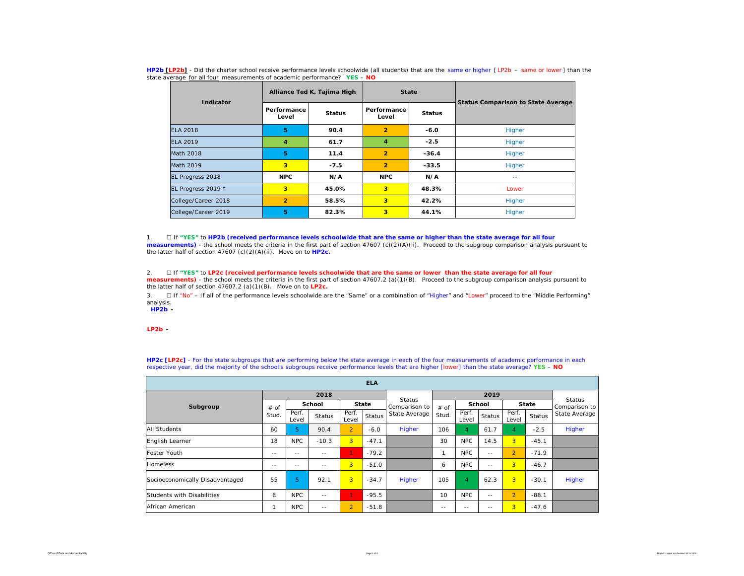| Indicator           |                      | Alliance Ted K. Tajima High | <b>State</b>            |               |                                           |  |  |  |
|---------------------|----------------------|-----------------------------|-------------------------|---------------|-------------------------------------------|--|--|--|
|                     | Performance<br>Level | <b>Status</b>               | Performance<br>Level    | <b>Status</b> | <b>Status Comparison to State Average</b> |  |  |  |
| <b>ELA 2018</b>     | 5                    | 90.4                        | $\overline{2}$          | $-6.0$        | Higher                                    |  |  |  |
| FLA 2019            | 4                    | 61.7                        | 4                       | $-2.5$        | Higher                                    |  |  |  |
| Math 2018           | 5                    | 11.4                        | $\overline{2}$          | $-36.4$       | Higher                                    |  |  |  |
| Math 2019           | 3                    | $-7.5$                      | $\overline{2}$          | $-33.5$       | Higher                                    |  |  |  |
| EL Progress 2018    | <b>NPC</b>           | N/A                         | <b>NPC</b>              | N/A           | $- -$                                     |  |  |  |
| EL Progress 2019 *  | 3                    | 45.0%                       | $\overline{\mathbf{3}}$ | 48.3%         | Lower                                     |  |  |  |
| College/Career 2018 | $\overline{2}$       | 58.5%                       | $\overline{\mathbf{3}}$ | 42.2%         | Higher                                    |  |  |  |
| College/Career 2019 | 5                    | 82.3%                       | $\overline{3}$          | 44.1%         | Higher                                    |  |  |  |

**HP2b [LP2b]** - *Did the charter school receive performance levels schoolwide (all students) that are the same or higher [ LP2b – same or lower ] than the state average for all four measurements of academic performance?* **YES** – **NO**

1. ☐ If **"YES"** to **HP2b (received performance levels schoolwide that are the same or higher than the state average for all four measurements)** - the school meets the criteria in the first part of section 47607 (c)(2)(A)(ii). Proceed to the subgroup comparison analysis pursuant to the latter half of section 47607 (c)(2)(A)(ii). Move on to **HP2c.**

#### 2. ☐ If **"YES"** to **LP2c (received performance levels schoolwide that are the same or lower than the state average for all four measurements)** - the school meets the criteria in the first part of section 47607.2 (a)(1)(B). Proceed to the subgroup comparison analysis pursuant to the latter half of section 47607.2 (a)(1)(B). Move on to **LP2c.**

3. □ If "No" – If all of the performance levels schoolwide are the "Same" or a combination of "Higher" and "Lower" proceed to the "Middle Performing" analysis.

\* *HP2b -* 

\**LP2b -* 

| <b>ELA</b>                      |       |                |               |                |               |                         |       |                |            |                |         |                         |
|---------------------------------|-------|----------------|---------------|----------------|---------------|-------------------------|-------|----------------|------------|----------------|---------|-------------------------|
|                                 |       |                | 2018          |                |               |                         |       |                |            |                |         |                         |
| Subgroup                        | # of  |                | School        | <b>State</b>   |               | Status<br>Comparison to | # of  | <b>School</b>  |            | <b>State</b>   |         | Status<br>Comparison to |
|                                 | Stud. | Perf.<br>Level | <b>Status</b> | Perf.<br>Level | <b>Status</b> | State Average           | Stud. | Perf.<br>Level | Status     | Perf.<br>Level | Status  | State Average           |
| <b>All Students</b>             | 60    | 5              | 90.4          | $\overline{2}$ | $-6.0$        | Higher                  | 106   | $\overline{4}$ | 61.7       | 4              | $-2.5$  | Higher                  |
| English Learner                 | 18    | <b>NPC</b>     | $-10.3$       | 3 <sup>1</sup> | $-47.1$       |                         | 30    | <b>NPC</b>     | 14.5       | 3 <sup>1</sup> | $-45.1$ |                         |
| Foster Youth                    | $- -$ | $\sim$ $\sim$  | $\sim$ $-$    | 1.             | $-79.2$       |                         | 1     | <b>NPC</b>     | $- -$      | $\overline{2}$ | $-71.9$ |                         |
| <b>Homeless</b>                 | $- -$ | $- -$          | $\sim$ $-$    | 3 <sup>1</sup> | $-51.0$       |                         | 6     | <b>NPC</b>     | $\sim$ $-$ | 3              | $-46.7$ |                         |
| Socioeconomically Disadvantaged | 55    | 5.             | 92.1          | 3 <sup>1</sup> | $-34.7$       | Higher                  | 105   | 4              | 62.3       | $\overline{3}$ | $-30.1$ | Higher                  |
| Students with Disabilities      | 8     | <b>NPC</b>     | $\sim$ $\sim$ | 1              | $-95.5$       |                         | 10    | <b>NPC</b>     | $\sim$ $-$ | $\overline{2}$ | $-88.1$ |                         |
| African American                |       | <b>NPC</b>     | $\sim$ $\sim$ | $\overline{2}$ | $-51.8$       |                         | $-$   | $\sim$ $-$     | $\sim$ $-$ | 3              | $-47.6$ |                         |

**HP2c [LP2c]** - For the state subgroups that are performing below the state average in each of the four measurements of academic performance in each respective year, did the majority of the school's subgroups receive performance levels that are higher [lower] than the state average? **YES** – **NO**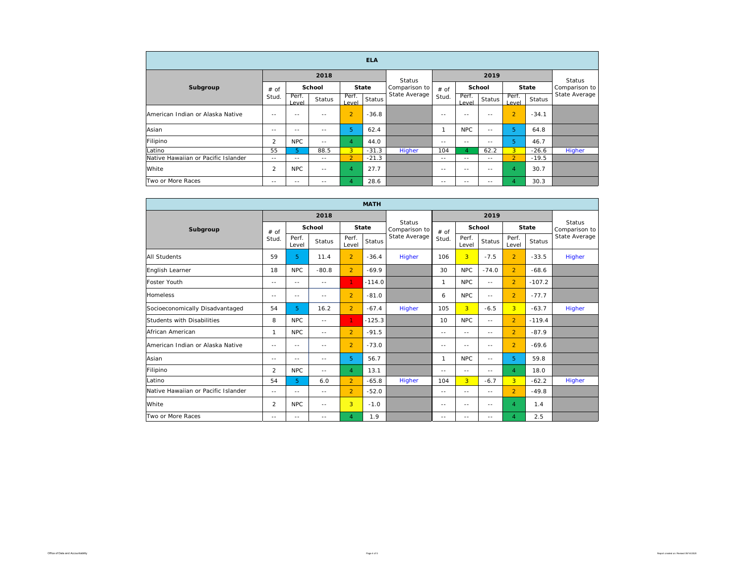| <b>ELA</b>                          |            |                |        |                |              |                                |               |                |               |                |               |               |  |
|-------------------------------------|------------|----------------|--------|----------------|--------------|--------------------------------|---------------|----------------|---------------|----------------|---------------|---------------|--|
|                                     |            |                | 2018   |                |              | <b>Status</b>                  |               |                | 2019          |                |               | Status        |  |
| Subgroup                            | # of       |                | School |                | <b>State</b> | Comparison to<br>State Average | $#$ of        | School         |               | <b>State</b>   |               | Comparison to |  |
|                                     | Stud.      | Perf.<br>Level | Status | Perf.<br>Level | Status       |                                | Stud.         | Perf.<br>Level | Status        | Perf.<br>Level | <b>Status</b> | State Average |  |
| American Indian or Alaska Native    | $- -$      | $-$            | $-$    | $\overline{2}$ | $-36.8$      |                                | $\sim$ $\sim$ | $\sim$ $-$     | $\sim$ $-$    | $\overline{2}$ | $-34.1$       |               |  |
| Asian                               | $-$        | $-$            | $-$    | 5              | 62.4         |                                |               | <b>NPC</b>     | $\sim$ $\sim$ | 5              | 64.8          |               |  |
| Filipino                            | 2          | <b>NPC</b>     | $- -$  | $\overline{4}$ | 44.0         |                                | $\sim$ $-$    | $\sim$ $-$     | $\sim$ $-$    | 5              | 46.7          |               |  |
| Latino                              | 55         | 5.             | 88.5   | 3 <sup>1</sup> | $-31.3$      | Higher                         | 104           | 4              | 62.2          | 3 <sup>1</sup> | $-26.6$       | Higher        |  |
| Native Hawaiian or Pacific Islander | $- -$      | $- -$          | $- -$  | $\overline{2}$ | $-21.3$      |                                | $- -$         | $\sim$ $\sim$  | $\sim$ $\sim$ | $\overline{2}$ | $-19.5$       |               |  |
| White                               | 2          | <b>NPC</b>     | $- -$  | $\overline{4}$ | 27.7         |                                | $- -$         | $\sim$ $-$     | $\sim$ $-$    | $\overline{4}$ | 30.7          |               |  |
| Two or More Races                   | $\sim$ $-$ | $-$            | $-$    | 4              | 28.6         |                                | $\sim$ $\sim$ | $\sim$ $-$     | $\sim$ $\sim$ | $\overline{4}$ | 30.3          |               |  |

| <b>MATH</b>                         |               |                |            |                |               |                                |              |                |            |                |               |                                |
|-------------------------------------|---------------|----------------|------------|----------------|---------------|--------------------------------|--------------|----------------|------------|----------------|---------------|--------------------------------|
|                                     |               |                | 2018       |                |               |                                |              |                |            |                |               |                                |
| Subgroup                            | # of          | School         |            |                | <b>State</b>  | <b>Status</b><br>Comparison to | # of         | School         |            | <b>State</b>   |               | <b>Status</b><br>Comparison to |
|                                     | Stud.         | Perf.<br>Level | Status     | Perf.<br>Level | <b>Status</b> | State Average                  | Stud.        | Perf.<br>Level | Status     | Perf.<br>Level | <b>Status</b> | State Average                  |
| <b>All Students</b>                 | 59            | 5              | 11.4       | $\overline{2}$ | $-36.4$       | Higher                         | 106          | 3 <sup>1</sup> | $-7.5$     | $\overline{2}$ | $-33.5$       | Higher                         |
| English Learner                     | 18            | <b>NPC</b>     | $-80.8$    | $\overline{2}$ | $-69.9$       |                                | 30           | <b>NPC</b>     | $-74.0$    | $\overline{2}$ | $-68.6$       |                                |
| Foster Youth                        | $-$           | $\frac{1}{2}$  | $\sim$     | 1.             | $-114.0$      |                                | $\mathbf{1}$ | NPC            | $\sim$ $-$ | $\overline{2}$ | $-107.2$      |                                |
| <b>Homeless</b>                     | $-$           | $- -$          | $-$        | $\overline{2}$ | $-81.0$       |                                | 6            | <b>NPC</b>     | $- -$      | $\overline{2}$ | $-77.7$       |                                |
| Socioeconomically Disadvantaged     | 54            | 5              | 16.2       | $\overline{2}$ | $-67.4$       | Higher                         | 105          | $\overline{3}$ | $-6.5$     | $\overline{3}$ | $-63.7$       | Higher                         |
| Students with Disabilities          | 8             | <b>NPC</b>     | $\sim$     | 1.             | $-125.3$      |                                | 10           | <b>NPC</b>     | $\sim$     | $\overline{2}$ | $-119.4$      |                                |
| African American                    | $\mathbf{1}$  | NPC            | $-$        | $\overline{2}$ | $-91.5$       |                                | $- -$        | $- -$          | $- -$      | $\overline{2}$ | $-87.9$       |                                |
| American Indian or Alaska Native    | ٠.            | $- -$          | $\sim$ $-$ | $\overline{2}$ | $-73.0$       |                                | $- -$        | $- -$          | $\sim$ $-$ | $\overline{2}$ | $-69.6$       |                                |
| Asian                               | $- -$         | $\frac{1}{2}$  | $- -$      | 5              | 56.7          |                                | $\mathbf{1}$ | <b>NPC</b>     | $- -$      | 5              | 59.8          |                                |
| Filipino                            | 2             | NPC            | $-$        | 4              | 13.1          |                                | $-$          | $\sim$ $-$     | $- -$      | $\overline{4}$ | 18.0          |                                |
| Latino                              | 54            | 5              | 6.0        | $\overline{2}$ | $-65.8$       | Higher                         | 104          | $\overline{3}$ | $-6.7$     | 3 <sup>1</sup> | $-62.2$       | Higher                         |
| Native Hawaiian or Pacific Islander | $-$           | $\frac{1}{2}$  | $\sim$     | $\overline{2}$ | $-52.0$       |                                | $-$          | $\sim$ $-$     | $- -$      | $\overline{2}$ | $-49.8$       |                                |
| White                               | 2             | <b>NPC</b>     | ٠.         | $\overline{3}$ | $-1.0$        |                                | $-$          | $- -$          | $- -$      | $\overline{4}$ | 1.4           |                                |
| Two or More Races                   | $\sim$ $\sim$ | $- -$          | $- -$      | $\overline{4}$ | 1.9           |                                | $- -$        | --             | --         | $\overline{A}$ | 2.5           |                                |